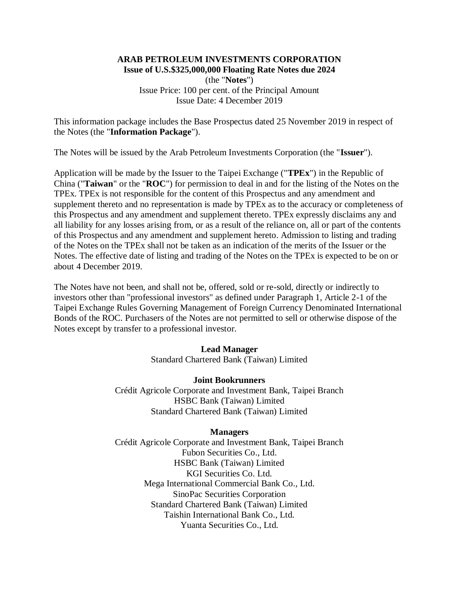# **ARAB PETROLEUM INVESTMENTS CORPORATION Issue of U.S.\$325,000,000 Floating Rate Notes due 2024**

(the "**Notes**") Issue Price: 100 per cent. of the Principal Amount Issue Date: 4 December 2019

This information package includes the Base Prospectus dated 25 November 2019 in respect of the Notes (the "**Information Package**").

The Notes will be issued by the Arab Petroleum Investments Corporation (the "**Issuer**").

Application will be made by the Issuer to the Taipei Exchange ("**TPEx**") in the Republic of China ("**Taiwan**" or the "**ROC**") for permission to deal in and for the listing of the Notes on the TPEx. TPEx is not responsible for the content of this Prospectus and any amendment and supplement thereto and no representation is made by TPEx as to the accuracy or completeness of this Prospectus and any amendment and supplement thereto. TPEx expressly disclaims any and all liability for any losses arising from, or as a result of the reliance on, all or part of the contents of this Prospectus and any amendment and supplement hereto. Admission to listing and trading of the Notes on the TPEx shall not be taken as an indication of the merits of the Issuer or the Notes. The effective date of listing and trading of the Notes on the TPEx is expected to be on or about 4 December 2019.

The Notes have not been, and shall not be, offered, sold or re-sold, directly or indirectly to investors other than "professional investors" as defined under Paragraph 1, Article 2-1 of the Taipei Exchange Rules Governing Management of Foreign Currency Denominated International Bonds of the ROC. Purchasers of the Notes are not permitted to sell or otherwise dispose of the Notes except by transfer to a professional investor.

# **Lead Manager**

Standard Chartered Bank (Taiwan) Limited

# **Joint Bookrunners**

Crédit Agricole Corporate and Investment Bank, Taipei Branch HSBC Bank (Taiwan) Limited Standard Chartered Bank (Taiwan) Limited

# **Managers**

Crédit Agricole Corporate and Investment Bank, Taipei Branch Fubon Securities Co., Ltd. HSBC Bank (Taiwan) Limited KGI Securities Co. Ltd. Mega International Commercial Bank Co., Ltd. SinoPac Securities Corporation Standard Chartered Bank (Taiwan) Limited Taishin International Bank Co., Ltd. Yuanta Securities Co., Ltd.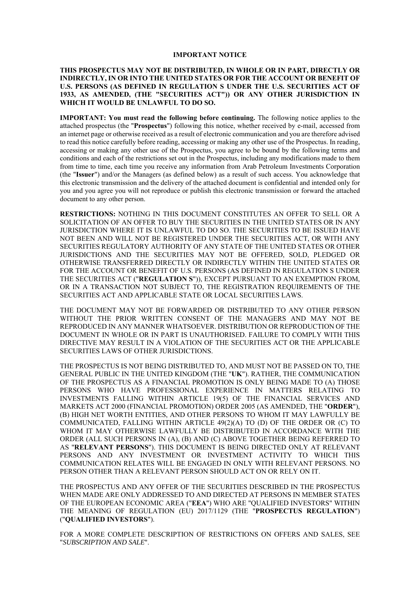#### **IMPORTANT NOTICE**

#### **THIS PROSPECTUS MAY NOT BE DISTRIBUTED, IN WHOLE OR IN PART, DIRECTLY OR INDIRECTLY, IN OR INTO THE UNITED STATES OR FOR THE ACCOUNT OR BENEFIT OF U.S. PERSONS (AS DEFINED IN REGULATION S UNDER THE U.S. SECURITIES ACT OF 1933, AS AMENDED, (THE "SECURITIES ACT")) OR ANY OTHER JURISDICTION IN WHICH IT WOULD BE UNLAWFUL TO DO SO.**

**IMPORTANT: You must read the following before continuing.** The following notice applies to the attached prospectus (the "**Prospectus**") following this notice, whether received by e-mail, accessed from an internet page or otherwise received as a result of electronic communication and you are therefore advised to read this notice carefully before reading, accessing or making any other use of the Prospectus. In reading, accessing or making any other use of the Prospectus, you agree to be bound by the following terms and conditions and each of the restrictions set out in the Prospectus, including any modifications made to them from time to time, each time you receive any information from Arab Petroleum Investments Corporation (the "**Issuer**") and/or the Managers (as defined below) as a result of such access. You acknowledge that this electronic transmission and the delivery of the attached document is confidential and intended only for you and you agree you will not reproduce or publish this electronic transmission or forward the attached document to any other person.

**RESTRICTIONS:** NOTHING IN THIS DOCUMENT CONSTITUTES AN OFFER TO SELL OR A SOLICITATION OF AN OFFER TO BUY THE SECURITIES IN THE UNITED STATES OR IN ANY JURISDICTION WHERE IT IS UNLAWFUL TO DO SO. THE SECURITIES TO BE ISSUED HAVE NOT BEEN AND WILL NOT BE REGISTERED UNDER THE SECURITIES ACT, OR WITH ANY SECURITIES REGULATORY AUTHORITY OF ANY STATE OF THE UNITED STATES OR OTHER JURISDICTIONS AND THE SECURITIES MAY NOT BE OFFERED, SOLD, PLEDGED OR OTHERWISE TRANSFERRED DIRECTLY OR INDIRECTLY WITHIN THE UNITED STATES OR FOR THE ACCOUNT OR BENEFIT OF U.S. PERSONS (AS DEFINED IN REGULATION S UNDER THE SECURITIES ACT ("**REGULATION S**")), EXCEPT PURSUANT TO AN EXEMPTION FROM, OR IN A TRANSACTION NOT SUBJECT TO, THE REGISTRATION REQUIREMENTS OF THE SECURITIES ACT AND APPLICABLE STATE OR LOCAL SECURITIES LAWS.

THE DOCUMENT MAY NOT BE FORWARDED OR DISTRIBUTED TO ANY OTHER PERSON WITHOUT THE PRIOR WRITTEN CONSENT OF THE MANAGERS AND MAY NOT BE REPRODUCED IN ANY MANNER WHATSOEVER. DISTRIBUTION OR REPRODUCTION OF THE DOCUMENT IN WHOLE OR IN PART IS UNAUTHORISED. FAILURE TO COMPLY WITH THIS DIRECTIVE MAY RESULT IN A VIOLATION OF THE SECURITIES ACT OR THE APPLICABLE SECURITIES LAWS OF OTHER JURISDICTIONS.

THE PROSPECTUS IS NOT BEING DISTRIBUTED TO, AND MUST NOT BE PASSED ON TO, THE GENERAL PUBLIC IN THE UNITED KINGDOM (THE "**UK**"). RATHER, THE COMMUNICATION OF THE PROSPECTUS AS A FINANCIAL PROMOTION IS ONLY BEING MADE TO (A) THOSE PERSONS WHO HAVE PROFESSIONAL EXPERIENCE IN MATTERS RELATING TO INVESTMENTS FALLING WITHIN ARTICLE 19(5) OF THE FINANCIAL SERVICES AND MARKETS ACT 2000 (FINANCIAL PROMOTION) ORDER 2005 (AS AMENDED, THE "**ORDER**"), (B) HIGH NET WORTH ENTITIES, AND OTHER PERSONS TO WHOM IT MAY LAWFULLY BE COMMUNICATED, FALLING WITHIN ARTICLE 49(2)(A) TO (D) OF THE ORDER OR (C) TO WHOM IT MAY OTHERWISE LAWFULLY BE DISTRIBUTED IN ACCORDANCE WITH THE ORDER (ALL SUCH PERSONS IN (A), (B) AND (C) ABOVE TOGETHER BEING REFERRED TO AS "**RELEVANT PERSONS**"). THIS DOCUMENT IS BEING DIRECTED ONLY AT RELEVANT PERSONS AND ANY INVESTMENT OR INVESTMENT ACTIVITY TO WHICH THIS COMMUNICATION RELATES WILL BE ENGAGED IN ONLY WITH RELEVANT PERSONS. NO PERSON OTHER THAN A RELEVANT PERSON SHOULD ACT ON OR RELY ON IT.

THE PROSPECTUS AND ANY OFFER OF THE SECURITIES DESCRIBED IN THE PROSPECTUS WHEN MADE ARE ONLY ADDRESSED TO AND DIRECTED AT PERSONS IN MEMBER STATES OF THE EUROPEAN ECONOMIC AREA ("**EEA**") WHO ARE "QUALIFIED INVESTORS" WITHIN THE MEANING OF REGULATION (EU) 2017/1129 (THE "**PROSPECTUS REGULATION**") ("**QUALIFIED INVESTORS**").

FOR A MORE COMPLETE DESCRIPTION OF RESTRICTIONS ON OFFERS AND SALES, SEE "*SUBSCRIPTION AND SALE*".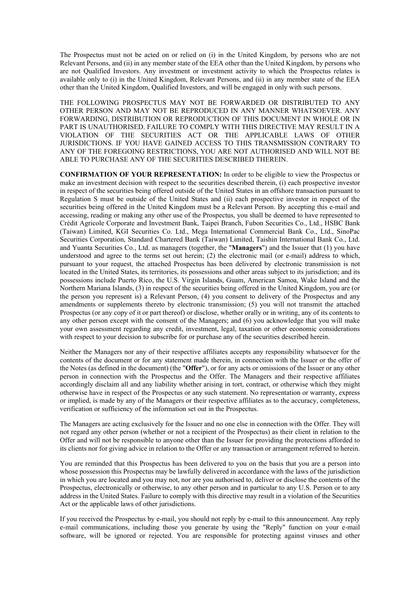The Prospectus must not be acted on or relied on (i) in the United Kingdom, by persons who are not Relevant Persons, and (ii) in any member state of the EEA other than the United Kingdom, by persons who are not Qualified Investors. Any investment or investment activity to which the Prospectus relates is available only to (i) in the United Kingdom, Relevant Persons, and (ii) in any member state of the EEA other than the United Kingdom, Qualified Investors, and will be engaged in only with such persons.

THE FOLLOWING PROSPECTUS MAY NOT BE FORWARDED OR DISTRIBUTED TO ANY OTHER PERSON AND MAY NOT BE REPRODUCED IN ANY MANNER WHATSOEVER. ANY FORWARDING, DISTRIBUTION OR REPRODUCTION OF THIS DOCUMENT IN WHOLE OR IN PART IS UNAUTHORISED. FAILURE TO COMPLY WITH THIS DIRECTIVE MAY RESULT IN A VIOLATION OF THE SECURITIES ACT OR THE APPLICABLE LAWS OF OTHER JURISDICTIONS. IF YOU HAVE GAINED ACCESS TO THIS TRANSMISSION CONTRARY TO ANY OF THE FOREGOING RESTRICTIONS, YOU ARE NOT AUTHORISED AND WILL NOT BE ABLE TO PURCHASE ANY OF THE SECURITIES DESCRIBED THEREIN.

**CONFIRMATION OF YOUR REPRESENTATION:** In order to be eligible to view the Prospectus or make an investment decision with respect to the securities described therein, (i) each prospective investor in respect of the securities being offered outside of the United States in an offshore transaction pursuant to Regulation S must be outside of the United States and (ii) each prospective investor in respect of the securities being offered in the United Kingdom must be a Relevant Person. By accepting this e-mail and accessing, reading or making any other use of the Prospectus, you shall be deemed to have represented to Crédit Agricole Corporate and Investment Bank, Taipei Branch, Fubon Securities Co., Ltd., HSBC Bank (Taiwan) Limited, KGI Securities Co. Ltd., Mega International Commercial Bank Co., Ltd., SinoPac Securities Corporation, Standard Chartered Bank (Taiwan) Limited, Taishin International Bank Co., Ltd. and Yuanta Securities Co., Ltd. as managers (together, the "**Managers**") and the Issuer that (1) you have understood and agree to the terms set out herein; (2) the electronic mail (or e-mail) address to which, pursuant to your request, the attached Prospectus has been delivered by electronic transmission is not located in the United States, its territories, its possessions and other areas subject to its jurisdiction; and its possessions include Puerto Rico, the U.S. Virgin Islands, Guam, American Samoa, Wake Island and the Northern Mariana Islands, (3) in respect of the securities being offered in the United Kingdom, you are (or the person you represent is) a Relevant Person, (4) you consent to delivery of the Prospectus and any amendments or supplements thereto by electronic transmission; (5) you will not transmit the attached Prospectus (or any copy of it or part thereof) or disclose, whether orally or in writing, any of its contents to any other person except with the consent of the Managers; and (6) you acknowledge that you will make your own assessment regarding any credit, investment, legal, taxation or other economic considerations with respect to your decision to subscribe for or purchase any of the securities described herein.

Neither the Managers nor any of their respective affiliates accepts any responsibility whatsoever for the contents of the document or for any statement made therein, in connection with the Issuer or the offer of the Notes (as defined in the document) (the "**Offer**"), or for any acts or omissions of the Issuer or any other person in connection with the Prospectus and the Offer. The Managers and their respective affiliates accordingly disclaim all and any liability whether arising in tort, contract, or otherwise which they might otherwise have in respect of the Prospectus or any such statement. No representation or warranty, express or implied, is made by any of the Managers or their respective affiliates as to the accuracy, completeness, verification or sufficiency of the information set out in the Prospectus.

The Managers are acting exclusively for the Issuer and no one else in connection with the Offer. They will not regard any other person (whether or not a recipient of the Prospectus) as their client in relation to the Offer and will not be responsible to anyone other than the Issuer for providing the protections afforded to its clients nor for giving advice in relation to the Offer or any transaction or arrangement referred to herein.

You are reminded that this Prospectus has been delivered to you on the basis that you are a person into whose possession this Prospectus may be lawfully delivered in accordance with the laws of the jurisdiction in which you are located and you may not, nor are you authorised to, deliver or disclose the contents of the Prospectus, electronically or otherwise, to any other person and in particular to any U.S. Person or to any address in the United States. Failure to comply with this directive may result in a violation of the Securities Act or the applicable laws of other jurisdictions.

If you received the Prospectus by e-mail, you should not reply by e-mail to this announcement. Any reply e-mail communications, including those you generate by using the "Reply" function on your e-mail software, will be ignored or rejected. You are responsible for protecting against viruses and other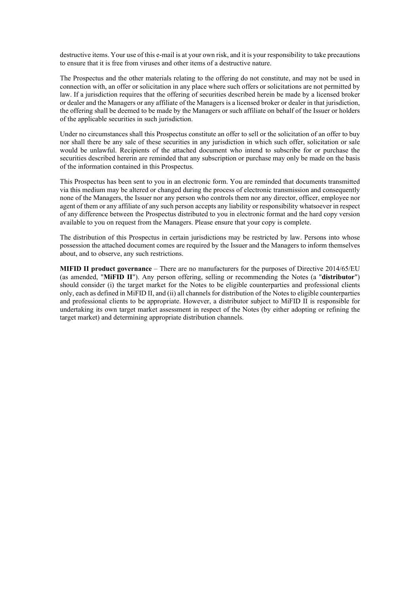destructive items. Your use of this e-mail is at your own risk, and it is your responsibility to take precautions to ensure that it is free from viruses and other items of a destructive nature.

The Prospectus and the other materials relating to the offering do not constitute, and may not be used in connection with, an offer or solicitation in any place where such offers or solicitations are not permitted by law. If a jurisdiction requires that the offering of securities described herein be made by a licensed broker or dealer and the Managers or any affiliate of the Managers is a licensed broker or dealer in that jurisdiction, the offering shall be deemed to be made by the Managers or such affiliate on behalf of the Issuer or holders of the applicable securities in such jurisdiction.

Under no circumstances shall this Prospectus constitute an offer to sell or the solicitation of an offer to buy nor shall there be any sale of these securities in any jurisdiction in which such offer, solicitation or sale would be unlawful. Recipients of the attached document who intend to subscribe for or purchase the securities described hererin are reminded that any subscription or purchase may only be made on the basis of the information contained in this Prospectus.

This Prospectus has been sent to you in an electronic form. You are reminded that documents transmitted via this medium may be altered or changed during the process of electronic transmission and consequently none of the Managers, the Issuer nor any person who controls them nor any director, officer, employee nor agent of them or any affiliate of any such person accepts any liability or responsibility whatsoever in respect of any difference between the Prospectus distributed to you in electronic format and the hard copy version available to you on request from the Managers. Please ensure that your copy is complete.

The distribution of this Prospectus in certain jurisdictions may be restricted by law. Persons into whose possession the attached document comes are required by the Issuer and the Managers to inform themselves about, and to observe, any such restrictions.

**MIFID II product governance** – There are no manufacturers for the purposes of Directive 2014/65/EU (as amended, "**MiFID II**"). Any person offering, selling or recommending the Notes (a "**distributor**") should consider (i) the target market for the Notes to be eligible counterparties and professional clients only, each as defined in MiFID II, and (ii) all channels for distribution of the Notes to eligible counterparties and professional clients to be appropriate. However, a distributor subject to MiFID II is responsible for undertaking its own target market assessment in respect of the Notes (by either adopting or refining the target market) and determining appropriate distribution channels.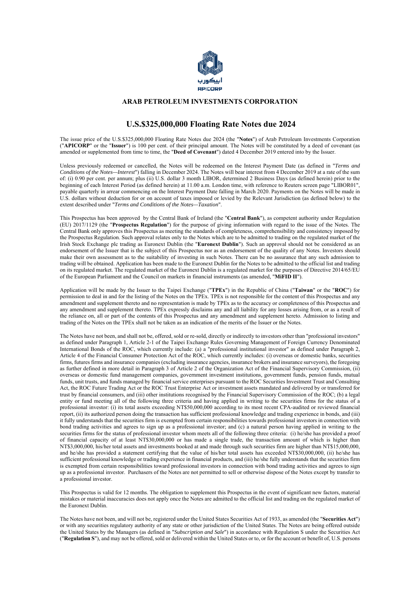

### **ARAB PETROLEUM INVESTMENTS CORPORATION**

# **U.S.\$325,000,000 Floating Rate Notes due 2024**

The issue price of the U.S.\$325,000,000 Floating Rate Notes due 2024 (the "**Notes**") of Arab Petroleum Investments Corporation ("**APICORP**" or the "**Issuer**") is 100 per cent. of their principal amount. The Notes will be constituted by a deed of covenant (as amended or supplemented from time to time, the "**Deed of Covenant**") dated 4 December 2019 entered into by the Issuer.

Unless previously redeemed or cancelled, the Notes will be redeemed on the Interest Payment Date (as defined in "*Terms and Conditions of the Notes—Interest*") falling in December 2024. The Notes will bear interest from 4 December 2019 at a rate of the sum of: (i) 0.90 per cent. per annum; plus (ii) U.S. dollar 3 month LIBOR, determined 2 Business Days (as defined herein) prior to the beginning of each Interest Period (as defined herein) at 11.00 a.m. London time, with reference to Reuters screen page "LIBOR01", payable quarterly in arrear commencing on the Interest Payment Date falling in March 2020. Payments on the Notes will be made in U.S. dollars without deduction for or on account of taxes imposed or levied by the Relevant Jurisdiction (as defined below) to the extent described under "*Terms and Conditions of the Notes—Taxation*".

This Prospectus has been approved by the Central Bank of Ireland (the "**Central Bank**"), as competent authority under Regulation (EU) 2017/1129 (the "**Prospectus Regulation**") for the purpose of giving information with regard to the issue of the Notes. The Central Bank only approves this Prospectus as meeting the standards of completeness, comprehensibility and consistency imposed by the Prospectus Regulation. Such approval relates only to the Notes which are to be admitted to trading on the regulated market of the Irish Stock Exchange plc trading as Euronext Dublin (the "**Euronext Dublin**"). Such an approval should not be considered as an endorsement of the Issuer that is the subject of this Prospectus nor as an endorsement of the quality of any Notes. Investors should make their own assessment as to the suitability of investing in such Notes. There can be no assurance that any such admission to trading will be obtained. Application has been made to the Euronext Dublin for the Notes to be admitted to the official list and trading on its regulated market. The regulated market of the Euronext Dublin is a regulated market for the purposes of Directive 2014/65/EU of the European Parliament and the Council on markets in financial instruments (as amended, "**MiFID II**").

Application will be made by the Issuer to the Taipei Exchange ("**TPEx**") in the Republic of China ("**Taiwan**" or the "**ROC**") for permission to deal in and for the listing of the Notes on the TPEx. TPEx is not responsible for the content of this Prospectus and any amendment and supplement thereto and no representation is made by TPEx as to the accuracy or completeness of this Prospectus and any amendment and supplement thereto. TPEx expressly disclaims any and all liability for any losses arising from, or as a result of the reliance on, all or part of the contents of this Prospectus and any amendment and supplement hereto. Admission to listing and trading of the Notes on the TPEx shall not be taken as an indication of the merits of the Issuer or the Notes.

The Notes have not been, and shall not be, offered, sold or re-sold, directly or indirectly to investors other than "professional investors" as defined under Paragraph 1, Article 2-1 of the Taipei Exchange Rules Governing Management of Foreign Currency Denominated International Bonds of the ROC, which currently include: (a) a "professional institutional investor" as defined under Paragraph 2, Article 4 of the Financial Consumer Protection Act of the ROC, which currently includes: (i) overseas or domestic banks, securities firms, futures firms and insurance companies (excluding insurance agencies, insurance brokers and insurance surveyors), the foregoing as further defined in more detail in Paragraph 3 of Article 2 of the Organization Act of the Financial Supervisory Commission, (ii) overseas or domestic fund management companies, government investment institutions, government funds, pension funds, mutual funds, unit trusts, and funds managed by financial service enterprises pursuant to the ROC Securities Investment Trust and Consulting Act, the ROC Future Trading Act or the ROC Trust Enterprise Act or investment assets mandated and delivered by or transferred for trust by financial consumers, and (iii) other institutions recognised by the Financial Supervisory Commission of the ROC; (b) a legal entity or fund meeting all of the following three criteria and having applied in writing to the securities firms for the status of a professional investor: (i) its total assets exceeding NT\$50,000,000 according to its most recent CPA-audited or reviewed financial report, (ii) its authorized person doing the transaction has sufficient professional knowledge and trading experience in bonds, and (iii) it fully understands that the securities firm is exempted from certain responsibilities towards professional investors in connection with bond trading activities and agrees to sign up as a professional investor; and (c) a natural person having applied in writing to the securities firms for the status of professional investor whom meets all of the following three criteria: (i) he/she has provided a proof of financial capacity of at least NT\$30,000,000 or has made a single trade, the transaction amount of which is higher than NT\$3,000,000, his/her total assets and investments booked at and made through such securities firm are higher than NT\$15,000,000, and he/she has provided a statement certifying that the value of his/her total assets has exceeded NT\$30,000,000, (ii) he/she has sufficient professional knowledge or trading experience in financial products, and (iii) he/she fully understands that the securities firm is exempted from certain responsibilities toward professional investors in connection with bond trading activities and agrees to sign up as a professional investor. Purchasers of the Notes are not permitted to sell or otherwise dispose of the Notes except by transfer to a professional investor.

This Prospectus is valid for 12 months. The obligation to supplement this Prospectus in the event of significant new factors, material mistakes or material inaccuracies does not apply once the Notes are admitted to the official list and trading on the regulated market of the Euronext Dublin.

The Notes have not been, and will not be, registered under the United States Securities Act of 1933, as amended (the "**Securities Act**") or with any securities regulatory authority of any state or other jurisdiction of the United States. The Notes are being offered outside the United States by the Managers (as defined in "*Subscription and Sale*") in accordance with Regulation S under the Securities Act ("**Regulation S**"), and may not be offered, sold or delivered within the United States or to, or for the account or benefit of, U.S. persons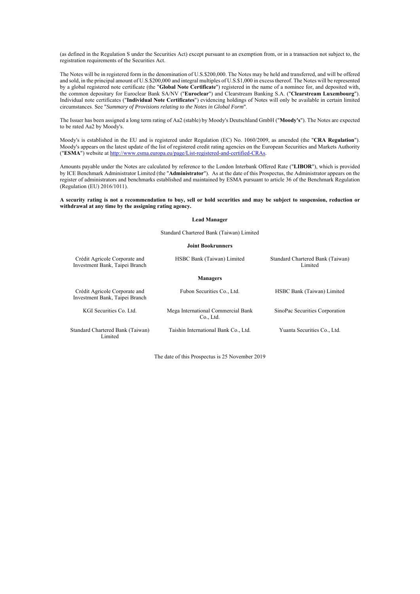(as defined in the Regulation S under the Securities Act) except pursuant to an exemption from, or in a transaction not subject to, the registration requirements of the Securities Act.

The Notes will be in registered form in the denomination of U.S.\$200,000. The Notes may be held and transferred, and will be offered and sold, in the principal amount of U.S.\$200,000 and integral multiples of U.S.\$1,000 in excess thereof. The Notes will be represented by a global registered note certificate (the "**Global Note Certificate**") registered in the name of a nominee for, and deposited with, the common depositary for Euroclear Bank SA/NV ("**Euroclear**") and Clearstream Banking S.A. ("**Clearstream Luxembourg**"). Individual note certificates ("**Individual Note Certificates**") evidencing holdings of Notes will only be available in certain limited circumstances. See "*Summary of Provisions relating to the Notes in Global Form*".

The Issuer has been assigned a long term rating of Aa2 (stable) by Moody's Deutschland GmbH ("**Moody's**"). The Notes are expected to be rated Aa2 by Moody's.

Moody's is established in the EU and is registered under Regulation (EC) No. 1060/2009, as amended (the "**CRA Regulation**"). Moody's appears on the latest update of the list of registered credit rating agencies on the European Securities and Markets Authority ("**ESMA**") website at http://www.esma.europa.eu/page/List-registered-and-certified-CRAs.

Amounts payable under the Notes are calculated by reference to the London Interbank Offered Rate ("**LIBOR**"), which is provided by ICE Benchmark Administrator Limited (the "**Administrator**"). As at the date of this Prospectus, the Administrator appears on the register of administrators and benchmarks established and maintained by ESMA pursuant to article 36 of the Benchmark Regulation (Regulation (EU) 2016/1011).

#### **A security rating is not a recommendation to buy, sell or hold securities and may be subject to suspension, reduction or withdrawal at any time by the assigning rating agency.**

#### **Lead Manager**

Standard Chartered Bank (Taiwan) Limited

#### **Joint Bookrunners**

| Crédit Agricole Corporate and<br>Investment Bank, Taipei Branch | HSBC Bank (Taiwan) Limited                      | Standard Chartered Bank (Taiwan)<br>Limited |
|-----------------------------------------------------------------|-------------------------------------------------|---------------------------------------------|
|                                                                 | <b>Managers</b>                                 |                                             |
| Crédit Agricole Corporate and<br>Investment Bank, Taipei Branch | Fubon Securities Co., Ltd.                      | HSBC Bank (Taiwan) Limited                  |
| KGI Securities Co. Ltd.                                         | Mega International Commercial Bank<br>Co., Ltd. | SinoPac Securities Corporation              |
| Standard Chartered Bank (Taiwan)<br>Limited                     | Taishin International Bank Co., Ltd.            | Yuanta Securities Co., Ltd.                 |

The date of this Prospectus is 25 November 2019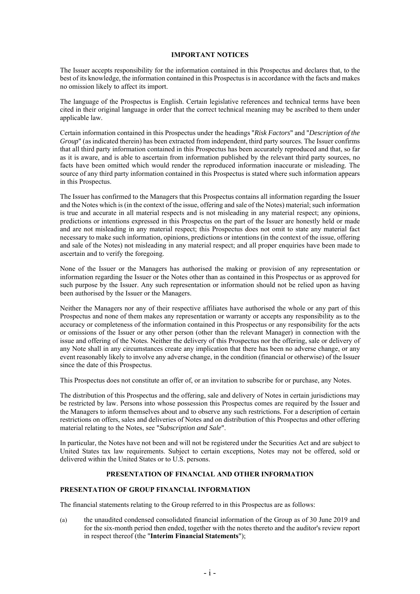#### **IMPORTANT NOTICES**

The Issuer accepts responsibility for the information contained in this Prospectus and declares that, to the best of its knowledge, the information contained in this Prospectus is in accordance with the facts and makes no omission likely to affect its import.

The language of the Prospectus is English. Certain legislative references and technical terms have been cited in their original language in order that the correct technical meaning may be ascribed to them under applicable law.

Certain information contained in this Prospectus under the headings "*Risk Factors*" and "*Description of the Group*" (as indicated therein) has been extracted from independent, third party sources. The Issuer confirms that all third party information contained in this Prospectus has been accurately reproduced and that, so far as it is aware, and is able to ascertain from information published by the relevant third party sources, no facts have been omitted which would render the reproduced information inaccurate or misleading. The source of any third party information contained in this Prospectus is stated where such information appears in this Prospectus.

The Issuer has confirmed to the Managers that this Prospectus contains all information regarding the Issuer and the Notes which is (in the context of the issue, offering and sale of the Notes) material; such information is true and accurate in all material respects and is not misleading in any material respect; any opinions, predictions or intentions expressed in this Prospectus on the part of the Issuer are honestly held or made and are not misleading in any material respect; this Prospectus does not omit to state any material fact necessary to make such information, opinions, predictions or intentions (in the context of the issue, offering and sale of the Notes) not misleading in any material respect; and all proper enquiries have been made to ascertain and to verify the foregoing.

None of the Issuer or the Managers has authorised the making or provision of any representation or information regarding the Issuer or the Notes other than as contained in this Prospectus or as approved for such purpose by the Issuer. Any such representation or information should not be relied upon as having been authorised by the Issuer or the Managers.

Neither the Managers nor any of their respective affiliates have authorised the whole or any part of this Prospectus and none of them makes any representation or warranty or accepts any responsibility as to the accuracy or completeness of the information contained in this Prospectus or any responsibility for the acts or omissions of the Issuer or any other person (other than the relevant Manager) in connection with the issue and offering of the Notes. Neither the delivery of this Prospectus nor the offering, sale or delivery of any Note shall in any circumstances create any implication that there has been no adverse change, or any event reasonably likely to involve any adverse change, in the condition (financial or otherwise) of the Issuer since the date of this Prospectus.

This Prospectus does not constitute an offer of, or an invitation to subscribe for or purchase, any Notes.

The distribution of this Prospectus and the offering, sale and delivery of Notes in certain jurisdictions may be restricted by law. Persons into whose possession this Prospectus comes are required by the Issuer and the Managers to inform themselves about and to observe any such restrictions. For a description of certain restrictions on offers, sales and deliveries of Notes and on distribution of this Prospectus and other offering material relating to the Notes, see "*Subscription and Sale*".

In particular, the Notes have not been and will not be registered under the Securities Act and are subject to United States tax law requirements. Subject to certain exceptions, Notes may not be offered, sold or delivered within the United States or to U.S. persons.

### **PRESENTATION OF FINANCIAL AND OTHER INFORMATION**

### **PRESENTATION OF GROUP FINANCIAL INFORMATION**

The financial statements relating to the Group referred to in this Prospectus are as follows:

(a) the unaudited condensed consolidated financial information of the Group as of 30 June 2019 and for the six-month period then ended, together with the notes thereto and the auditor's review report in respect thereof (the "**Interim Financial Statements**");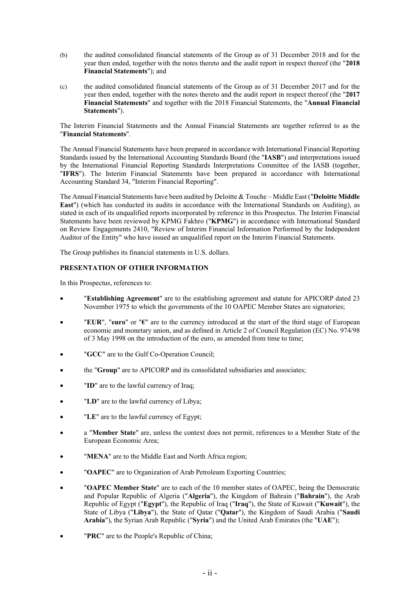- (b) the audited consolidated financial statements of the Group as of 31 December 2018 and for the year then ended, together with the notes thereto and the audit report in respect thereof (the "**2018 Financial Statements**"); and
- (c) the audited consolidated financial statements of the Group as of 31 December 2017 and for the year then ended, together with the notes thereto and the audit report in respect thereof (the "**2017 Financial Statements**" and together with the 2018 Financial Statements, the "**Annual Financial Statements**").

The Interim Financial Statements and the Annual Financial Statements are together referred to as the "**Financial Statements**".

The Annual Financial Statements have been prepared in accordance with International Financial Reporting Standards issued by the International Accounting Standards Board (the "**IASB**") and interpretations issued by the International Financial Reporting Standards Interpretations Committee of the IASB (together, "**IFRS**"). The Interim Financial Statements have been prepared in accordance with International Accounting Standard 34, "Interim Financial Reporting".

The Annual Financial Statements have been audited by Deloitte & Touche – Middle East ("**Deloitte Middle East**") (which has conducted its audits in accordance with the International Standards on Auditing), as stated in each of its unqualified reports incorporated by reference in this Prospectus. The Interim Financial Statements have been reviewed by KPMG Fakhro ("**KPMG**") in accordance with International Standard on Review Engagements 2410, "Review of Interim Financial Information Performed by the Independent Auditor of the Entity" who have issued an unqualified report on the Interim Financial Statements.

The Group publishes its financial statements in U.S. dollars.

## **PRESENTATION OF OTHER INFORMATION**

In this Prospectus, references to:

- "**Establishing Agreement**" are to the establishing agreement and statute for APICORP dated 23 November 1975 to which the governments of the 10 OAPEC Member States are signatories;
- "**EUR**", "**euro**" or "**€**" are to the currency introduced at the start of the third stage of European economic and monetary union, and as defined in Article 2 of Council Regulation (EC) No. 974/98 of 3 May 1998 on the introduction of the euro, as amended from time to time;
- "**GCC**" are to the Gulf Co-Operation Council;
- the "**Group**" are to APICORP and its consolidated subsidiaries and associates;
- "**ID**" are to the lawful currency of Iraq;
- "**LD**" are to the lawful currency of Libya;
- "**LE**" are to the lawful currency of Egypt;
- a "**Member State**" are, unless the context does not permit, references to a Member State of the European Economic Area;
- "**MENA**" are to the Middle East and North Africa region;
- "**OAPEC**" are to Organization of Arab Petroleum Exporting Countries;
- "**OAPEC Member State**" are to each of the 10 member states of OAPEC, being the Democratic and Popular Republic of Algeria ("**Algeria**"), the Kingdom of Bahrain ("**Bahrain**"), the Arab Republic of Egypt ("**Egypt**"), the Republic of Iraq ("**Iraq**"), the State of Kuwait ("**Kuwait**"), the State of Libya ("**Libya**"), the State of Qatar ("**Qatar**"), the Kingdom of Saudi Arabia ("**Saudi Arabia**"), the Syrian Arab Republic ("**Syria**") and the United Arab Emirates (the "**UAE**");
- "**PRC**" are to the People's Republic of China;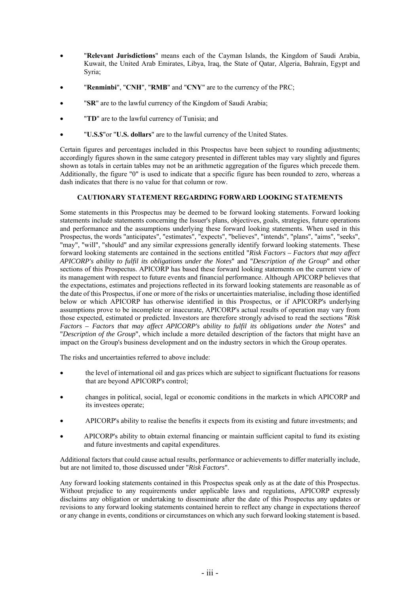- "**Relevant Jurisdictions**" means each of the Cayman Islands, the Kingdom of Saudi Arabia, Kuwait, the United Arab Emirates, Libya, Iraq, the State of Qatar, Algeria, Bahrain, Egypt and Syria;
- "**Renminbi**", "**CNH**", "**RMB**" and "**CNY**" are to the currency of the PRC;
- "**SR**" are to the lawful currency of the Kingdom of Saudi Arabia;
- "**TD**" are to the lawful currency of Tunisia; and
- "**U.S.\$**"or "**U.S. dollars**" are to the lawful currency of the United States.

Certain figures and percentages included in this Prospectus have been subject to rounding adjustments; accordingly figures shown in the same category presented in different tables may vary slightly and figures shown as totals in certain tables may not be an arithmetic aggregation of the figures which precede them. Additionally, the figure "0" is used to indicate that a specific figure has been rounded to zero, whereas a dash indicates that there is no value for that column or row.

# **CAUTIONARY STATEMENT REGARDING FORWARD LOOKING STATEMENTS**

Some statements in this Prospectus may be deemed to be forward looking statements. Forward looking statements include statements concerning the Issuer's plans, objectives, goals, strategies, future operations and performance and the assumptions underlying these forward looking statements. When used in this Prospectus, the words "anticipates", "estimates", "expects", "believes", "intends", "plans", "aims", "seeks", "may", "will", "should" and any similar expressions generally identify forward looking statements. These forward looking statements are contained in the sections entitled "*Risk Factors – Factors that may affect APICORP's ability to fulfil its obligations under the Notes*" and "*Description of the Group*" and other sections of this Prospectus. APICORP has based these forward looking statements on the current view of its management with respect to future events and financial performance. Although APICORP believes that the expectations, estimates and projections reflected in its forward looking statements are reasonable as of the date of this Prospectus, if one or more of the risks or uncertainties materialise, including those identified below or which APICORP has otherwise identified in this Prospectus, or if APICORP's underlying assumptions prove to be incomplete or inaccurate, APICORP's actual results of operation may vary from those expected, estimated or predicted. Investors are therefore strongly advised to read the sections "*Risk Factors – Factors that may affect APICORP's ability to fulfil its obligations under the Notes*" and "*Description of the Group*", which include a more detailed description of the factors that might have an impact on the Group's business development and on the industry sectors in which the Group operates.

The risks and uncertainties referred to above include:

- the level of international oil and gas prices which are subject to significant fluctuations for reasons that are beyond APICORP's control;
- changes in political, social, legal or economic conditions in the markets in which APICORP and its investees operate;
- APICORP's ability to realise the benefits it expects from its existing and future investments; and
- APICORP's ability to obtain external financing or maintain sufficient capital to fund its existing and future investments and capital expenditures.

Additional factors that could cause actual results, performance or achievements to differ materially include, but are not limited to, those discussed under "*Risk Factors*".

Any forward looking statements contained in this Prospectus speak only as at the date of this Prospectus. Without prejudice to any requirements under applicable laws and regulations, APICORP expressly disclaims any obligation or undertaking to disseminate after the date of this Prospectus any updates or revisions to any forward looking statements contained herein to reflect any change in expectations thereof or any change in events, conditions or circumstances on which any such forward looking statement is based.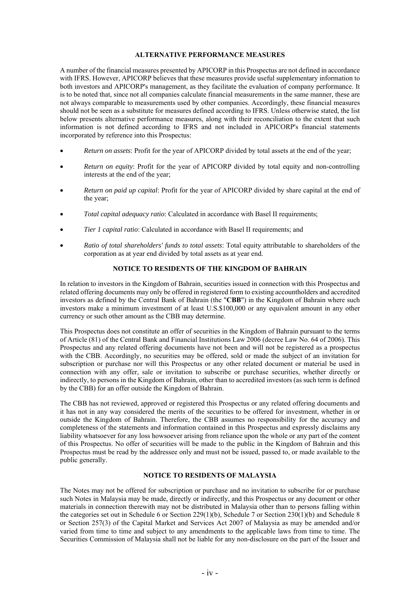#### **ALTERNATIVE PERFORMANCE MEASURES**

A number of the financial measures presented by APICORP in this Prospectus are not defined in accordance with IFRS. However, APICORP believes that these measures provide useful supplementary information to both investors and APICORP's management, as they facilitate the evaluation of company performance. It is to be noted that, since not all companies calculate financial measurements in the same manner, these are not always comparable to measurements used by other companies. Accordingly, these financial measures should not be seen as a substitute for measures defined according to IFRS. Unless otherwise stated, the list below presents alternative performance measures, along with their reconciliation to the extent that such information is not defined according to IFRS and not included in APICORP's financial statements incorporated by reference into this Prospectus:

- *Return on assets*: Profit for the year of APICORP divided by total assets at the end of the year;
- *Return on equity*: Profit for the year of APICORP divided by total equity and non-controlling interests at the end of the year;
- *Return on paid up capital*: Profit for the year of APICORP divided by share capital at the end of the year;
- *Total capital adequacy ratio*: Calculated in accordance with Basel II requirements;
- *Tier 1 capital ratio*: Calculated in accordance with Basel II requirements; and
- *Ratio of total shareholders' funds to total assets*: Total equity attributable to shareholders of the corporation as at year end divided by total assets as at year end.

### **NOTICE TO RESIDENTS OF THE KINGDOM OF BAHRAIN**

In relation to investors in the Kingdom of Bahrain, securities issued in connection with this Prospectus and related offering documents may only be offered in registered form to existing accountholders and accredited investors as defined by the Central Bank of Bahrain (the "**CBB**") in the Kingdom of Bahrain where such investors make a minimum investment of at least U.S.\$100,000 or any equivalent amount in any other currency or such other amount as the CBB may determine.

This Prospectus does not constitute an offer of securities in the Kingdom of Bahrain pursuant to the terms of Article (81) of the Central Bank and Financial Institutions Law 2006 (decree Law No. 64 of 2006). This Prospectus and any related offering documents have not been and will not be registered as a prospectus with the CBB. Accordingly, no securities may be offered, sold or made the subject of an invitation for subscription or purchase nor will this Prospectus or any other related document or material be used in connection with any offer, sale or invitation to subscribe or purchase securities, whether directly or indirectly, to persons in the Kingdom of Bahrain, other than to accredited investors (as such term is defined by the CBB) for an offer outside the Kingdom of Bahrain.

The CBB has not reviewed, approved or registered this Prospectus or any related offering documents and it has not in any way considered the merits of the securities to be offered for investment, whether in or outside the Kingdom of Bahrain. Therefore, the CBB assumes no responsibility for the accuracy and completeness of the statements and information contained in this Prospectus and expressly disclaims any liability whatsoever for any loss howsoever arising from reliance upon the whole or any part of the content of this Prospectus. No offer of securities will be made to the public in the Kingdom of Bahrain and this Prospectus must be read by the addressee only and must not be issued, passed to, or made available to the public generally.

#### **NOTICE TO RESIDENTS OF MALAYSIA**

The Notes may not be offered for subscription or purchase and no invitation to subscribe for or purchase such Notes in Malaysia may be made, directly or indirectly, and this Prospectus or any document or other materials in connection therewith may not be distributed in Malaysia other than to persons falling within the categories set out in Schedule 6 or Section 229(1)(b), Schedule 7 or Section 230(1)(b) and Schedule 8 or Section 257(3) of the Capital Market and Services Act 2007 of Malaysia as may be amended and/or varied from time to time and subject to any amendments to the applicable laws from time to time. The Securities Commission of Malaysia shall not be liable for any non-disclosure on the part of the Issuer and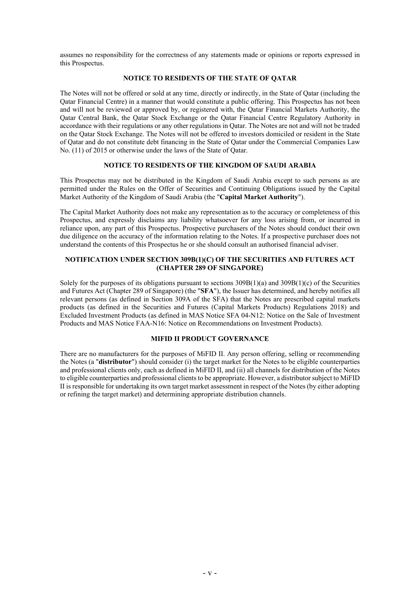assumes no responsibility for the correctness of any statements made or opinions or reports expressed in this Prospectus.

### **NOTICE TO RESIDENTS OF THE STATE OF QATAR**

The Notes will not be offered or sold at any time, directly or indirectly, in the State of Qatar (including the Qatar Financial Centre) in a manner that would constitute a public offering. This Prospectus has not been and will not be reviewed or approved by, or registered with, the Qatar Financial Markets Authority, the Qatar Central Bank, the Qatar Stock Exchange or the Qatar Financial Centre Regulatory Authority in accordance with their regulations or any other regulations in Qatar. The Notes are not and will not be traded on the Qatar Stock Exchange. The Notes will not be offered to investors domiciled or resident in the State of Qatar and do not constitute debt financing in the State of Qatar under the Commercial Companies Law No. (11) of 2015 or otherwise under the laws of the State of Qatar.

#### **NOTICE TO RESIDENTS OF THE KINGDOM OF SAUDI ARABIA**

This Prospectus may not be distributed in the Kingdom of Saudi Arabia except to such persons as are permitted under the Rules on the Offer of Securities and Continuing Obligations issued by the Capital Market Authority of the Kingdom of Saudi Arabia (the "**Capital Market Authority**").

The Capital Market Authority does not make any representation as to the accuracy or completeness of this Prospectus, and expressly disclaims any liability whatsoever for any loss arising from, or incurred in reliance upon, any part of this Prospectus. Prospective purchasers of the Notes should conduct their own due diligence on the accuracy of the information relating to the Notes. If a prospective purchaser does not understand the contents of this Prospectus he or she should consult an authorised financial adviser.

### **NOTIFICATION UNDER SECTION 309B(1)(C) OF THE SECURITIES AND FUTURES ACT (CHAPTER 289 OF SINGAPORE)**

Solely for the purposes of its obligations pursuant to sections 309B(1)(a) and 309B(1)(c) of the Securities and Futures Act (Chapter 289 of Singapore) (the "**SFA**"), the Issuer has determined, and hereby notifies all relevant persons (as defined in Section 309A of the SFA) that the Notes are prescribed capital markets products (as defined in the Securities and Futures (Capital Markets Products) Regulations 2018) and Excluded Investment Products (as defined in MAS Notice SFA 04-N12: Notice on the Sale of Investment Products and MAS Notice FAA-N16: Notice on Recommendations on Investment Products).

#### **MIFID II PRODUCT GOVERNANCE**

There are no manufacturers for the purposes of MiFID II. Any person offering, selling or recommending the Notes (a "**distributor**") should consider (i) the target market for the Notes to be eligible counterparties and professional clients only, each as defined in MiFID II, and (ii) all channels for distribution of the Notes to eligible counterparties and professional clients to be appropriate. However, a distributor subject to MiFID II is responsible for undertaking its own target market assessment in respect of the Notes (by either adopting or refining the target market) and determining appropriate distribution channels.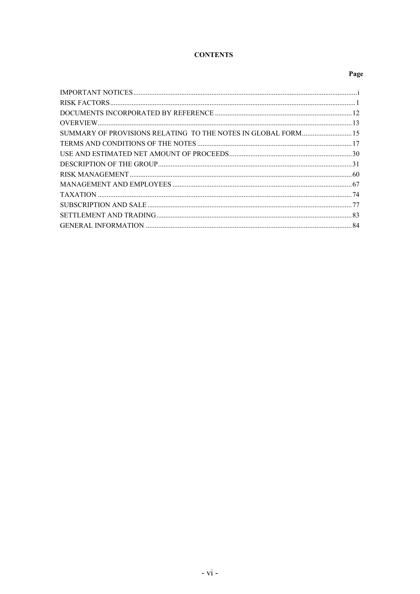# **CONTENTS**

# Page

| SUMMARY OF PROVISIONS RELATING TO THE NOTES IN GLOBAL FORM 15 |  |
|---------------------------------------------------------------|--|
|                                                               |  |
|                                                               |  |
|                                                               |  |
|                                                               |  |
|                                                               |  |
|                                                               |  |
|                                                               |  |
|                                                               |  |
|                                                               |  |
|                                                               |  |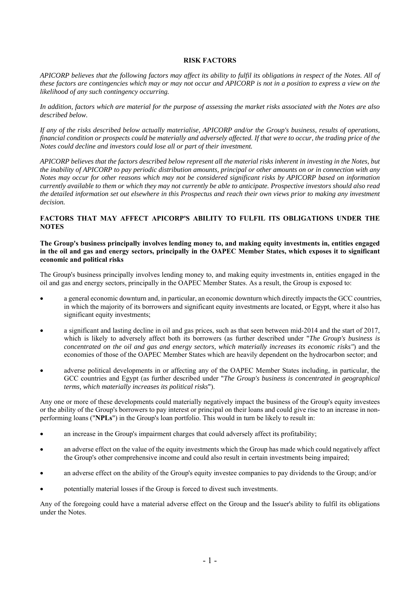#### **RISK FACTORS**

*APICORP believes that the following factors may affect its ability to fulfil its obligations in respect of the Notes. All of these factors are contingencies which may or may not occur and APICORP is not in a position to express a view on the likelihood of any such contingency occurring.* 

*In addition, factors which are material for the purpose of assessing the market risks associated with the Notes are also described below.* 

*If any of the risks described below actually materialise, APICORP and/or the Group's business, results of operations, financial condition or prospects could be materially and adversely affected. If that were to occur, the trading price of the Notes could decline and investors could lose all or part of their investment.* 

*APICORP believes that the factors described below represent all the material risks inherent in investing in the Notes, but the inability of APICORP to pay periodic distribution amounts, principal or other amounts on or in connection with any Notes may occur for other reasons which may not be considered significant risks by APICORP based on information currently available to them or which they may not currently be able to anticipate. Prospective investors should also read the detailed information set out elsewhere in this Prospectus and reach their own views prior to making any investment decision.* 

#### **FACTORS THAT MAY AFFECT APICORP'S ABILITY TO FULFIL ITS OBLIGATIONS UNDER THE NOTES**

#### **The Group's business principally involves lending money to, and making equity investments in, entities engaged in the oil and gas and energy sectors, principally in the OAPEC Member States, which exposes it to significant economic and political risks**

The Group's business principally involves lending money to, and making equity investments in, entities engaged in the oil and gas and energy sectors, principally in the OAPEC Member States. As a result, the Group is exposed to:

- a general economic downturn and, in particular, an economic downturn which directly impacts the GCC countries, in which the majority of its borrowers and significant equity investments are located, or Egypt, where it also has significant equity investments;
- a significant and lasting decline in oil and gas prices, such as that seen between mid-2014 and the start of 2017, which is likely to adversely affect both its borrowers (as further described under "*The Group's business is concentrated on the oil and gas and energy sectors, which materially increases its economic risks"*) and the economies of those of the OAPEC Member States which are heavily dependent on the hydrocarbon sector; and
- adverse political developments in or affecting any of the OAPEC Member States including, in particular, the GCC countries and Egypt (as further described under "*The Group's business is concentrated in geographical terms, which materially increases its political risks*").

Any one or more of these developments could materially negatively impact the business of the Group's equity investees or the ability of the Group's borrowers to pay interest or principal on their loans and could give rise to an increase in nonperforming loans ("**NPLs**") in the Group's loan portfolio. This would in turn be likely to result in:

- an increase in the Group's impairment charges that could adversely affect its profitability;
- an adverse effect on the value of the equity investments which the Group has made which could negatively affect the Group's other comprehensive income and could also result in certain investments being impaired;
- an adverse effect on the ability of the Group's equity investee companies to pay dividends to the Group; and/or
- potentially material losses if the Group is forced to divest such investments.

Any of the foregoing could have a material adverse effect on the Group and the Issuer's ability to fulfil its obligations under the Notes.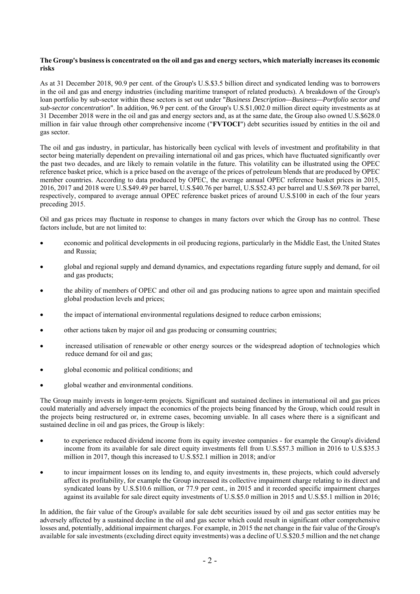### **The Group's business is concentrated on the oil and gas and energy sectors, which materially increases its economic risks**

As at 31 December 2018, 90.9 per cent. of the Group's U.S.\$3.5 billion direct and syndicated lending was to borrowers in the oil and gas and energy industries (including maritime transport of related products). A breakdown of the Group's loan portfolio by sub-sector within these sectors is set out under "*Business Description—Business—Portfolio sector and sub-sector concentration*". In addition, 96.9 per cent. of the Group's U.S.\$1,002.0 million direct equity investments as at 31 December 2018 were in the oil and gas and energy sectors and, as at the same date, the Group also owned U.S.\$628.0 million in fair value through other comprehensive income ("**FVTOCI**") debt securities issued by entities in the oil and gas sector.

The oil and gas industry, in particular, has historically been cyclical with levels of investment and profitability in that sector being materially dependent on prevailing international oil and gas prices, which have fluctuated significantly over the past two decades, and are likely to remain volatile in the future. This volatility can be illustrated using the OPEC reference basket price, which is a price based on the average of the prices of petroleum blends that are produced by OPEC member countries. According to data produced by OPEC, the average annual OPEC reference basket prices in 2015, 2016, 2017 and 2018 were U.S.\$49.49 per barrel, U.S.\$40.76 per barrel, U.S.\$52.43 per barrel and U.S.\$69.78 per barrel, respectively, compared to average annual OPEC reference basket prices of around U.S.\$100 in each of the four years preceding 2015.

Oil and gas prices may fluctuate in response to changes in many factors over which the Group has no control. These factors include, but are not limited to:

- economic and political developments in oil producing regions, particularly in the Middle East, the United States and Russia;
- global and regional supply and demand dynamics, and expectations regarding future supply and demand, for oil and gas products;
- the ability of members of OPEC and other oil and gas producing nations to agree upon and maintain specified global production levels and prices;
- the impact of international environmental regulations designed to reduce carbon emissions;
- other actions taken by major oil and gas producing or consuming countries;
- increased utilisation of renewable or other energy sources or the widespread adoption of technologies which reduce demand for oil and gas;
- global economic and political conditions; and
- global weather and environmental conditions.

The Group mainly invests in longer-term projects. Significant and sustained declines in international oil and gas prices could materially and adversely impact the economics of the projects being financed by the Group, which could result in the projects being restructured or, in extreme cases, becoming unviable. In all cases where there is a significant and sustained decline in oil and gas prices, the Group is likely:

- to experience reduced dividend income from its equity investee companies for example the Group's dividend income from its available for sale direct equity investments fell from U.S.\$57.3 million in 2016 to U.S.\$35.3 million in 2017, though this increased to U.S.\$52.1 million in 2018; and/or
- to incur impairment losses on its lending to, and equity investments in, these projects, which could adversely affect its profitability, for example the Group increased its collective impairment charge relating to its direct and syndicated loans by U.S.\$10.6 million, or 77.9 per cent., in 2015 and it recorded specific impairment charges against its available for sale direct equity investments of U.S.\$5.0 million in 2015 and U.S.\$5.1 million in 2016;

In addition, the fair value of the Group's available for sale debt securities issued by oil and gas sector entities may be adversely affected by a sustained decline in the oil and gas sector which could result in significant other comprehensive losses and, potentially, additional impairment charges. For example, in 2015 the net change in the fair value of the Group's available for sale investments (excluding direct equity investments) was a decline of U.S.\$20.5 million and the net change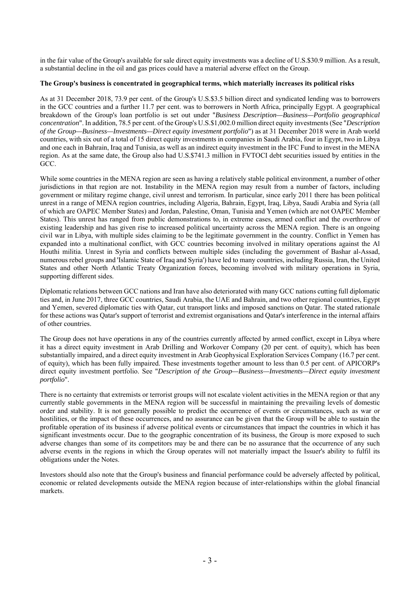in the fair value of the Group's available for sale direct equity investments was a decline of U.S.\$30.9 million. As a result, a substantial decline in the oil and gas prices could have a material adverse effect on the Group.

#### **The Group's business is concentrated in geographical terms, which materially increases its political risks**

As at 31 December 2018, 73.9 per cent. of the Group's U.S.\$3.5 billion direct and syndicated lending was to borrowers in the GCC countries and a further 11.7 per cent. was to borrowers in North Africa, principally Egypt. A geographical breakdown of the Group's loan portfolio is set out under "*Business Description—Business—Portfolio geographical concentration*". In addition, 78.5 per cent. of the Group's U.S.\$1,002.0 million direct equity investments (See "*Description of the Group—Business—Investments—Direct equity investment portfolio*") as at 31 December 2018 were in Arab world countries, with six out of a total of 15 direct equity investments in companies in Saudi Arabia, four in Egypt, two in Libya and one each in Bahrain, Iraq and Tunisia, as well as an indirect equity investment in the IFC Fund to invest in the MENA region. As at the same date, the Group also had U.S.\$741.3 million in FVTOCI debt securities issued by entities in the GCC.

While some countries in the MENA region are seen as having a relatively stable political environment, a number of other jurisdictions in that region are not. Instability in the MENA region may result from a number of factors, including government or military regime change, civil unrest and terrorism. In particular, since early 2011 there has been political unrest in a range of MENA region countries, including Algeria, Bahrain, Egypt, Iraq, Libya, Saudi Arabia and Syria (all of which are OAPEC Member States) and Jordan, Palestine, Oman, Tunisia and Yemen (which are not OAPEC Member States). This unrest has ranged from public demonstrations to, in extreme cases, armed conflict and the overthrow of existing leadership and has given rise to increased political uncertainty across the MENA region. There is an ongoing civil war in Libya, with multiple sides claiming to be the legitimate government in the country. Conflict in Yemen has expanded into a multinational conflict, with GCC countries becoming involved in military operations against the Al Houthi militia. Unrest in Syria and conflicts between multiple sides (including the government of Bashar al-Assad, numerous rebel groups and 'Islamic State of Iraq and Syria') have led to many countries, including Russia, Iran, the United States and other North Atlantic Treaty Organization forces, becoming involved with military operations in Syria, supporting different sides.

Diplomatic relations between GCC nations and Iran have also deteriorated with many GCC nations cutting full diplomatic ties and, in June 2017, three GCC countries, Saudi Arabia, the UAE and Bahrain, and two other regional countries, Egypt and Yemen, severed diplomatic ties with Qatar, cut transport links and imposed sanctions on Qatar. The stated rationale for these actions was Qatar's support of terrorist and extremist organisations and Qatar's interference in the internal affairs of other countries.

The Group does not have operations in any of the countries currently affected by armed conflict, except in Libya where it has a direct equity investment in Arab Drilling and Workover Company (20 per cent. of equity), which has been substantially impaired, and a direct equity investment in Arab Geophysical Exploration Services Company (16.7 per cent. of equity), which has been fully impaired. These investments together amount to less than 0.5 per cent. of APICORP's direct equity investment portfolio. See "*Description of the Group—Business—Investments—Direct equity investment portfolio*".

There is no certainty that extremists or terrorist groups will not escalate violent activities in the MENA region or that any currently stable governments in the MENA region will be successful in maintaining the prevailing levels of domestic order and stability. It is not generally possible to predict the occurrence of events or circumstances, such as war or hostilities, or the impact of these occurrences, and no assurance can be given that the Group will be able to sustain the profitable operation of its business if adverse political events or circumstances that impact the countries in which it has significant investments occur. Due to the geographic concentration of its business, the Group is more exposed to such adverse changes than some of its competitors may be and there can be no assurance that the occurrence of any such adverse events in the regions in which the Group operates will not materially impact the Issuer's ability to fulfil its obligations under the Notes.

Investors should also note that the Group's business and financial performance could be adversely affected by political, economic or related developments outside the MENA region because of inter-relationships within the global financial markets.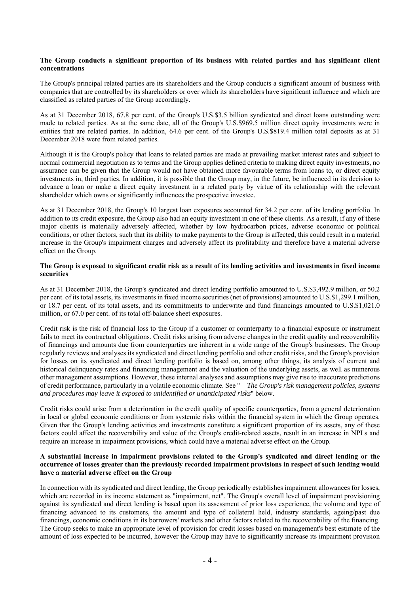#### **The Group conducts a significant proportion of its business with related parties and has significant client concentrations**

The Group's principal related parties are its shareholders and the Group conducts a significant amount of business with companies that are controlled by its shareholders or over which its shareholders have significant influence and which are classified as related parties of the Group accordingly.

As at 31 December 2018, 67.8 per cent. of the Group's U.S.\$3.5 billion syndicated and direct loans outstanding were made to related parties. As at the same date, all of the Group's U.S.\$969.5 million direct equity investments were in entities that are related parties. In addition, 64.6 per cent. of the Group's U.S.\$819.4 million total deposits as at 31 December 2018 were from related parties.

Although it is the Group's policy that loans to related parties are made at prevailing market interest rates and subject to normal commercial negotiation as to terms and the Group applies defined criteria to making direct equity investments, no assurance can be given that the Group would not have obtained more favourable terms from loans to, or direct equity investments in, third parties. In addition, it is possible that the Group may, in the future, be influenced in its decision to advance a loan or make a direct equity investment in a related party by virtue of its relationship with the relevant shareholder which owns or significantly influences the prospective investee.

As at 31 December 2018, the Group's 10 largest loan exposures accounted for 34.2 per cent. of its lending portfolio. In addition to its credit exposure, the Group also had an equity investment in one of these clients. As a result, if any of these major clients is materially adversely affected, whether by low hydrocarbon prices, adverse economic or political conditions, or other factors, such that its ability to make payments to the Group is affected, this could result in a material increase in the Group's impairment charges and adversely affect its profitability and therefore have a material adverse effect on the Group.

#### **The Group is exposed to significant credit risk as a result of its lending activities and investments in fixed income securities**

As at 31 December 2018, the Group's syndicated and direct lending portfolio amounted to U.S.\$3,492.9 million, or 50.2 per cent. of its total assets, its investments in fixed income securities (net of provisions) amounted to U.S.\$1,299.1 million, or 18.7 per cent. of its total assets, and its commitments to underwrite and fund financings amounted to U.S.\$1,021.0 million, or 67.0 per cent. of its total off-balance sheet exposures.

Credit risk is the risk of financial loss to the Group if a customer or counterparty to a financial exposure or instrument fails to meet its contractual obligations. Credit risks arising from adverse changes in the credit quality and recoverability of financings and amounts due from counterparties are inherent in a wide range of the Group's businesses. The Group regularly reviews and analyses its syndicated and direct lending portfolio and other credit risks, and the Group's provision for losses on its syndicated and direct lending portfolio is based on, among other things, its analysis of current and historical delinquency rates and financing management and the valuation of the underlying assets, as well as numerous other management assumptions. However, these internal analyses and assumptions may give rise to inaccurate predictions of credit performance, particularly in a volatile economic climate. See "—*The Group's risk management policies, systems and procedures may leave it exposed to unidentified or unanticipated risks*" below.

Credit risks could arise from a deterioration in the credit quality of specific counterparties, from a general deterioration in local or global economic conditions or from systemic risks within the financial system in which the Group operates. Given that the Group's lending activities and investments constitute a significant proportion of its assets, any of these factors could affect the recoverability and value of the Group's credit-related assets, result in an increase in NPLs and require an increase in impairment provisions, which could have a material adverse effect on the Group.

#### **A substantial increase in impairment provisions related to the Group's syndicated and direct lending or the occurrence of losses greater than the previously recorded impairment provisions in respect of such lending would have a material adverse effect on the Group**

In connection with its syndicated and direct lending, the Group periodically establishes impairment allowances for losses, which are recorded in its income statement as "impairment, net". The Group's overall level of impairment provisioning against its syndicated and direct lending is based upon its assessment of prior loss experience, the volume and type of financing advanced to its customers, the amount and type of collateral held, industry standards, ageing/past due financings, economic conditions in its borrowers' markets and other factors related to the recoverability of the financing. The Group seeks to make an appropriate level of provision for credit losses based on management's best estimate of the amount of loss expected to be incurred, however the Group may have to significantly increase its impairment provision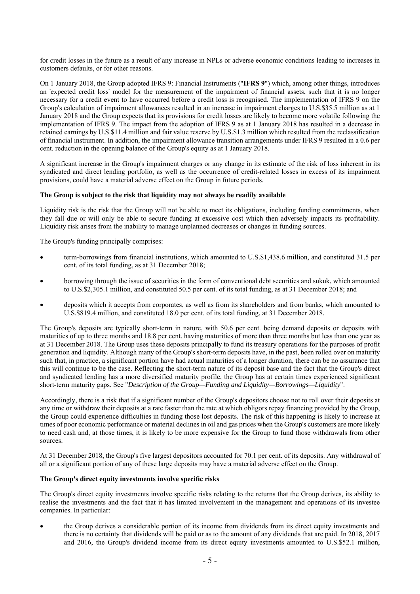for credit losses in the future as a result of any increase in NPLs or adverse economic conditions leading to increases in customers defaults, or for other reasons.

On 1 January 2018, the Group adopted IFRS 9: Financial Instruments ("**IFRS 9**") which, among other things, introduces an 'expected credit loss' model for the measurement of the impairment of financial assets, such that it is no longer necessary for a credit event to have occurred before a credit loss is recognised. The implementation of IFRS 9 on the Group's calculation of impairment allowances resulted in an increase in impairment charges to U.S.\$35.5 million as at 1 January 2018 and the Group expects that its provisions for credit losses are likely to become more volatile following the implementation of IFRS 9. The impact from the adoption of IFRS 9 as at 1 January 2018 has resulted in a decrease in retained earnings by U.S.\$11.4 million and fair value reserve by U.S.\$1.3 million which resulted from the reclassification of financial instrument. In addition, the impairment allowance transition arrangements under IFRS 9 resulted in a 0.6 per cent. reduction in the opening balance of the Group's equity as at 1 January 2018.

A significant increase in the Group's impairment charges or any change in its estimate of the risk of loss inherent in its syndicated and direct lending portfolio, as well as the occurrence of credit-related losses in excess of its impairment provisions, could have a material adverse effect on the Group in future periods.

#### **The Group is subject to the risk that liquidity may not always be readily available**

Liquidity risk is the risk that the Group will not be able to meet its obligations, including funding commitments, when they fall due or will only be able to secure funding at excessive cost which then adversely impacts its profitability. Liquidity risk arises from the inability to manage unplanned decreases or changes in funding sources.

The Group's funding principally comprises:

- term-borrowings from financial institutions, which amounted to U.S.\$1,438.6 million, and constituted 31.5 per cent. of its total funding, as at 31 December 2018;
- borrowing through the issue of securities in the form of conventional debt securities and sukuk, which amounted to U.S.\$2,305.1 million, and constituted 50.5 per cent. of its total funding, as at 31 December 2018; and
- deposits which it accepts from corporates, as well as from its shareholders and from banks, which amounted to U.S.\$819.4 million, and constituted 18.0 per cent. of its total funding, at 31 December 2018.

The Group's deposits are typically short-term in nature, with 50.6 per cent. being demand deposits or deposits with maturities of up to three months and 18.8 per cent. having maturities of more than three months but less than one year as at 31 December 2018. The Group uses these deposits principally to fund its treasury operations for the purposes of profit generation and liquidity. Although many of the Group's short-term deposits have, in the past, been rolled over on maturity such that, in practice, a significant portion have had actual maturities of a longer duration, there can be no assurance that this will continue to be the case. Reflecting the short-term nature of its deposit base and the fact that the Group's direct and syndicated lending has a more diversified maturity profile, the Group has at certain times experienced significant short-term maturity gaps. See "*Description of the Group—Funding and Liquidity—Borrowings—Liquidity*".

Accordingly, there is a risk that if a significant number of the Group's depositors choose not to roll over their deposits at any time or withdraw their deposits at a rate faster than the rate at which obligors repay financing provided by the Group, the Group could experience difficulties in funding those lost deposits. The risk of this happening is likely to increase at times of poor economic performance or material declines in oil and gas prices when the Group's customers are more likely to need cash and, at those times, it is likely to be more expensive for the Group to fund those withdrawals from other sources.

At 31 December 2018, the Group's five largest depositors accounted for 70.1 per cent. of its deposits. Any withdrawal of all or a significant portion of any of these large deposits may have a material adverse effect on the Group.

#### **The Group's direct equity investments involve specific risks**

The Group's direct equity investments involve specific risks relating to the returns that the Group derives, its ability to realise the investments and the fact that it has limited involvement in the management and operations of its investee companies. In particular:

 the Group derives a considerable portion of its income from dividends from its direct equity investments and there is no certainty that dividends will be paid or as to the amount of any dividends that are paid. In 2018, 2017 and 2016, the Group's dividend income from its direct equity investments amounted to U.S.\$52.1 million,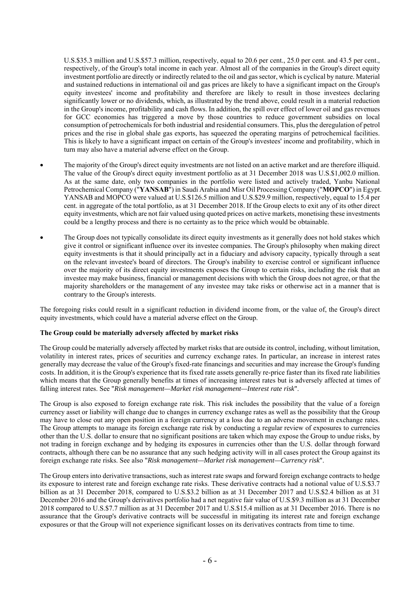U.S.\$35.3 million and U.S.\$57.3 million, respectively, equal to 20.6 per cent., 25.0 per cent. and 43.5 per cent., respectively, of the Group's total income in each year. Almost all of the companies in the Group's direct equity investment portfolio are directly or indirectly related to the oil and gas sector, which is cyclical by nature. Material and sustained reductions in international oil and gas prices are likely to have a significant impact on the Group's equity investees' income and profitability and therefore are likely to result in those investees declaring significantly lower or no dividends, which, as illustrated by the trend above, could result in a material reduction in the Group's income, profitability and cash flows. In addition, the spill over effect of lower oil and gas revenues for GCC economies has triggered a move by those countries to reduce government subsidies on local consumption of petrochemicals for both industrial and residential consumers. This, plus the deregulation of petrol prices and the rise in global shale gas exports, has squeezed the operating margins of petrochemical facilities. This is likely to have a significant impact on certain of the Group's investees' income and profitability, which in turn may also have a material adverse effect on the Group.

- The majority of the Group's direct equity investments are not listed on an active market and are therefore illiquid. The value of the Group's direct equity investment portfolio as at 31 December 2018 was U.S.\$1,002.0 million. As at the same date, only two companies in the portfolio were listed and actively traded, Yanbu National Petrochemical Company ("**YANSAB**") in Saudi Arabia and Misr Oil Processing Company ("**MOPCO**") in Egypt. YANSAB and MOPCO were valued at U.S.\$126.5 million and U.S.\$29.9 million, respectively, equal to 15.4 per cent. in aggregate of the total portfolio, as at 31 December 2018. If the Group elects to exit any of its other direct equity investments, which are not fair valued using quoted prices on active markets, monetising these investments could be a lengthy process and there is no certainty as to the price which would be obtainable.
- The Group does not typically consolidate its direct equity investments as it generally does not hold stakes which give it control or significant influence over its investee companies. The Group's philosophy when making direct equity investments is that it should principally act in a fiduciary and advisory capacity, typically through a seat on the relevant investee's board of directors. The Group's inability to exercise control or significant influence over the majority of its direct equity investments exposes the Group to certain risks, including the risk that an investee may make business, financial or management decisions with which the Group does not agree, or that the majority shareholders or the management of any investee may take risks or otherwise act in a manner that is contrary to the Group's interests.

The foregoing risks could result in a significant reduction in dividend income from, or the value of, the Group's direct equity investments, which could have a material adverse effect on the Group.

#### **The Group could be materially adversely affected by market risks**

The Group could be materially adversely affected by market risks that are outside its control, including, without limitation, volatility in interest rates, prices of securities and currency exchange rates. In particular, an increase in interest rates generally may decrease the value of the Group's fixed-rate financings and securities and may increase the Group's funding costs. In addition, it is the Group's experience that its fixed rate assets generally re-price faster than its fixed rate liabilities which means that the Group generally benefits at times of increasing interest rates but is adversely affected at times of falling interest rates. See "*Risk management—Market risk management—Interest rate risk*".

The Group is also exposed to foreign exchange rate risk. This risk includes the possibility that the value of a foreign currency asset or liability will change due to changes in currency exchange rates as well as the possibility that the Group may have to close out any open position in a foreign currency at a loss due to an adverse movement in exchange rates. The Group attempts to manage its foreign exchange rate risk by conducting a regular review of exposures to currencies other than the U.S. dollar to ensure that no significant positions are taken which may expose the Group to undue risks, by not trading in foreign exchange and by hedging its exposures in currencies other than the U.S. dollar through forward contracts, although there can be no assurance that any such hedging activity will in all cases protect the Group against its foreign exchange rate risks. See also "*Risk management—Market risk management—Currency risk*".

The Group enters into derivative transactions, such as interest rate swaps and forward foreign exchange contracts to hedge its exposure to interest rate and foreign exchange rate risks. These derivative contracts had a notional value of U.S.\$3.7 billion as at 31 December 2018, compared to U.S.\$3.2 billion as at 31 December 2017 and U.S.\$2.4 billion as at 31 December 2016 and the Group's derivatives portfolio had a net negative fair value of U.S.\$9.3 million as at 31 December 2018 compared to U.S.\$7.7 million as at 31 December 2017 and U.S.\$15.4 million as at 31 December 2016. There is no assurance that the Group's derivative contracts will be successful in mitigating its interest rate and foreign exchange exposures or that the Group will not experience significant losses on its derivatives contracts from time to time.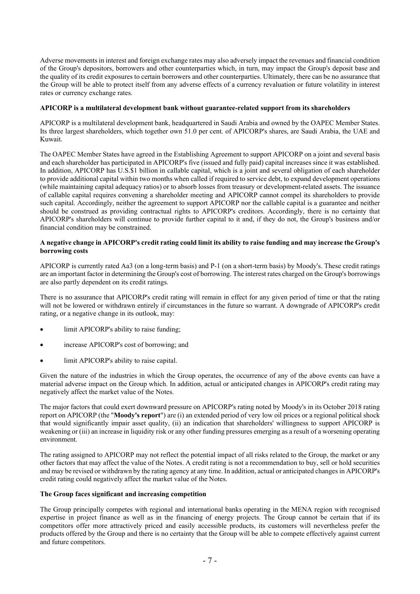Adverse movements in interest and foreign exchange rates may also adversely impact the revenues and financial condition of the Group's depositors, borrowers and other counterparties which, in turn, may impact the Group's deposit base and the quality of its credit exposures to certain borrowers and other counterparties. Ultimately, there can be no assurance that the Group will be able to protect itself from any adverse effects of a currency revaluation or future volatility in interest rates or currency exchange rates.

#### **APICORP is a multilateral development bank without guarantee-related support from its shareholders**

APICORP is a multilateral development bank, headquartered in Saudi Arabia and owned by the OAPEC Member States. Its three largest shareholders, which together own 51.0 per cent. of APICORP's shares, are Saudi Arabia, the UAE and Kuwait.

The OAPEC Member States have agreed in the Establishing Agreement to support APICORP on a joint and several basis and each shareholder has participated in APICORP's five (issued and fully paid) capital increases since it was established. In addition, APICORP has U.S.\$1 billion in callable capital, which is a joint and several obligation of each shareholder to provide additional capital within two months when called if required to service debt, to expand development operations (while maintaining capital adequacy ratios) or to absorb losses from treasury or development-related assets. The issuance of callable capital requires convening a shareholder meeting and APICORP cannot compel its shareholders to provide such capital. Accordingly, neither the agreement to support APICORP nor the callable capital is a guarantee and neither should be construed as providing contractual rights to APICORP's creditors. Accordingly, there is no certainty that APICORP's shareholders will continue to provide further capital to it and, if they do not, the Group's business and/or financial condition may be constrained.

#### **A negative change in APICORP's credit rating could limit its ability to raise funding and may increase the Group's borrowing costs**

APICORP is currently rated Aa3 (on a long-term basis) and P-1 (on a short-term basis) by Moody's. These credit ratings are an important factor in determining the Group's cost of borrowing. The interest rates charged on the Group's borrowings are also partly dependent on its credit ratings.

There is no assurance that APICORP's credit rating will remain in effect for any given period of time or that the rating will not be lowered or withdrawn entirely if circumstances in the future so warrant. A downgrade of APICORP's credit rating, or a negative change in its outlook, may:

- limit APICORP's ability to raise funding;
- increase APICORP's cost of borrowing; and
- limit APICORP's ability to raise capital.

Given the nature of the industries in which the Group operates, the occurrence of any of the above events can have a material adverse impact on the Group which. In addition, actual or anticipated changes in APICORP's credit rating may negatively affect the market value of the Notes.

The major factors that could exert downward pressure on APICORP's rating noted by Moody's in its October 2018 rating report on APICORP (the "**Moody's report**") are (i) an extended period of very low oil prices or a regional political shock that would significantly impair asset quality, (ii) an indication that shareholders' willingness to support APICORP is weakening or (iii) an increase in liquidity risk or any other funding pressures emerging as a result of a worsening operating environment.

The rating assigned to APICORP may not reflect the potential impact of all risks related to the Group, the market or any other factors that may affect the value of the Notes. A credit rating is not a recommendation to buy, sell or hold securities and may be revised or withdrawn by the rating agency at any time. In addition, actual or anticipated changes in APICORP's credit rating could negatively affect the market value of the Notes.

#### **The Group faces significant and increasing competition**

The Group principally competes with regional and international banks operating in the MENA region with recognised expertise in project finance as well as in the financing of energy projects. The Group cannot be certain that if its competitors offer more attractively priced and easily accessible products, its customers will nevertheless prefer the products offered by the Group and there is no certainty that the Group will be able to compete effectively against current and future competitors.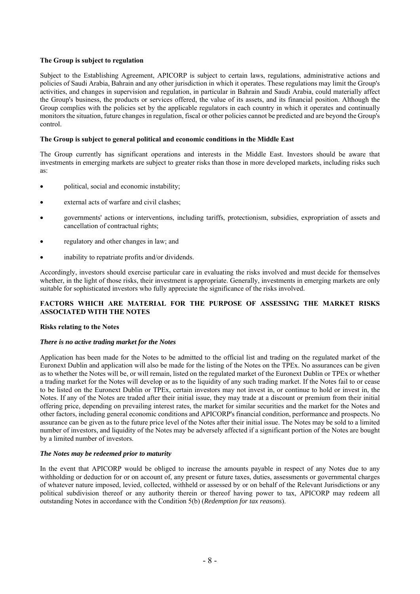### **The Group is subject to regulation**

Subject to the Establishing Agreement, APICORP is subject to certain laws, regulations, administrative actions and policies of Saudi Arabia, Bahrain and any other jurisdiction in which it operates. These regulations may limit the Group's activities, and changes in supervision and regulation, in particular in Bahrain and Saudi Arabia, could materially affect the Group's business, the products or services offered, the value of its assets, and its financial position. Although the Group complies with the policies set by the applicable regulators in each country in which it operates and continually monitors the situation, future changes in regulation, fiscal or other policies cannot be predicted and are beyond the Group's control.

## **The Group is subject to general political and economic conditions in the Middle East**

The Group currently has significant operations and interests in the Middle East. Investors should be aware that investments in emerging markets are subject to greater risks than those in more developed markets, including risks such as:

- political, social and economic instability;
- external acts of warfare and civil clashes;
- governments' actions or interventions, including tariffs, protectionism, subsidies, expropriation of assets and cancellation of contractual rights;
- regulatory and other changes in law; and
- inability to repatriate profits and/or dividends.

Accordingly, investors should exercise particular care in evaluating the risks involved and must decide for themselves whether, in the light of those risks, their investment is appropriate. Generally, investments in emerging markets are only suitable for sophisticated investors who fully appreciate the significance of the risks involved.

## **FACTORS WHICH ARE MATERIAL FOR THE PURPOSE OF ASSESSING THE MARKET RISKS ASSOCIATED WITH THE NOTES**

#### **Risks relating to the Notes**

#### *There is no active trading market for the Notes*

Application has been made for the Notes to be admitted to the official list and trading on the regulated market of the Euronext Dublin and application will also be made for the listing of the Notes on the TPEx. No assurances can be given as to whether the Notes will be, or will remain, listed on the regulated market of the Euronext Dublin or TPEx or whether a trading market for the Notes will develop or as to the liquidity of any such trading market. If the Notes fail to or cease to be listed on the Euronext Dublin or TPEx, certain investors may not invest in, or continue to hold or invest in, the Notes. If any of the Notes are traded after their initial issue, they may trade at a discount or premium from their initial offering price, depending on prevailing interest rates, the market for similar securities and the market for the Notes and other factors, including general economic conditions and APICORP's financial condition, performance and prospects. No assurance can be given as to the future price level of the Notes after their initial issue. The Notes may be sold to a limited number of investors, and liquidity of the Notes may be adversely affected if a significant portion of the Notes are bought by a limited number of investors.

#### *The Notes may be redeemed prior to maturity*

In the event that APICORP would be obliged to increase the amounts payable in respect of any Notes due to any withholding or deduction for or on account of, any present or future taxes, duties, assessments or governmental charges of whatever nature imposed, levied, collected, withheld or assessed by or on behalf of the Relevant Jurisdictions or any political subdivision thereof or any authority therein or thereof having power to tax, APICORP may redeem all outstanding Notes in accordance with the Condition 5(b) (*Redemption for tax reasons*).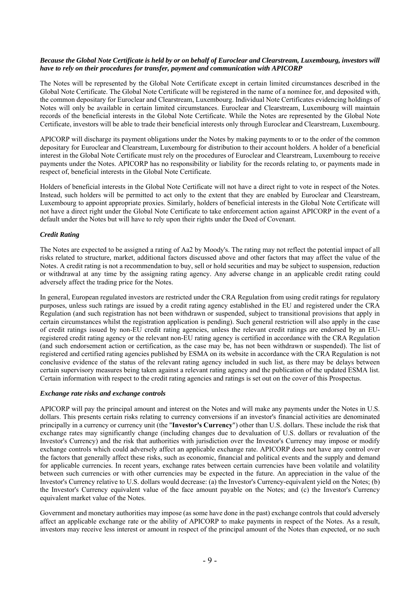## *Because the Global Note Certificate is held by or on behalf of Euroclear and Clearstream, Luxembourg, investors will have to rely on their procedures for transfer, payment and communication with APICORP*

The Notes will be represented by the Global Note Certificate except in certain limited circumstances described in the Global Note Certificate. The Global Note Certificate will be registered in the name of a nominee for, and deposited with, the common depositary for Euroclear and Clearstream, Luxembourg. Individual Note Certificates evidencing holdings of Notes will only be available in certain limited circumstances. Euroclear and Clearstream, Luxembourg will maintain records of the beneficial interests in the Global Note Certificate. While the Notes are represented by the Global Note Certificate, investors will be able to trade their beneficial interests only through Euroclear and Clearstream, Luxembourg.

APICORP will discharge its payment obligations under the Notes by making payments to or to the order of the common depositary for Euroclear and Clearstream, Luxembourg for distribution to their account holders. A holder of a beneficial interest in the Global Note Certificate must rely on the procedures of Euroclear and Clearstream, Luxembourg to receive payments under the Notes. APICORP has no responsibility or liability for the records relating to, or payments made in respect of, beneficial interests in the Global Note Certificate.

Holders of beneficial interests in the Global Note Certificate will not have a direct right to vote in respect of the Notes. Instead, such holders will be permitted to act only to the extent that they are enabled by Euroclear and Clearstream, Luxembourg to appoint appropriate proxies. Similarly, holders of beneficial interests in the Global Note Certificate will not have a direct right under the Global Note Certificate to take enforcement action against APICORP in the event of a default under the Notes but will have to rely upon their rights under the Deed of Covenant.

## *Credit Rating*

The Notes are expected to be assigned a rating of Aa2 by Moody's. The rating may not reflect the potential impact of all risks related to structure, market, additional factors discussed above and other factors that may affect the value of the Notes. A credit rating is not a recommendation to buy, sell or hold securities and may be subject to suspension, reduction or withdrawal at any time by the assigning rating agency. Any adverse change in an applicable credit rating could adversely affect the trading price for the Notes.

In general, European regulated investors are restricted under the CRA Regulation from using credit ratings for regulatory purposes, unless such ratings are issued by a credit rating agency established in the EU and registered under the CRA Regulation (and such registration has not been withdrawn or suspended, subject to transitional provisions that apply in certain circumstances whilst the registration application is pending). Such general restriction will also apply in the case of credit ratings issued by non-EU credit rating agencies, unless the relevant credit ratings are endorsed by an EUregistered credit rating agency or the relevant non-EU rating agency is certified in accordance with the CRA Regulation (and such endorsement action or certification, as the case may be, has not been withdrawn or suspended). The list of registered and certified rating agencies published by ESMA on its website in accordance with the CRA Regulation is not conclusive evidence of the status of the relevant rating agency included in such list, as there may be delays between certain supervisory measures being taken against a relevant rating agency and the publication of the updated ESMA list. Certain information with respect to the credit rating agencies and ratings is set out on the cover of this Prospectus.

#### *Exchange rate risks and exchange controls*

APICORP will pay the principal amount and interest on the Notes and will make any payments under the Notes in U.S. dollars. This presents certain risks relating to currency conversions if an investor's financial activities are denominated principally in a currency or currency unit (the "**Investor's Currency**") other than U.S. dollars. These include the risk that exchange rates may significantly change (including changes due to devaluation of U.S. dollars or revaluation of the Investor's Currency) and the risk that authorities with jurisdiction over the Investor's Currency may impose or modify exchange controls which could adversely affect an applicable exchange rate. APICORP does not have any control over the factors that generally affect these risks, such as economic, financial and political events and the supply and demand for applicable currencies. In recent years, exchange rates between certain currencies have been volatile and volatility between such currencies or with other currencies may be expected in the future. An appreciation in the value of the Investor's Currency relative to U.S. dollars would decrease: (a) the Investor's Currency-equivalent yield on the Notes; (b) the Investor's Currency equivalent value of the face amount payable on the Notes; and (c) the Investor's Currency equivalent market value of the Notes.

Government and monetary authorities may impose (as some have done in the past) exchange controls that could adversely affect an applicable exchange rate or the ability of APICORP to make payments in respect of the Notes. As a result, investors may receive less interest or amount in respect of the principal amount of the Notes than expected, or no such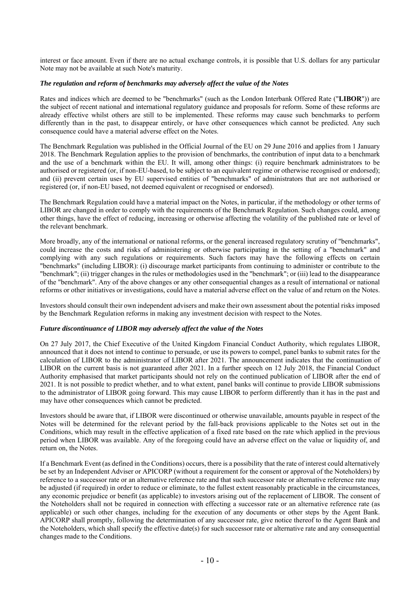interest or face amount. Even if there are no actual exchange controls, it is possible that U.S. dollars for any particular Note may not be available at such Note's maturity.

#### *The regulation and reform of benchmarks may adversely affect the value of the Notes*

Rates and indices which are deemed to be "benchmarks" (such as the London Interbank Offered Rate ("**LIBOR**")) are the subject of recent national and international regulatory guidance and proposals for reform. Some of these reforms are already effective whilst others are still to be implemented. These reforms may cause such benchmarks to perform differently than in the past, to disappear entirely, or have other consequences which cannot be predicted. Any such consequence could have a material adverse effect on the Notes.

The Benchmark Regulation was published in the Official Journal of the EU on 29 June 2016 and applies from 1 January 2018. The Benchmark Regulation applies to the provision of benchmarks, the contribution of input data to a benchmark and the use of a benchmark within the EU. It will, among other things: (i) require benchmark administrators to be authorised or registered (or, if non-EU-based, to be subject to an equivalent regime or otherwise recognised or endorsed); and (ii) prevent certain uses by EU supervised entities of "benchmarks" of administrators that are not authorised or registered (or, if non-EU based, not deemed equivalent or recognised or endorsed).

The Benchmark Regulation could have a material impact on the Notes, in particular, if the methodology or other terms of LIBOR are changed in order to comply with the requirements of the Benchmark Regulation. Such changes could, among other things, have the effect of reducing, increasing or otherwise affecting the volatility of the published rate or level of the relevant benchmark.

More broadly, any of the international or national reforms, or the general increased regulatory scrutiny of "benchmarks", could increase the costs and risks of administering or otherwise participating in the setting of a "benchmark" and complying with any such regulations or requirements. Such factors may have the following effects on certain "benchmarks" (including LIBOR): (i) discourage market participants from continuing to administer or contribute to the "benchmark"; (ii) trigger changes in the rules or methodologies used in the "benchmark"; or (iii) lead to the disappearance of the "benchmark". Any of the above changes or any other consequential changes as a result of international or national reforms or other initiatives or investigations, could have a material adverse effect on the value of and return on the Notes.

Investors should consult their own independent advisers and make their own assessment about the potential risks imposed by the Benchmark Regulation reforms in making any investment decision with respect to the Notes.

#### *Future discontinuance of LIBOR may adversely affect the value of the Notes*

On 27 July 2017, the Chief Executive of the United Kingdom Financial Conduct Authority, which regulates LIBOR, announced that it does not intend to continue to persuade, or use its powers to compel, panel banks to submit rates for the calculation of LIBOR to the administrator of LIBOR after 2021. The announcement indicates that the continuation of LIBOR on the current basis is not guaranteed after 2021. In a further speech on 12 July 2018, the Financial Conduct Authority emphasised that market participants should not rely on the continued publication of LIBOR after the end of 2021. It is not possible to predict whether, and to what extent, panel banks will continue to provide LIBOR submissions to the administrator of LIBOR going forward. This may cause LIBOR to perform differently than it has in the past and may have other consequences which cannot be predicted.

Investors should be aware that, if LIBOR were discontinued or otherwise unavailable, amounts payable in respect of the Notes will be determined for the relevant period by the fall-back provisions applicable to the Notes set out in the Conditions, which may result in the effective application of a fixed rate based on the rate which applied in the previous period when LIBOR was available. Any of the foregoing could have an adverse effect on the value or liquidity of, and return on, the Notes.

If a Benchmark Event (as defined in the Conditions) occurs, there is a possibility that the rate of interest could alternatively be set by an Independent Adviser or APICORP (without a requirement for the consent or approval of the Noteholders) by reference to a successor rate or an alternative reference rate and that such successor rate or alternative reference rate may be adjusted (if required) in order to reduce or eliminate, to the fullest extent reasonably practicable in the circumstances, any economic prejudice or benefit (as applicable) to investors arising out of the replacement of LIBOR. The consent of the Noteholders shall not be required in connection with effecting a successor rate or an alternative reference rate (as applicable) or such other changes, including for the execution of any documents or other steps by the Agent Bank. APICORP shall promptly, following the determination of any successor rate, give notice thereof to the Agent Bank and the Noteholders, which shall specify the effective date(s) for such successor rate or alternative rate and any consequential changes made to the Conditions.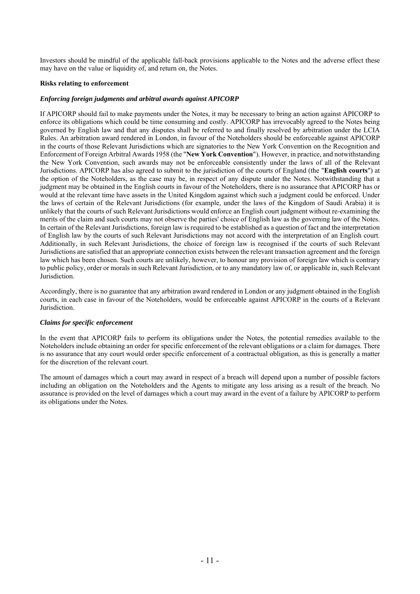Investors should be mindful of the applicable fall-back provisions applicable to the Notes and the adverse effect these may have on the value or liquidity of, and return on, the Notes.

#### **Risks relating to enforcement**

#### *Enforcing foreign judgments and arbitral awards against APICORP*

If APICORP should fail to make payments under the Notes, it may be necessary to bring an action against APICORP to enforce its obligations which could be time consuming and costly. APICORP has irrevocably agreed to the Notes being governed by English law and that any disputes shall be referred to and finally resolved by arbitration under the LCIA Rules. An arbitration award rendered in London, in favour of the Noteholders should be enforceable against APICORP in the courts of those Relevant Jurisdictions which are signatories to the New York Convention on the Recognition and Enforcement of Foreign Arbitral Awards 1958 (the "**New York Convention**"). However, in practice, and notwithstanding the New York Convention, such awards may not be enforceable consistently under the laws of all of the Relevant Jurisdictions. APICORP has also agreed to submit to the jurisdiction of the courts of England (the "**English courts**") at the option of the Noteholders, as the case may be, in respect of any dispute under the Notes. Notwithstanding that a judgment may be obtained in the English courts in favour of the Noteholders, there is no assurance that APICORP has or would at the relevant time have assets in the United Kingdom against which such a judgment could be enforced. Under the laws of certain of the Relevant Jurisdictions (for example, under the laws of the Kingdom of Saudi Arabia) it is unlikely that the courts of such Relevant Jurisdictions would enforce an English court judgment without re-examining the merits of the claim and such courts may not observe the parties' choice of English law as the governing law of the Notes. In certain of the Relevant Jurisdictions, foreign law is required to be established as a question of fact and the interpretation of English law by the courts of such Relevant Jurisdictions may not accord with the interpretation of an English court. Additionally, in such Relevant Jurisdictions, the choice of foreign law is recognised if the courts of such Relevant Jurisdictions are satisfied that an appropriate connection exists between the relevant transaction agreement and the foreign law which has been chosen. Such courts are unlikely, however, to honour any provision of foreign law which is contrary to public policy, order or morals in such Relevant Jurisdiction, or to any mandatory law of, or applicable in, such Relevant Jurisdiction.

Accordingly, there is no guarantee that any arbitration award rendered in London or any judgment obtained in the English courts, in each case in favour of the Noteholders, would be enforceable against APICORP in the courts of a Relevant Jurisdiction.

#### *Claims for specific enforcement*

In the event that APICORP fails to perform its obligations under the Notes, the potential remedies available to the Noteholders include obtaining an order for specific enforcement of the relevant obligations or a claim for damages. There is no assurance that any court would order specific enforcement of a contractual obligation, as this is generally a matter for the discretion of the relevant court.

The amount of damages which a court may award in respect of a breach will depend upon a number of possible factors including an obligation on the Noteholders and the Agents to mitigate any loss arising as a result of the breach. No assurance is provided on the level of damages which a court may award in the event of a failure by APICORP to perform its obligations under the Notes.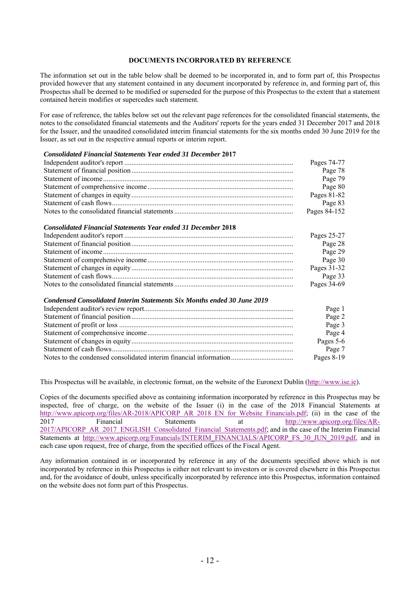## **DOCUMENTS INCORPORATED BY REFERENCE**

The information set out in the table below shall be deemed to be incorporated in, and to form part of, this Prospectus provided however that any statement contained in any document incorporated by reference in, and forming part of, this Prospectus shall be deemed to be modified or superseded for the purpose of this Prospectus to the extent that a statement contained herein modifies or supercedes such statement.

For ease of reference, the tables below set out the relevant page references for the consolidated financial statements, the notes to the consolidated financial statements and the Auditors' reports for the years ended 31 December 2017 and 2018 for the Issuer, and the unaudited consolidated interim financial statements for the six months ended 30 June 2019 for the Issuer, as set out in the respective annual reports or interim report.

#### *Consolidated Financial Statements Year ended 31 December* **2017**

|                                                                         | Pages 74-77  |
|-------------------------------------------------------------------------|--------------|
|                                                                         | Page 78      |
|                                                                         | Page 79      |
|                                                                         | Page 80      |
|                                                                         | Pages 81-82  |
|                                                                         | Page 83      |
|                                                                         | Pages 84-152 |
| <b>Consolidated Financial Statements Year ended 31 December 2018</b>    |              |
|                                                                         | Pages 25-27  |
|                                                                         | Page 28      |
|                                                                         | Page 29      |
|                                                                         | Page 30      |
|                                                                         | Pages 31-32  |
|                                                                         | Page 33      |
|                                                                         | Pages 34-69  |
| Condensed Consolidated Interim Statements Six Months ended 30 June 2019 |              |
|                                                                         | Page 1       |
|                                                                         | Page 2       |
|                                                                         | Page 3       |
|                                                                         | Page 4       |
|                                                                         | Pages 5-6    |
|                                                                         | Page 7       |
| Notes to the condensed consolidated interim financial information       | Pages 8-19   |

This Prospectus will be available, in electronic format, on the website of the Euronext Dublin (http://www.ise.ie).

Copies of the documents specified above as containing information incorporated by reference in this Prospectus may be inspected, free of charge, on the website of the Issuer (i) in the case of the 2018 Financial Statements at http://www.apicorp.org/files/AR-2018/APICORP\_AR\_2018\_EN\_for\_Website\_Financials.pdf; (ii) in the case of the 2017 Financial Statements at http://www.apicorp.org/files/AR-2017/APICORP\_AR\_2017\_ENGLISH\_Consolidated\_Financial\_Statements.pdf; and in the case of the Interim Financial Statements at http://www.apicorp.org/Financials/INTERIM\_FINANCIALS/APICORP\_FS\_30\_JUN\_2019.pdf, and in each case upon request, free of charge, from the specified offices of the Fiscal Agent.

Any information contained in or incorporated by reference in any of the documents specified above which is not incorporated by reference in this Prospectus is either not relevant to investors or is covered elsewhere in this Prospectus and, for the avoidance of doubt, unless specifically incorporated by reference into this Prospectus, information contained on the website does not form part of this Prospectus.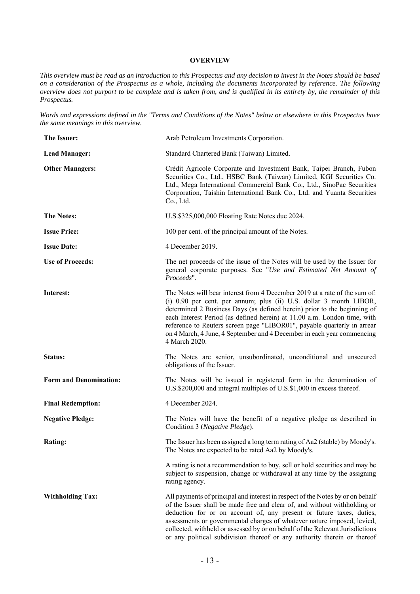#### **OVERVIEW**

*This overview must be read as an introduction to this Prospectus and any decision to invest in the Notes should be based on a consideration of the Prospectus as a whole, including the documents incorporated by reference. The following overview does not purport to be complete and is taken from, and is qualified in its entirety by, the remainder of this Prospectus.* 

*Words and expressions defined in the "Terms and Conditions of the Notes" below or elsewhere in this Prospectus have the same meanings in this overview.* 

| The Issuer:                   | Arab Petroleum Investments Corporation.                                                                                                                                                                                                                                                                                                                                                                                                                                        |
|-------------------------------|--------------------------------------------------------------------------------------------------------------------------------------------------------------------------------------------------------------------------------------------------------------------------------------------------------------------------------------------------------------------------------------------------------------------------------------------------------------------------------|
| <b>Lead Manager:</b>          | Standard Chartered Bank (Taiwan) Limited.                                                                                                                                                                                                                                                                                                                                                                                                                                      |
| <b>Other Managers:</b>        | Crédit Agricole Corporate and Investment Bank, Taipei Branch, Fubon<br>Securities Co., Ltd., HSBC Bank (Taiwan) Limited, KGI Securities Co.<br>Ltd., Mega International Commercial Bank Co., Ltd., SinoPac Securities<br>Corporation, Taishin International Bank Co., Ltd. and Yuanta Securities<br>Co., Ltd.                                                                                                                                                                  |
| <b>The Notes:</b>             | U.S.\$325,000,000 Floating Rate Notes due 2024.                                                                                                                                                                                                                                                                                                                                                                                                                                |
| <b>Issue Price:</b>           | 100 per cent. of the principal amount of the Notes.                                                                                                                                                                                                                                                                                                                                                                                                                            |
| <b>Issue Date:</b>            | 4 December 2019.                                                                                                                                                                                                                                                                                                                                                                                                                                                               |
| <b>Use of Proceeds:</b>       | The net proceeds of the issue of the Notes will be used by the Issuer for<br>general corporate purposes. See "Use and Estimated Net Amount of<br>Proceeds".                                                                                                                                                                                                                                                                                                                    |
| Interest:                     | The Notes will bear interest from 4 December 2019 at a rate of the sum of:<br>(i) 0.90 per cent. per annum; plus (ii) U.S. dollar 3 month LIBOR,<br>determined 2 Business Days (as defined herein) prior to the beginning of<br>each Interest Period (as defined herein) at 11.00 a.m. London time, with<br>reference to Reuters screen page "LIBOR01", payable quarterly in arrear<br>on 4 March, 4 June, 4 September and 4 December in each year commencing<br>4 March 2020. |
| Status:                       | The Notes are senior, unsubordinated, unconditional and unsecured<br>obligations of the Issuer.                                                                                                                                                                                                                                                                                                                                                                                |
| <b>Form and Denomination:</b> | The Notes will be issued in registered form in the denomination of<br>U.S.\$200,000 and integral multiples of U.S.\$1,000 in excess thereof.                                                                                                                                                                                                                                                                                                                                   |
| <b>Final Redemption:</b>      | 4 December 2024.                                                                                                                                                                                                                                                                                                                                                                                                                                                               |
| <b>Negative Pledge:</b>       | The Notes will have the benefit of a negative pledge as described in<br>Condition 3 (Negative Pledge).                                                                                                                                                                                                                                                                                                                                                                         |
| <b>Rating:</b>                | The Issuer has been assigned a long term rating of Aa2 (stable) by Moody's.<br>The Notes are expected to be rated Aa2 by Moody's.                                                                                                                                                                                                                                                                                                                                              |
|                               | A rating is not a recommendation to buy, sell or hold securities and may be<br>subject to suspension, change or withdrawal at any time by the assigning<br>rating agency.                                                                                                                                                                                                                                                                                                      |
| <b>Withholding Tax:</b>       | All payments of principal and interest in respect of the Notes by or on behalf<br>of the Issuer shall be made free and clear of, and without withholding or<br>deduction for or on account of, any present or future taxes, duties,<br>assessments or governmental charges of whatever nature imposed, levied,<br>collected, withheld or assessed by or on behalf of the Relevant Jurisdictions<br>or any political subdivision thereof or any authority therein or thereof    |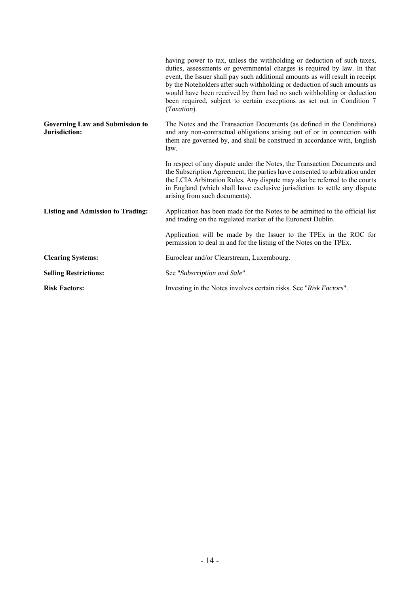|                                                         | having power to tax, unless the withholding or deduction of such taxes,<br>duties, assessments or governmental charges is required by law. In that<br>event, the Issuer shall pay such additional amounts as will result in receipt<br>by the Noteholders after such withholding or deduction of such amounts as<br>would have been received by them had no such withholding or deduction<br>been required, subject to certain exceptions as set out in Condition 7<br>(Taxation). |
|---------------------------------------------------------|------------------------------------------------------------------------------------------------------------------------------------------------------------------------------------------------------------------------------------------------------------------------------------------------------------------------------------------------------------------------------------------------------------------------------------------------------------------------------------|
| <b>Governing Law and Submission to</b><br>Jurisdiction: | The Notes and the Transaction Documents (as defined in the Conditions)<br>and any non-contractual obligations arising out of or in connection with<br>them are governed by, and shall be construed in accordance with, English<br>law.                                                                                                                                                                                                                                             |
|                                                         | In respect of any dispute under the Notes, the Transaction Documents and<br>the Subscription Agreement, the parties have consented to arbitration under<br>the LCIA Arbitration Rules. Any dispute may also be referred to the courts<br>in England (which shall have exclusive jurisdiction to settle any dispute<br>arising from such documents).                                                                                                                                |
| <b>Listing and Admission to Trading:</b>                | Application has been made for the Notes to be admitted to the official list<br>and trading on the regulated market of the Euronext Dublin.                                                                                                                                                                                                                                                                                                                                         |
|                                                         | Application will be made by the Issuer to the TPEx in the ROC for<br>permission to deal in and for the listing of the Notes on the TPEx.                                                                                                                                                                                                                                                                                                                                           |
| <b>Clearing Systems:</b>                                | Euroclear and/or Clearstream, Luxembourg.                                                                                                                                                                                                                                                                                                                                                                                                                                          |
| <b>Selling Restrictions:</b>                            | See "Subscription and Sale".                                                                                                                                                                                                                                                                                                                                                                                                                                                       |
| <b>Risk Factors:</b>                                    | Investing in the Notes involves certain risks. See "Risk Factors".                                                                                                                                                                                                                                                                                                                                                                                                                 |
|                                                         |                                                                                                                                                                                                                                                                                                                                                                                                                                                                                    |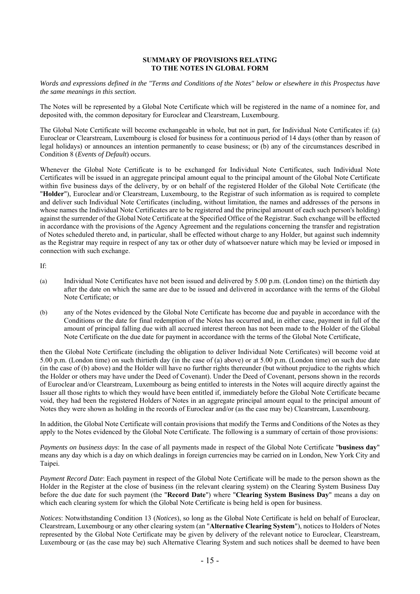#### **SUMMARY OF PROVISIONS RELATING TO THE NOTES IN GLOBAL FORM**

*Words and expressions defined in the "Terms and Conditions of the Notes" below or elsewhere in this Prospectus have the same meanings in this section.* 

The Notes will be represented by a Global Note Certificate which will be registered in the name of a nominee for, and deposited with, the common depositary for Euroclear and Clearstream, Luxembourg.

The Global Note Certificate will become exchangeable in whole, but not in part, for Individual Note Certificates if: (a) Euroclear or Clearstream, Luxembourg is closed for business for a continuous period of 14 days (other than by reason of legal holidays) or announces an intention permanently to cease business; or (b) any of the circumstances described in Condition 8 (*Events of Default*) occurs.

Whenever the Global Note Certificate is to be exchanged for Individual Note Certificates, such Individual Note Certificates will be issued in an aggregate principal amount equal to the principal amount of the Global Note Certificate within five business days of the delivery, by or on behalf of the registered Holder of the Global Note Certificate (the "**Holder**"), Euroclear and/or Clearstream, Luxembourg, to the Registrar of such information as is required to complete and deliver such Individual Note Certificates (including, without limitation, the names and addresses of the persons in whose names the Individual Note Certificates are to be registered and the principal amount of each such person's holding) against the surrender of the Global Note Certificate at the Specified Office of the Registrar. Such exchange will be effected in accordance with the provisions of the Agency Agreement and the regulations concerning the transfer and registration of Notes scheduled thereto and, in particular, shall be effected without charge to any Holder, but against such indemnity as the Registrar may require in respect of any tax or other duty of whatsoever nature which may be levied or imposed in connection with such exchange.

If:

- (a) Individual Note Certificates have not been issued and delivered by 5.00 p.m. (London time) on the thirtieth day after the date on which the same are due to be issued and delivered in accordance with the terms of the Global Note Certificate; or
- (b) any of the Notes evidenced by the Global Note Certificate has become due and payable in accordance with the Conditions or the date for final redemption of the Notes has occurred and, in either case, payment in full of the amount of principal falling due with all accrued interest thereon has not been made to the Holder of the Global Note Certificate on the due date for payment in accordance with the terms of the Global Note Certificate,

then the Global Note Certificate (including the obligation to deliver Individual Note Certificates) will become void at 5.00 p.m. (London time) on such thirtieth day (in the case of (a) above) or at 5.00 p.m. (London time) on such due date (in the case of (b) above) and the Holder will have no further rights thereunder (but without prejudice to the rights which the Holder or others may have under the Deed of Covenant). Under the Deed of Covenant, persons shown in the records of Euroclear and/or Clearstream, Luxembourg as being entitled to interests in the Notes will acquire directly against the Issuer all those rights to which they would have been entitled if, immediately before the Global Note Certificate became void, they had been the registered Holders of Notes in an aggregate principal amount equal to the principal amount of Notes they were shown as holding in the records of Euroclear and/or (as the case may be) Clearstream, Luxembourg.

In addition, the Global Note Certificate will contain provisions that modify the Terms and Conditions of the Notes as they apply to the Notes evidenced by the Global Note Certificate. The following is a summary of certain of those provisions:

*Payments on business days*: In the case of all payments made in respect of the Global Note Certificate "**business day**" means any day which is a day on which dealings in foreign currencies may be carried on in London, New York City and Taipei.

*Payment Record Date*: Each payment in respect of the Global Note Certificate will be made to the person shown as the Holder in the Register at the close of business (in the relevant clearing system) on the Clearing System Business Day before the due date for such payment (the "**Record Date**") where "**Clearing System Business Day**" means a day on which each clearing system for which the Global Note Certificate is being held is open for business.

*Notices*: Notwithstanding Condition 13 (*Notices*), so long as the Global Note Certificate is held on behalf of Euroclear, Clearstream, Luxembourg or any other clearing system (an "**Alternative Clearing System**"), notices to Holders of Notes represented by the Global Note Certificate may be given by delivery of the relevant notice to Euroclear, Clearstream, Luxembourg or (as the case may be) such Alternative Clearing System and such notices shall be deemed to have been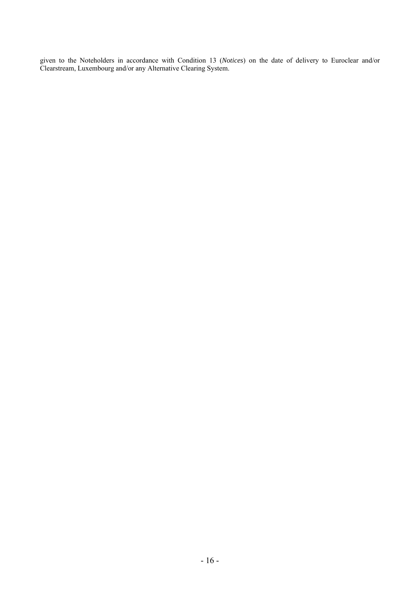given to the Noteholders in accordance with Condition 13 (*Notices*) on the date of delivery to Euroclear and/or Clearstream, Luxembourg and/or any Alternative Clearing System.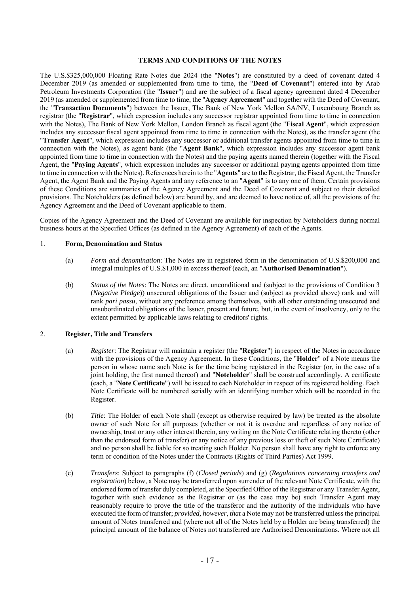## **TERMS AND CONDITIONS OF THE NOTES**

The U.S.\$325,000,000 Floating Rate Notes due 2024 (the "**Notes**") are constituted by a deed of covenant dated 4 December 2019 (as amended or supplemented from time to time, the "**Deed of Covenant**") entered into by Arab Petroleum Investments Corporation (the "**Issuer**") and are the subject of a fiscal agency agreement dated 4 December 2019 (as amended or supplemented from time to time, the "**Agency Agreement**" and together with the Deed of Covenant, the "**Transaction Documents**") between the Issuer, The Bank of New York Mellon SA/NV, Luxembourg Branch as registrar (the "**Registrar**", which expression includes any successor registrar appointed from time to time in connection with the Notes), The Bank of New York Mellon, London Branch as fiscal agent (the "**Fiscal Agent**", which expression includes any successor fiscal agent appointed from time to time in connection with the Notes), as the transfer agent (the "**Transfer Agent**", which expression includes any successor or additional transfer agents appointed from time to time in connection with the Notes), as agent bank (the "**Agent Bank**", which expression includes any successor agent bank appointed from time to time in connection with the Notes) and the paying agents named therein (together with the Fiscal Agent, the "**Paying Agents**", which expression includes any successor or additional paying agents appointed from time to time in connection with the Notes). References herein to the "**Agents**" are to the Registrar, the Fiscal Agent, the Transfer Agent, the Agent Bank and the Paying Agents and any reference to an "**Agent**" is to any one of them. Certain provisions of these Conditions are summaries of the Agency Agreement and the Deed of Covenant and subject to their detailed provisions. The Noteholders (as defined below) are bound by, and are deemed to have notice of, all the provisions of the Agency Agreement and the Deed of Covenant applicable to them.

Copies of the Agency Agreement and the Deed of Covenant are available for inspection by Noteholders during normal business hours at the Specified Offices (as defined in the Agency Agreement) of each of the Agents.

#### 1. **Form, Denomination and Status**

- (a) *Form and denomination*: The Notes are in registered form in the denomination of U.S.\$200,000 and integral multiples of U.S.\$1,000 in excess thereof (each, an "**Authorised Denomination**").
- (b) *Status of the Notes*: The Notes are direct, unconditional and (subject to the provisions of Condition 3 (*Negative Pledge*)) unsecured obligations of the Issuer and (subject as provided above) rank and will rank *pari passu*, without any preference among themselves, with all other outstanding unsecured and unsubordinated obligations of the Issuer, present and future, but, in the event of insolvency, only to the extent permitted by applicable laws relating to creditors' rights.

#### 2. **Register, Title and Transfers**

- (a) *Register*: The Registrar will maintain a register (the "**Register**") in respect of the Notes in accordance with the provisions of the Agency Agreement. In these Conditions, the "**Holder**" of a Note means the person in whose name such Note is for the time being registered in the Register (or, in the case of a joint holding, the first named thereof) and "**Noteholder**" shall be construed accordingly. A certificate (each, a "**Note Certificate**") will be issued to each Noteholder in respect of its registered holding. Each Note Certificate will be numbered serially with an identifying number which will be recorded in the Register.
- (b) *Title*: The Holder of each Note shall (except as otherwise required by law) be treated as the absolute owner of such Note for all purposes (whether or not it is overdue and regardless of any notice of ownership, trust or any other interest therein, any writing on the Note Certificate relating thereto (other than the endorsed form of transfer) or any notice of any previous loss or theft of such Note Certificate) and no person shall be liable for so treating such Holder. No person shall have any right to enforce any term or condition of the Notes under the Contracts (Rights of Third Parties) Act 1999.
- (c) *Transfers*: Subject to paragraphs (f) (*Closed periods*) and (g) (*Regulations concerning transfers and registration*) below, a Note may be transferred upon surrender of the relevant Note Certificate, with the endorsed form of transfer duly completed, at the Specified Office of the Registrar or any Transfer Agent, together with such evidence as the Registrar or (as the case may be) such Transfer Agent may reasonably require to prove the title of the transferor and the authority of the individuals who have executed the form of transfer; *provided, however, that* a Note may not be transferred unless the principal amount of Notes transferred and (where not all of the Notes held by a Holder are being transferred) the principal amount of the balance of Notes not transferred are Authorised Denominations. Where not all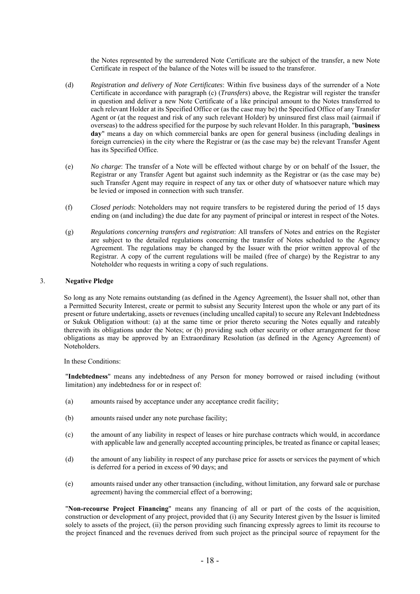the Notes represented by the surrendered Note Certificate are the subject of the transfer, a new Note Certificate in respect of the balance of the Notes will be issued to the transferor.

- (d) *Registration and delivery of Note Certificates*: Within five business days of the surrender of a Note Certificate in accordance with paragraph (c) (*Transfers*) above, the Registrar will register the transfer in question and deliver a new Note Certificate of a like principal amount to the Notes transferred to each relevant Holder at its Specified Office or (as the case may be) the Specified Office of any Transfer Agent or (at the request and risk of any such relevant Holder) by uninsured first class mail (airmail if overseas) to the address specified for the purpose by such relevant Holder. In this paragraph, "**business day**" means a day on which commercial banks are open for general business (including dealings in foreign currencies) in the city where the Registrar or (as the case may be) the relevant Transfer Agent has its Specified Office.
- (e) *No charge*: The transfer of a Note will be effected without charge by or on behalf of the Issuer, the Registrar or any Transfer Agent but against such indemnity as the Registrar or (as the case may be) such Transfer Agent may require in respect of any tax or other duty of whatsoever nature which may be levied or imposed in connection with such transfer.
- (f) *Closed periods*: Noteholders may not require transfers to be registered during the period of 15 days ending on (and including) the due date for any payment of principal or interest in respect of the Notes.
- (g) *Regulations concerning transfers and registration*: All transfers of Notes and entries on the Register are subject to the detailed regulations concerning the transfer of Notes scheduled to the Agency Agreement. The regulations may be changed by the Issuer with the prior written approval of the Registrar. A copy of the current regulations will be mailed (free of charge) by the Registrar to any Noteholder who requests in writing a copy of such regulations.

#### 3. **Negative Pledge**

So long as any Note remains outstanding (as defined in the Agency Agreement), the Issuer shall not, other than a Permitted Security Interest, create or permit to subsist any Security Interest upon the whole or any part of its present or future undertaking, assets or revenues (including uncalled capital) to secure any Relevant Indebtedness or Sukuk Obligation without: (a) at the same time or prior thereto securing the Notes equally and rateably therewith its obligations under the Notes; or (b) providing such other security or other arrangement for those obligations as may be approved by an Extraordinary Resolution (as defined in the Agency Agreement) of Noteholders.

In these Conditions:

"**Indebtedness**" means any indebtedness of any Person for money borrowed or raised including (without limitation) any indebtedness for or in respect of:

- (a) amounts raised by acceptance under any acceptance credit facility;
- (b) amounts raised under any note purchase facility;
- (c) the amount of any liability in respect of leases or hire purchase contracts which would, in accordance with applicable law and generally accepted accounting principles, be treated as finance or capital leases;
- (d) the amount of any liability in respect of any purchase price for assets or services the payment of which is deferred for a period in excess of 90 days; and
- (e) amounts raised under any other transaction (including, without limitation, any forward sale or purchase agreement) having the commercial effect of a borrowing;

"**Non-recourse Project Financing**" means any financing of all or part of the costs of the acquisition, construction or development of any project, provided that (i) any Security Interest given by the Issuer is limited solely to assets of the project, (ii) the person providing such financing expressly agrees to limit its recourse to the project financed and the revenues derived from such project as the principal source of repayment for the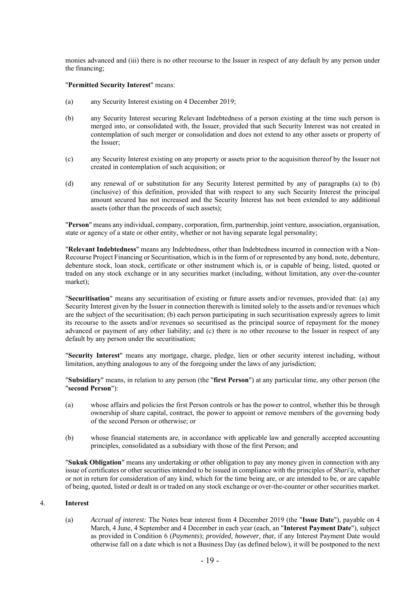monies advanced and (iii) there is no other recourse to the Issuer in respect of any default by any person under the financing;

#### "**Permitted Security Interest**" means:

- (a) any Security Interest existing on 4 December 2019;
- (b) any Security Interest securing Relevant Indebtedness of a person existing at the time such person is merged into, or consolidated with, the Issuer, provided that such Security Interest was not created in contemplation of such merger or consolidation and does not extend to any other assets or property of the Issuer;
- (c) any Security Interest existing on any property or assets prior to the acquisition thereof by the Issuer not created in contemplation of such acquisition; or
- (d) any renewal of or substitution for any Security Interest permitted by any of paragraphs (a) to (b) (inclusive) of this definition, provided that with respect to any such Security Interest the principal amount secured has not increased and the Security Interest has not been extended to any additional assets (other than the proceeds of such assets);

"**Person**" means any individual, company, corporation, firm, partnership, joint venture, association, organisation, state or agency of a state or other entity, whether or not having separate legal personality;

"**Relevant Indebtedness**" means any Indebtedness, other than Indebtedness incurred in connection with a Non-Recourse Project Financing or Securitisation, which is in the form of or represented by any bond, note, debenture, debenture stock, loan stock, certificate or other instrument which is, or is capable of being, listed, quoted or traded on any stock exchange or in any securities market (including, without limitation, any over-the-counter market);

"**Securitisation**" means any securitisation of existing or future assets and/or revenues, provided that: (a) any Security Interest given by the Issuer in connection therewith is limited solely to the assets and/or revenues which are the subject of the securitisation; (b) each person participating in such securitisation expressly agrees to limit its recourse to the assets and/or revenues so securitised as the principal source of repayment for the money advanced or payment of any other liability; and (c) there is no other recourse to the Issuer in respect of any default by any person under the securitisation;

"**Security Interest**" means any mortgage, charge, pledge, lien or other security interest including, without limitation, anything analogous to any of the foregoing under the laws of any jurisdiction;

"**Subsidiary**" means, in relation to any person (the "**first Person**") at any particular time, any other person (the "**second Person**"):

- (a) whose affairs and policies the first Person controls or has the power to control, whether this be through ownership of share capital, contract, the power to appoint or remove members of the governing body of the second Person or otherwise; or
- (b) whose financial statements are, in accordance with applicable law and generally accepted accounting principles, consolidated as a subsidiary with those of the first Person; and

"**Sukuk Obligation**" means any undertaking or other obligation to pay any money given in connection with any issue of certificates or other securities intended to be issued in compliance with the principles of *Shari'a*, whether or not in return for consideration of any kind, which for the time being are, or are intended to be, or are capable of being, quoted, listed or dealt in or traded on any stock exchange or over-the-counter or other securities market.

#### 4. **Interest**

(a) *Accrual of interest:* The Notes bear interest from 4 December 2019 (the "**Issue Date**"), payable on 4 March, 4 June, 4 September and 4 December in each year (each, an "**Interest Payment Date**"), subject as provided in Condition 6 (*Payments*); *provided, however, that*, if any Interest Payment Date would otherwise fall on a date which is not a Business Day (as defined below), it will be postponed to the next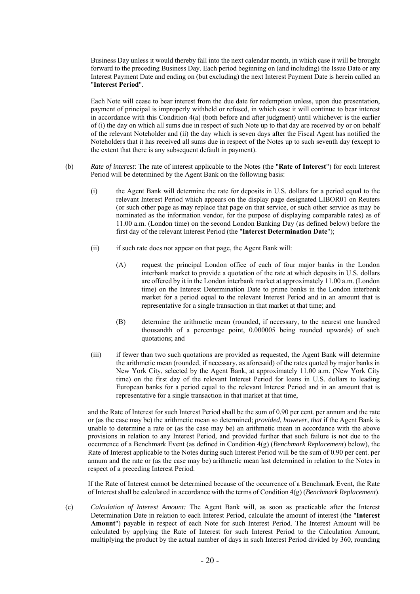Business Day unless it would thereby fall into the next calendar month, in which case it will be brought forward to the preceding Business Day. Each period beginning on (and including) the Issue Date or any Interest Payment Date and ending on (but excluding) the next Interest Payment Date is herein called an "**Interest Period**".

Each Note will cease to bear interest from the due date for redemption unless, upon due presentation, payment of principal is improperly withheld or refused, in which case it will continue to bear interest in accordance with this Condition 4(a) (both before and after judgment) until whichever is the earlier of (i) the day on which all sums due in respect of such Note up to that day are received by or on behalf of the relevant Noteholder and (ii) the day which is seven days after the Fiscal Agent has notified the Noteholders that it has received all sums due in respect of the Notes up to such seventh day (except to the extent that there is any subsequent default in payment).

- (b) *Rate of interest*: The rate of interest applicable to the Notes (the "**Rate of Interest**") for each Interest Period will be determined by the Agent Bank on the following basis:
	- (i) the Agent Bank will determine the rate for deposits in U.S. dollars for a period equal to the relevant Interest Period which appears on the display page designated LIBOR01 on Reuters (or such other page as may replace that page on that service, or such other service as may be nominated as the information vendor, for the purpose of displaying comparable rates) as of 11.00 a.m. (London time) on the second London Banking Day (as defined below) before the first day of the relevant Interest Period (the "**Interest Determination Date**");
	- (ii) if such rate does not appear on that page, the Agent Bank will:
		- (A) request the principal London office of each of four major banks in the London interbank market to provide a quotation of the rate at which deposits in U.S. dollars are offered by it in the London interbank market at approximately 11.00 a.m. (London time) on the Interest Determination Date to prime banks in the London interbank market for a period equal to the relevant Interest Period and in an amount that is representative for a single transaction in that market at that time; and
		- (B) determine the arithmetic mean (rounded, if necessary, to the nearest one hundred thousandth of a percentage point, 0.000005 being rounded upwards) of such quotations; and
	- (iii) if fewer than two such quotations are provided as requested, the Agent Bank will determine the arithmetic mean (rounded, if necessary, as aforesaid) of the rates quoted by major banks in New York City, selected by the Agent Bank, at approximately 11.00 a.m. (New York City time) on the first day of the relevant Interest Period for loans in U.S. dollars to leading European banks for a period equal to the relevant Interest Period and in an amount that is representative for a single transaction in that market at that time,

and the Rate of Interest for such Interest Period shall be the sum of 0.90 per cent. per annum and the rate or (as the case may be) the arithmetic mean so determined; *provided, however, that* if the Agent Bank is unable to determine a rate or (as the case may be) an arithmetic mean in accordance with the above provisions in relation to any Interest Period, and provided further that such failure is not due to the occurrence of a Benchmark Event (as defined in Condition 4(g) (*Benchmark Replacement*) below), the Rate of Interest applicable to the Notes during such Interest Period will be the sum of 0.90 per cent. per annum and the rate or (as the case may be) arithmetic mean last determined in relation to the Notes in respect of a preceding Interest Period.

If the Rate of Interest cannot be determined because of the occurrence of a Benchmark Event, the Rate of Interest shall be calculated in accordance with the terms of Condition 4(g) (*Benchmark Replacement*).

(c) *Calculation of Interest Amount:* The Agent Bank will, as soon as practicable after the Interest Determination Date in relation to each Interest Period, calculate the amount of interest (the "**Interest Amount**") payable in respect of each Note for such Interest Period. The Interest Amount will be calculated by applying the Rate of Interest for such Interest Period to the Calculation Amount, multiplying the product by the actual number of days in such Interest Period divided by 360, rounding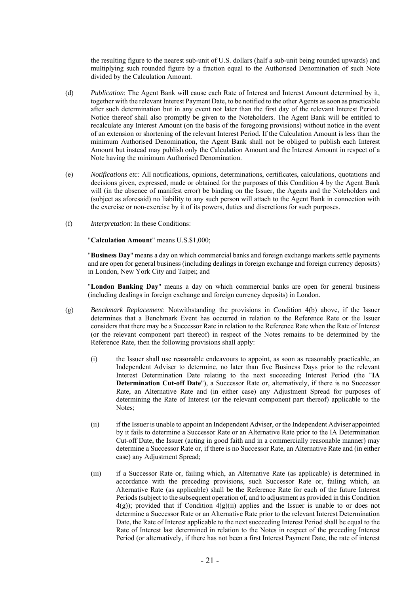the resulting figure to the nearest sub-unit of U.S. dollars (half a sub-unit being rounded upwards) and multiplying such rounded figure by a fraction equal to the Authorised Denomination of such Note divided by the Calculation Amount.

- (d) *Publication*: The Agent Bank will cause each Rate of Interest and Interest Amount determined by it, together with the relevant Interest Payment Date, to be notified to the other Agents as soon as practicable after such determination but in any event not later than the first day of the relevant Interest Period. Notice thereof shall also promptly be given to the Noteholders. The Agent Bank will be entitled to recalculate any Interest Amount (on the basis of the foregoing provisions) without notice in the event of an extension or shortening of the relevant Interest Period. If the Calculation Amount is less than the minimum Authorised Denomination, the Agent Bank shall not be obliged to publish each Interest Amount but instead may publish only the Calculation Amount and the Interest Amount in respect of a Note having the minimum Authorised Denomination.
- (e) *Notifications etc:* All notifications, opinions, determinations, certificates, calculations, quotations and decisions given, expressed, made or obtained for the purposes of this Condition 4 by the Agent Bank will (in the absence of manifest error) be binding on the Issuer, the Agents and the Noteholders and (subject as aforesaid) no liability to any such person will attach to the Agent Bank in connection with the exercise or non-exercise by it of its powers, duties and discretions for such purposes.
- (f) *Interpretation*: In these Conditions:

"**Calculation Amount**" means U.S.\$1,000;

"**Business Day**" means a day on which commercial banks and foreign exchange markets settle payments and are open for general business (including dealings in foreign exchange and foreign currency deposits) in London, New York City and Taipei; and

"**London Banking Day**" means a day on which commercial banks are open for general business (including dealings in foreign exchange and foreign currency deposits) in London.

- (g) *Benchmark Replacement*: Notwithstanding the provisions in Condition 4(b) above, if the Issuer determines that a Benchmark Event has occurred in relation to the Reference Rate or the Issuer considers that there may be a Successor Rate in relation to the Reference Rate when the Rate of Interest (or the relevant component part thereof) in respect of the Notes remains to be determined by the Reference Rate, then the following provisions shall apply:
	- (i) the Issuer shall use reasonable endeavours to appoint, as soon as reasonably practicable, an Independent Adviser to determine, no later than five Business Days prior to the relevant Interest Determination Date relating to the next succeeding Interest Period (the "**IA Determination Cut-off Date**"), a Successor Rate or, alternatively, if there is no Successor Rate, an Alternative Rate and (in either case) any Adjustment Spread for purposes of determining the Rate of Interest (or the relevant component part thereof) applicable to the Notes;
	- (ii) if the Issuer is unable to appoint an Independent Adviser, or the Independent Adviser appointed by it fails to determine a Successor Rate or an Alternative Rate prior to the IA Determination Cut-off Date, the Issuer (acting in good faith and in a commercially reasonable manner) may determine a Successor Rate or, if there is no Successor Rate, an Alternative Rate and (in either case) any Adjustment Spread;
	- (iii) if a Successor Rate or, failing which, an Alternative Rate (as applicable) is determined in accordance with the preceding provisions, such Successor Rate or, failing which, an Alternative Rate (as applicable) shall be the Reference Rate for each of the future Interest Periods (subject to the subsequent operation of, and to adjustment as provided in this Condition  $4(g)$ ; provided that if Condition  $4(g)(ii)$  applies and the Issuer is unable to or does not determine a Successor Rate or an Alternative Rate prior to the relevant Interest Determination Date, the Rate of Interest applicable to the next succeeding Interest Period shall be equal to the Rate of Interest last determined in relation to the Notes in respect of the preceding Interest Period (or alternatively, if there has not been a first Interest Payment Date, the rate of interest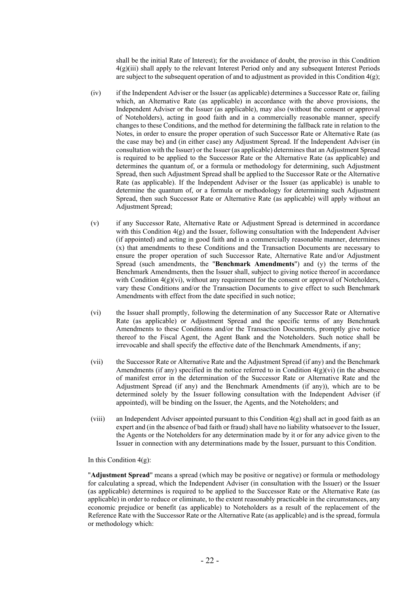shall be the initial Rate of Interest); for the avoidance of doubt, the proviso in this Condition 4(g)(iii) shall apply to the relevant Interest Period only and any subsequent Interest Periods are subject to the subsequent operation of and to adjustment as provided in this Condition  $4(g)$ ;

- (iv) if the Independent Adviser or the Issuer (as applicable) determines a Successor Rate or, failing which, an Alternative Rate (as applicable) in accordance with the above provisions, the Independent Adviser or the Issuer (as applicable), may also (without the consent or approval of Noteholders), acting in good faith and in a commercially reasonable manner, specify changes to these Conditions, and the method for determining the fallback rate in relation to the Notes, in order to ensure the proper operation of such Successor Rate or Alternative Rate (as the case may be) and (in either case) any Adjustment Spread. If the Independent Adviser (in consultation with the Issuer) or the Issuer (as applicable) determines that an Adjustment Spread is required to be applied to the Successor Rate or the Alternative Rate (as applicable) and determines the quantum of, or a formula or methodology for determining, such Adjustment Spread, then such Adjustment Spread shall be applied to the Successor Rate or the Alternative Rate (as applicable). If the Independent Adviser or the Issuer (as applicable) is unable to determine the quantum of, or a formula or methodology for determining such Adjustment Spread, then such Successor Rate or Alternative Rate (as applicable) will apply without an Adjustment Spread;
- (v) if any Successor Rate, Alternative Rate or Adjustment Spread is determined in accordance with this Condition  $4(g)$  and the Issuer, following consultation with the Independent Adviser (if appointed) and acting in good faith and in a commercially reasonable manner, determines (x) that amendments to these Conditions and the Transaction Documents are necessary to ensure the proper operation of such Successor Rate, Alternative Rate and/or Adjustment Spread (such amendments, the "**Benchmark Amendments**") and (y) the terms of the Benchmark Amendments, then the Issuer shall, subject to giving notice thereof in accordance with Condition  $4(g)(vi)$ , without any requirement for the consent or approval of Noteholders, vary these Conditions and/or the Transaction Documents to give effect to such Benchmark Amendments with effect from the date specified in such notice;
- (vi) the Issuer shall promptly, following the determination of any Successor Rate or Alternative Rate (as applicable) or Adjustment Spread and the specific terms of any Benchmark Amendments to these Conditions and/or the Transaction Documents, promptly give notice thereof to the Fiscal Agent, the Agent Bank and the Noteholders. Such notice shall be irrevocable and shall specify the effective date of the Benchmark Amendments, if any;
- (vii) the Successor Rate or Alternative Rate and the Adjustment Spread (if any) and the Benchmark Amendments (if any) specified in the notice referred to in Condition  $4(g)(vi)$  (in the absence of manifest error in the determination of the Successor Rate or Alternative Rate and the Adjustment Spread (if any) and the Benchmark Amendments (if any)), which are to be determined solely by the Issuer following consultation with the Independent Adviser (if appointed), will be binding on the Issuer, the Agents, and the Noteholders; and
- (viii) an Independent Adviser appointed pursuant to this Condition 4(g) shall act in good faith as an expert and (in the absence of bad faith or fraud) shall have no liability whatsoever to the Issuer, the Agents or the Noteholders for any determination made by it or for any advice given to the Issuer in connection with any determinations made by the Issuer, pursuant to this Condition.

In this Condition  $4(g)$ :

"**Adjustment Spread**" means a spread (which may be positive or negative) or formula or methodology for calculating a spread, which the Independent Adviser (in consultation with the Issuer) or the Issuer (as applicable) determines is required to be applied to the Successor Rate or the Alternative Rate (as applicable) in order to reduce or eliminate, to the extent reasonably practicable in the circumstances, any economic prejudice or benefit (as applicable) to Noteholders as a result of the replacement of the Reference Rate with the Successor Rate or the Alternative Rate (as applicable) and is the spread, formula or methodology which: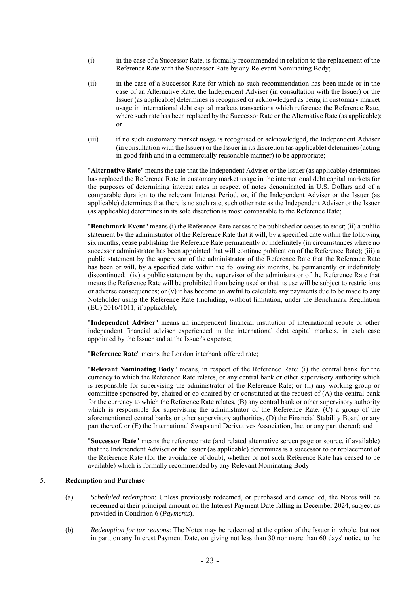- (i) in the case of a Successor Rate, is formally recommended in relation to the replacement of the Reference Rate with the Successor Rate by any Relevant Nominating Body;
- (ii) in the case of a Successor Rate for which no such recommendation has been made or in the case of an Alternative Rate, the Independent Adviser (in consultation with the Issuer) or the Issuer (as applicable) determines is recognised or acknowledged as being in customary market usage in international debt capital markets transactions which reference the Reference Rate, where such rate has been replaced by the Successor Rate or the Alternative Rate (as applicable); or
- (iii) if no such customary market usage is recognised or acknowledged, the Independent Adviser (in consultation with the Issuer) or the Issuer in its discretion (as applicable) determines (acting in good faith and in a commercially reasonable manner) to be appropriate;

"**Alternative Rate**" means the rate that the Independent Adviser or the Issuer (as applicable) determines has replaced the Reference Rate in customary market usage in the international debt capital markets for the purposes of determining interest rates in respect of notes denominated in U.S. Dollars and of a comparable duration to the relevant Interest Period, or, if the Independent Adviser or the Issuer (as applicable) determines that there is no such rate, such other rate as the Independent Adviser or the Issuer (as applicable) determines in its sole discretion is most comparable to the Reference Rate;

"**Benchmark Event**" means (i) the Reference Rate ceases to be published or ceases to exist; (ii) a public statement by the administrator of the Reference Rate that it will, by a specified date within the following six months, cease publishing the Reference Rate permanently or indefinitely (in circumstances where no successor administrator has been appointed that will continue publication of the Reference Rate); (iii) a public statement by the supervisor of the administrator of the Reference Rate that the Reference Rate has been or will, by a specified date within the following six months, be permanently or indefinitely discontinued; (iv) a public statement by the supervisor of the administrator of the Reference Rate that means the Reference Rate will be prohibited from being used or that its use will be subject to restrictions or adverse consequences; or  $(v)$  it has become unlawful to calculate any payments due to be made to any Noteholder using the Reference Rate (including, without limitation, under the Benchmark Regulation (EU) 2016/1011, if applicable);

"**Independent Adviser**" means an independent financial institution of international repute or other independent financial adviser experienced in the international debt capital markets, in each case appointed by the Issuer and at the Issuer's expense;

"**Reference Rate**" means the London interbank offered rate;

"**Relevant Nominating Body**" means, in respect of the Reference Rate: (i) the central bank for the currency to which the Reference Rate relates, or any central bank or other supervisory authority which is responsible for supervising the administrator of the Reference Rate; or (ii) any working group or committee sponsored by, chaired or co-chaired by or constituted at the request of (A) the central bank for the currency to which the Reference Rate relates, (B) any central bank or other supervisory authority which is responsible for supervising the administrator of the Reference Rate, (C) a group of the aforementioned central banks or other supervisory authorities, (D) the Financial Stability Board or any part thereof, or (E) the International Swaps and Derivatives Association, Inc. or any part thereof; and

"**Successor Rate**" means the reference rate (and related alternative screen page or source, if available) that the Independent Adviser or the Issuer (as applicable) determines is a successor to or replacement of the Reference Rate (for the avoidance of doubt, whether or not such Reference Rate has ceased to be available) which is formally recommended by any Relevant Nominating Body.

#### 5. **Redemption and Purchase**

- (a) *Scheduled redemption*: Unless previously redeemed, or purchased and cancelled, the Notes will be redeemed at their principal amount on the Interest Payment Date falling in December 2024, subject as provided in Condition 6 (*Payments*).
- (b) *Redemption for tax reasons*: The Notes may be redeemed at the option of the Issuer in whole, but not in part, on any Interest Payment Date, on giving not less than 30 nor more than 60 days' notice to the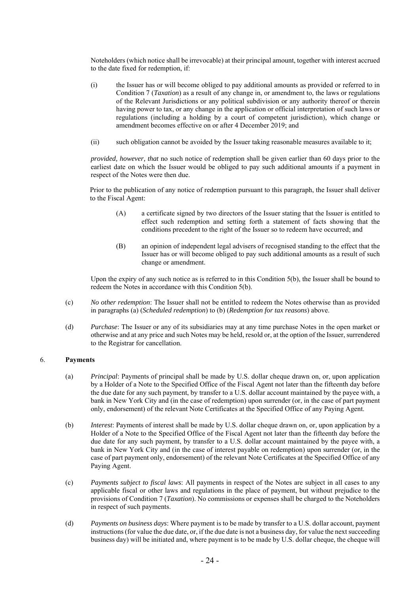Noteholders (which notice shall be irrevocable) at their principal amount, together with interest accrued to the date fixed for redemption, if:

- (i) the Issuer has or will become obliged to pay additional amounts as provided or referred to in Condition 7 (*Taxation*) as a result of any change in, or amendment to, the laws or regulations of the Relevant Jurisdictions or any political subdivision or any authority thereof or therein having power to tax, or any change in the application or official interpretation of such laws or regulations (including a holding by a court of competent jurisdiction), which change or amendment becomes effective on or after 4 December 2019; and
- (ii) such obligation cannot be avoided by the Issuer taking reasonable measures available to it;

*provided, however, that* no such notice of redemption shall be given earlier than 60 days prior to the earliest date on which the Issuer would be obliged to pay such additional amounts if a payment in respect of the Notes were then due.

Prior to the publication of any notice of redemption pursuant to this paragraph, the Issuer shall deliver to the Fiscal Agent:

- (A) a certificate signed by two directors of the Issuer stating that the Issuer is entitled to effect such redemption and setting forth a statement of facts showing that the conditions precedent to the right of the Issuer so to redeem have occurred; and
- (B) an opinion of independent legal advisers of recognised standing to the effect that the Issuer has or will become obliged to pay such additional amounts as a result of such change or amendment.

Upon the expiry of any such notice as is referred to in this Condition 5(b), the Issuer shall be bound to redeem the Notes in accordance with this Condition 5(b).

- (c) *No other redemption*: The Issuer shall not be entitled to redeem the Notes otherwise than as provided in paragraphs (a) (*Scheduled redemption*) to (b) (*Redemption for tax reasons*) above.
- (d) *Purchase*: The Issuer or any of its subsidiaries may at any time purchase Notes in the open market or otherwise and at any price and such Notes may be held, resold or, at the option of the Issuer, surrendered to the Registrar for cancellation.

#### 6. **Payments**

- (a) *Principal*: Payments of principal shall be made by U.S. dollar cheque drawn on, or, upon application by a Holder of a Note to the Specified Office of the Fiscal Agent not later than the fifteenth day before the due date for any such payment, by transfer to a U.S. dollar account maintained by the payee with, a bank in New York City and (in the case of redemption) upon surrender (or, in the case of part payment only, endorsement) of the relevant Note Certificates at the Specified Office of any Paying Agent.
- (b) *Interest*: Payments of interest shall be made by U.S. dollar cheque drawn on, or, upon application by a Holder of a Note to the Specified Office of the Fiscal Agent not later than the fifteenth day before the due date for any such payment, by transfer to a U.S. dollar account maintained by the payee with, a bank in New York City and (in the case of interest payable on redemption) upon surrender (or, in the case of part payment only, endorsement) of the relevant Note Certificates at the Specified Office of any Paying Agent.
- (c) *Payments subject to fiscal laws*: All payments in respect of the Notes are subject in all cases to any applicable fiscal or other laws and regulations in the place of payment, but without prejudice to the provisions of Condition 7 (*Taxation*). No commissions or expenses shall be charged to the Noteholders in respect of such payments.
- (d) *Payments on business days*: Where payment is to be made by transfer to a U.S. dollar account, payment instructions (for value the due date, or, if the due date is not a business day, for value the next succeeding business day) will be initiated and, where payment is to be made by U.S. dollar cheque, the cheque will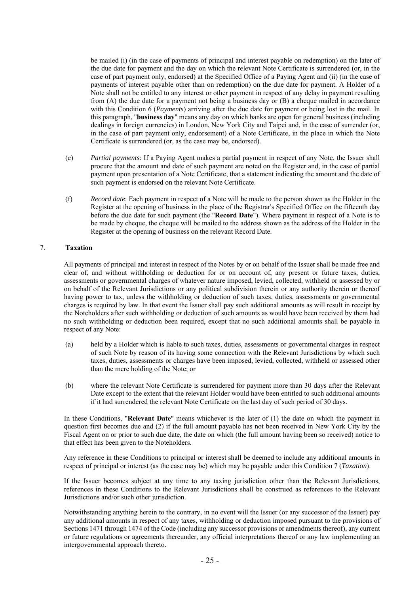be mailed (i) (in the case of payments of principal and interest payable on redemption) on the later of the due date for payment and the day on which the relevant Note Certificate is surrendered (or, in the case of part payment only, endorsed) at the Specified Office of a Paying Agent and (ii) (in the case of payments of interest payable other than on redemption) on the due date for payment. A Holder of a Note shall not be entitled to any interest or other payment in respect of any delay in payment resulting from (A) the due date for a payment not being a business day or (B) a cheque mailed in accordance with this Condition 6 (*Payments*) arriving after the due date for payment or being lost in the mail. In this paragraph, "**business day**" means any day on which banks are open for general business (including dealings in foreign currencies) in London, New York City and Taipei and, in the case of surrender (or, in the case of part payment only, endorsement) of a Note Certificate, in the place in which the Note Certificate is surrendered (or, as the case may be, endorsed).

- (e) *Partial payments*: If a Paying Agent makes a partial payment in respect of any Note, the Issuer shall procure that the amount and date of such payment are noted on the Register and, in the case of partial payment upon presentation of a Note Certificate, that a statement indicating the amount and the date of such payment is endorsed on the relevant Note Certificate.
- (f) *Record date*: Each payment in respect of a Note will be made to the person shown as the Holder in the Register at the opening of business in the place of the Registrar's Specified Office on the fifteenth day before the due date for such payment (the "**Record Date**"). Where payment in respect of a Note is to be made by cheque, the cheque will be mailed to the address shown as the address of the Holder in the Register at the opening of business on the relevant Record Date.

### 7. **Taxation**

All payments of principal and interest in respect of the Notes by or on behalf of the Issuer shall be made free and clear of, and without withholding or deduction for or on account of, any present or future taxes, duties, assessments or governmental charges of whatever nature imposed, levied, collected, withheld or assessed by or on behalf of the Relevant Jurisdictions or any political subdivision therein or any authority therein or thereof having power to tax, unless the withholding or deduction of such taxes, duties, assessments or governmental charges is required by law. In that event the Issuer shall pay such additional amounts as will result in receipt by the Noteholders after such withholding or deduction of such amounts as would have been received by them had no such withholding or deduction been required, except that no such additional amounts shall be payable in respect of any Note:

- (a) held by a Holder which is liable to such taxes, duties, assessments or governmental charges in respect of such Note by reason of its having some connection with the Relevant Jurisdictions by which such taxes, duties, assessments or charges have been imposed, levied, collected, withheld or assessed other than the mere holding of the Note; or
- (b) where the relevant Note Certificate is surrendered for payment more than 30 days after the Relevant Date except to the extent that the relevant Holder would have been entitled to such additional amounts if it had surrendered the relevant Note Certificate on the last day of such period of 30 days.

In these Conditions, "**Relevant Date**" means whichever is the later of (1) the date on which the payment in question first becomes due and (2) if the full amount payable has not been received in New York City by the Fiscal Agent on or prior to such due date, the date on which (the full amount having been so received) notice to that effect has been given to the Noteholders.

Any reference in these Conditions to principal or interest shall be deemed to include any additional amounts in respect of principal or interest (as the case may be) which may be payable under this Condition 7 (*Taxation*).

If the Issuer becomes subject at any time to any taxing jurisdiction other than the Relevant Jurisdictions, references in these Conditions to the Relevant Jurisdictions shall be construed as references to the Relevant Jurisdictions and/or such other jurisdiction.

Notwithstanding anything herein to the contrary, in no event will the Issuer (or any successor of the Issuer) pay any additional amounts in respect of any taxes, withholding or deduction imposed pursuant to the provisions of Sections 1471 through 1474 of the Code (including any successor provisions or amendments thereof), any current or future regulations or agreements thereunder, any official interpretations thereof or any law implementing an intergovernmental approach thereto.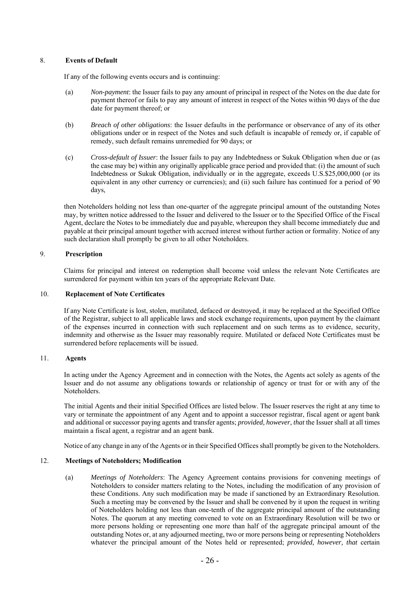# 8. **Events of Default**

If any of the following events occurs and is continuing:

- (a) *Non-payment*: the Issuer fails to pay any amount of principal in respect of the Notes on the due date for payment thereof or fails to pay any amount of interest in respect of the Notes within 90 days of the due date for payment thereof; or
- (b) *Breach of other obligations*: the Issuer defaults in the performance or observance of any of its other obligations under or in respect of the Notes and such default is incapable of remedy or, if capable of remedy, such default remains unremedied for 90 days; or
- (c) *Cross-default of Issuer*: the Issuer fails to pay any Indebtedness or Sukuk Obligation when due or (as the case may be) within any originally applicable grace period and provided that: (i) the amount of such Indebtedness or Sukuk Obligation, individually or in the aggregate, exceeds U.S.\$25,000,000 (or its equivalent in any other currency or currencies); and (ii) such failure has continued for a period of 90 days,

then Noteholders holding not less than one-quarter of the aggregate principal amount of the outstanding Notes may, by written notice addressed to the Issuer and delivered to the Issuer or to the Specified Office of the Fiscal Agent, declare the Notes to be immediately due and payable, whereupon they shall become immediately due and payable at their principal amount together with accrued interest without further action or formality. Notice of any such declaration shall promptly be given to all other Noteholders.

### 9. **Prescription**

Claims for principal and interest on redemption shall become void unless the relevant Note Certificates are surrendered for payment within ten years of the appropriate Relevant Date.

### 10. **Replacement of Note Certificates**

If any Note Certificate is lost, stolen, mutilated, defaced or destroyed, it may be replaced at the Specified Office of the Registrar, subject to all applicable laws and stock exchange requirements, upon payment by the claimant of the expenses incurred in connection with such replacement and on such terms as to evidence, security, indemnity and otherwise as the Issuer may reasonably require. Mutilated or defaced Note Certificates must be surrendered before replacements will be issued.

### 11. **Agents**

In acting under the Agency Agreement and in connection with the Notes, the Agents act solely as agents of the Issuer and do not assume any obligations towards or relationship of agency or trust for or with any of the Noteholders.

The initial Agents and their initial Specified Offices are listed below. The Issuer reserves the right at any time to vary or terminate the appointment of any Agent and to appoint a successor registrar, fiscal agent or agent bank and additional or successor paying agents and transfer agents; *provided, however, that* the Issuer shall at all times maintain a fiscal agent, a registrar and an agent bank.

Notice of any change in any of the Agents or in their Specified Offices shall promptly be given to the Noteholders.

## 12. **Meetings of Noteholders; Modification**

(a) *Meetings of Noteholders*: The Agency Agreement contains provisions for convening meetings of Noteholders to consider matters relating to the Notes, including the modification of any provision of these Conditions. Any such modification may be made if sanctioned by an Extraordinary Resolution. Such a meeting may be convened by the Issuer and shall be convened by it upon the request in writing of Noteholders holding not less than one-tenth of the aggregate principal amount of the outstanding Notes. The quorum at any meeting convened to vote on an Extraordinary Resolution will be two or more persons holding or representing one more than half of the aggregate principal amount of the outstanding Notes or, at any adjourned meeting, two or more persons being or representing Noteholders whatever the principal amount of the Notes held or represented; *provided, however, that* certain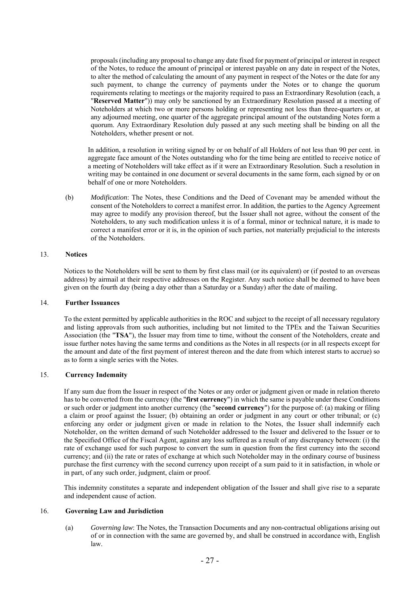proposals (including any proposal to change any date fixed for payment of principal or interest in respect of the Notes, to reduce the amount of principal or interest payable on any date in respect of the Notes, to alter the method of calculating the amount of any payment in respect of the Notes or the date for any such payment, to change the currency of payments under the Notes or to change the quorum requirements relating to meetings or the majority required to pass an Extraordinary Resolution (each, a "**Reserved Matter**")) may only be sanctioned by an Extraordinary Resolution passed at a meeting of Noteholders at which two or more persons holding or representing not less than three-quarters or, at any adjourned meeting, one quarter of the aggregate principal amount of the outstanding Notes form a quorum. Any Extraordinary Resolution duly passed at any such meeting shall be binding on all the Noteholders, whether present or not.

In addition, a resolution in writing signed by or on behalf of all Holders of not less than 90 per cent. in aggregate face amount of the Notes outstanding who for the time being are entitled to receive notice of a meeting of Noteholders will take effect as if it were an Extraordinary Resolution. Such a resolution in writing may be contained in one document or several documents in the same form, each signed by or on behalf of one or more Noteholders.

(b) *Modification*: The Notes, these Conditions and the Deed of Covenant may be amended without the consent of the Noteholders to correct a manifest error. In addition, the parties to the Agency Agreement may agree to modify any provision thereof, but the Issuer shall not agree, without the consent of the Noteholders, to any such modification unless it is of a formal, minor or technical nature, it is made to correct a manifest error or it is, in the opinion of such parties, not materially prejudicial to the interests of the Noteholders.

#### 13. **Notices**

Notices to the Noteholders will be sent to them by first class mail (or its equivalent) or (if posted to an overseas address) by airmail at their respective addresses on the Register. Any such notice shall be deemed to have been given on the fourth day (being a day other than a Saturday or a Sunday) after the date of mailing.

#### 14. **Further Issuances**

To the extent permitted by applicable authorities in the ROC and subject to the receipt of all necessary regulatory and listing approvals from such authorities, including but not limited to the TPEx and the Taiwan Securities Association (the "**TSA**"), the Issuer may from time to time, without the consent of the Noteholders, create and issue further notes having the same terms and conditions as the Notes in all respects (or in all respects except for the amount and date of the first payment of interest thereon and the date from which interest starts to accrue) so as to form a single series with the Notes.

## 15. **Currency Indemnity**

If any sum due from the Issuer in respect of the Notes or any order or judgment given or made in relation thereto has to be converted from the currency (the "**first currency**") in which the same is payable under these Conditions or such order or judgment into another currency (the "**second currency**") for the purpose of: (a) making or filing a claim or proof against the Issuer; (b) obtaining an order or judgment in any court or other tribunal; or (c) enforcing any order or judgment given or made in relation to the Notes, the Issuer shall indemnify each Noteholder, on the written demand of such Noteholder addressed to the Issuer and delivered to the Issuer or to the Specified Office of the Fiscal Agent, against any loss suffered as a result of any discrepancy between: (i) the rate of exchange used for such purpose to convert the sum in question from the first currency into the second currency; and (ii) the rate or rates of exchange at which such Noteholder may in the ordinary course of business purchase the first currency with the second currency upon receipt of a sum paid to it in satisfaction, in whole or in part, of any such order, judgment, claim or proof.

This indemnity constitutes a separate and independent obligation of the Issuer and shall give rise to a separate and independent cause of action.

#### 16. **Governing Law and Jurisdiction**

(a) *Governing law*: The Notes, the Transaction Documents and any non-contractual obligations arising out of or in connection with the same are governed by, and shall be construed in accordance with, English law.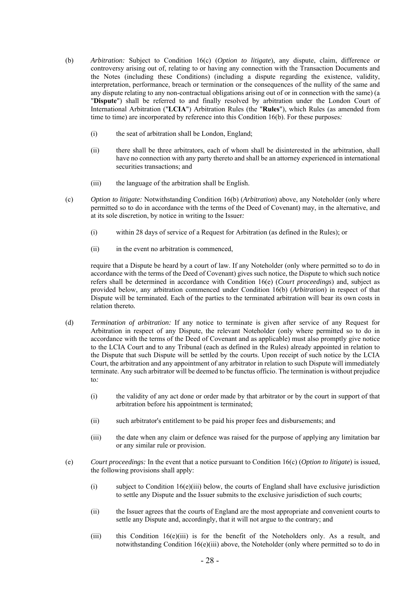- (b) *Arbitration:* Subject to Condition 16(c) (*Option to litigate*), any dispute, claim, difference or controversy arising out of, relating to or having any connection with the Transaction Documents and the Notes (including these Conditions) (including a dispute regarding the existence, validity, interpretation, performance, breach or termination or the consequences of the nullity of the same and any dispute relating to any non-contractual obligations arising out of or in connection with the same) (a "**Dispute**") shall be referred to and finally resolved by arbitration under the London Court of International Arbitration ("**LCIA**") Arbitration Rules (the "**Rules**"), which Rules (as amended from time to time) are incorporated by reference into this Condition 16(b). For these purposes*:* 
	- (i) the seat of arbitration shall be London, England;
	- (ii) there shall be three arbitrators, each of whom shall be disinterested in the arbitration, shall have no connection with any party thereto and shall be an attorney experienced in international securities transactions; and
	- (iii) the language of the arbitration shall be English.
- (c) *Option to litigate:* Notwithstanding Condition 16(b) (*Arbitration*) above, any Noteholder (only where permitted so to do in accordance with the terms of the Deed of Covenant) may, in the alternative, and at its sole discretion, by notice in writing to the Issuer*:* 
	- (i) within 28 days of service of a Request for Arbitration (as defined in the Rules); or
	- (ii) in the event no arbitration is commenced,

require that a Dispute be heard by a court of law. If any Noteholder (only where permitted so to do in accordance with the terms of the Deed of Covenant) gives such notice, the Dispute to which such notice refers shall be determined in accordance with Condition 16(e) (*Court proceedings*) and, subject as provided below, any arbitration commenced under Condition 16(b) (*Arbitration*) in respect of that Dispute will be terminated. Each of the parties to the terminated arbitration will bear its own costs in relation thereto*.* 

- (d) *Termination of arbitration:* If any notice to terminate is given after service of any Request for Arbitration in respect of any Dispute, the relevant Noteholder (only where permitted so to do in accordance with the terms of the Deed of Covenant and as applicable) must also promptly give notice to the LCIA Court and to any Tribunal (each as defined in the Rules) already appointed in relation to the Dispute that such Dispute will be settled by the courts. Upon receipt of such notice by the LCIA Court, the arbitration and any appointment of any arbitrator in relation to such Dispute will immediately terminate. Any such arbitrator will be deemed to be functus officio. The termination is without prejudice to*:* 
	- (i) the validity of any act done or order made by that arbitrator or by the court in support of that arbitration before his appointment is terminated;
	- (ii) such arbitrator's entitlement to be paid his proper fees and disbursements; and
	- (iii) the date when any claim or defence was raised for the purpose of applying any limitation bar or any similar rule or provision.
- (e) *Court proceedings:* In the event that a notice pursuant to Condition 16(c) (*Option to litigate*) is issued, the following provisions shall apply:
	- (i) subject to Condition  $16(e)$ (iii) below, the courts of England shall have exclusive jurisdiction to settle any Dispute and the Issuer submits to the exclusive jurisdiction of such courts;
	- (ii) the Issuer agrees that the courts of England are the most appropriate and convenient courts to settle any Dispute and, accordingly, that it will not argue to the contrary; and
	- (iii) this Condition 16(e)(iii) is for the benefit of the Noteholders only. As a result, and notwithstanding Condition 16(e)(iii) above, the Noteholder (only where permitted so to do in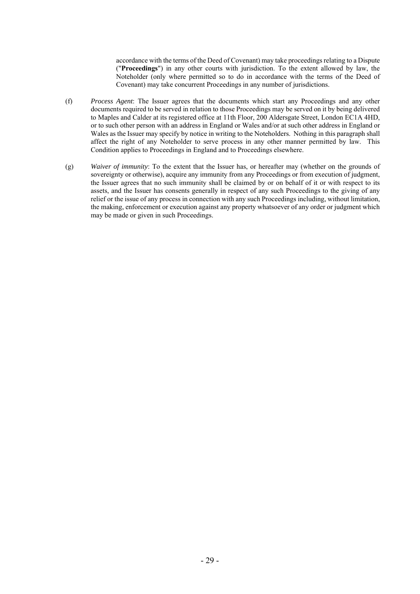accordance with the terms of the Deed of Covenant) may take proceedings relating to a Dispute ("**Proceedings**") in any other courts with jurisdiction. To the extent allowed by law, the Noteholder (only where permitted so to do in accordance with the terms of the Deed of Covenant) may take concurrent Proceedings in any number of jurisdictions.

- (f) *Process Agent*: The Issuer agrees that the documents which start any Proceedings and any other documents required to be served in relation to those Proceedings may be served on it by being delivered to Maples and Calder at its registered office at 11th Floor, 200 Aldersgate Street, London EC1A 4HD, or to such other person with an address in England or Wales and/or at such other address in England or Wales as the Issuer may specify by notice in writing to the Noteholders. Nothing in this paragraph shall affect the right of any Noteholder to serve process in any other manner permitted by law. This Condition applies to Proceedings in England and to Proceedings elsewhere.
- (g) *Waiver of immunity*: To the extent that the Issuer has, or hereafter may (whether on the grounds of sovereignty or otherwise), acquire any immunity from any Proceedings or from execution of judgment, the Issuer agrees that no such immunity shall be claimed by or on behalf of it or with respect to its assets, and the Issuer has consents generally in respect of any such Proceedings to the giving of any relief or the issue of any process in connection with any such Proceedings including, without limitation, the making, enforcement or execution against any property whatsoever of any order or judgment which may be made or given in such Proceedings.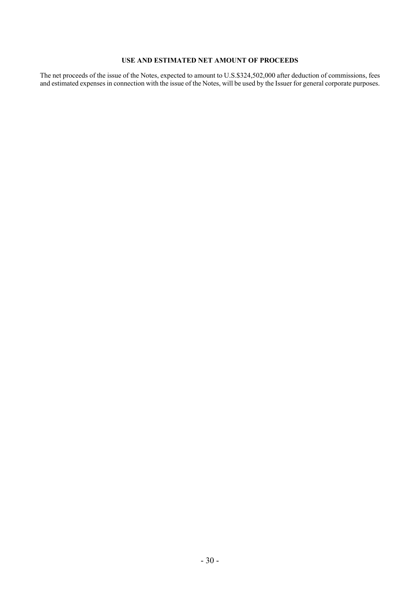# **USE AND ESTIMATED NET AMOUNT OF PROCEEDS**

The net proceeds of the issue of the Notes, expected to amount to U.S.\$324,502,000 after deduction of commissions, fees and estimated expenses in connection with the issue of the Notes, will be used by the Issuer for general corporate purposes.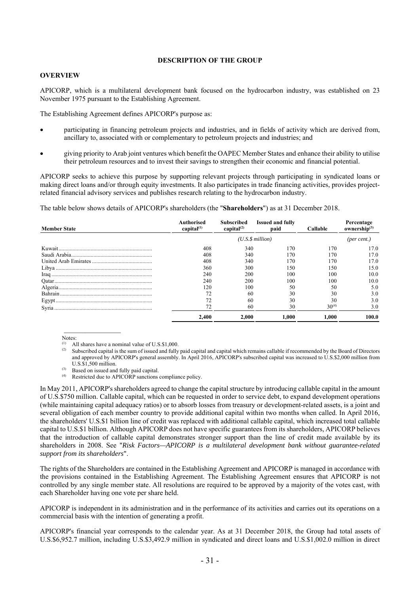### **DESCRIPTION OF THE GROUP**

#### **OVERVIEW**

APICORP, which is a multilateral development bank focused on the hydrocarbon industry, was established on 23 November 1975 pursuant to the Establishing Agreement.

The Establishing Agreement defines APICORP's purpose as:

- participating in financing petroleum projects and industries, and in fields of activity which are derived from, ancillary to, associated with or complementary to petroleum projects and industries; and
- giving priority to Arab joint ventures which benefit the OAPEC Member States and enhance their ability to utilise their petroleum resources and to invest their savings to strengthen their economic and financial potential.

APICORP seeks to achieve this purpose by supporting relevant projects through participating in syndicated loans or making direct loans and/or through equity investments. It also participates in trade financing activities, provides projectrelated financial advisory services and publishes research relating to the hydrocarbon industry.

The table below shows details of APICORP's shareholders (the "**Shareholders**") as at 31 December 2018.

| <b>Member State</b> | Authorised<br>capital $(1)$ | Subscribed<br>capital $^{(2)}$ | <b>Issued and fully</b><br>paid | Callable   | Percentage<br>ownership $^{(3)}$ |
|---------------------|-----------------------------|--------------------------------|---------------------------------|------------|----------------------------------|
|                     |                             |                                | (U.S.S.million)                 |            | (per cent.)                      |
|                     | 408                         | 340                            | 170                             | 170        | 17.0                             |
|                     | 408                         | 340                            | 170                             | 170        | 17.0                             |
|                     | 408                         | 340                            | 170                             | 170        | 17.0                             |
|                     | 360                         | 300                            | 150                             | 150        | 15.0                             |
|                     | 240                         | 200                            | 100                             | 100        | 10.0                             |
|                     | 240                         | 200                            | 100                             | 100        | 10.0                             |
|                     | 120                         | 100                            | 50                              | 50         | 5.0                              |
|                     |                             | 60                             | 30                              | 30         | 3.0                              |
|                     |                             | 60                             | 30                              | 30         | 3.0                              |
|                     |                             | 60                             | 30                              | $30^{(4)}$ | 3.0                              |
|                     | 2.400                       | 2.000                          | 1.000                           | 1.000      | 100.0                            |

Notes:

- (1) All shares have a nominal value of U.S.\$1,000.
- Subscribed capital is the sum of issued and fully paid capital and capital which remains callable if recommended by the Board of Directors and approved by APICORP's general assembly. In April 2016, APICORP's subscribed capital was increased to U.S.\$2,000 million from U.S.\$1,500 million.
- (3) Based on issued and fully paid capital.<br>(4)  $\mathbf{R}_{\text{eerticted}}$  due to APICORP sanctions.
- Restricted due to APICORP sanctions compliance policy.

In May 2011, APICORP's shareholders agreed to change the capital structure by introducing callable capital in the amount of U.S.\$750 million. Callable capital, which can be requested in order to service debt, to expand development operations (while maintaining capital adequacy ratios) or to absorb losses from treasury or development-related assets, is a joint and several obligation of each member country to provide additional capital within two months when called. In April 2016, the shareholders' U.S.\$1 billion line of credit was replaced with additional callable capital, which increased total callable capital to U.S.\$1 billion. Although APICORP does not have specific guarantees from its shareholders, APICORP believes that the introduction of callable capital demonstrates stronger support than the line of credit made available by its shareholders in 2008. See "*Risk Factors—APICORP is a multilateral development bank without guarantee-related support from its shareholders*".

The rights of the Shareholders are contained in the Establishing Agreement and APICORP is managed in accordance with the provisions contained in the Establishing Agreement. The Establishing Agreement ensures that APICORP is not controlled by any single member state. All resolutions are required to be approved by a majority of the votes cast, with each Shareholder having one vote per share held.

APICORP is independent in its administration and in the performance of its activities and carries out its operations on a commercial basis with the intention of generating a profit.

APICORP's financial year corresponds to the calendar year. As at 31 December 2018, the Group had total assets of U.S.\$6,952.7 million, including U.S.\$3,492.9 million in syndicated and direct loans and U.S.\$1,002.0 million in direct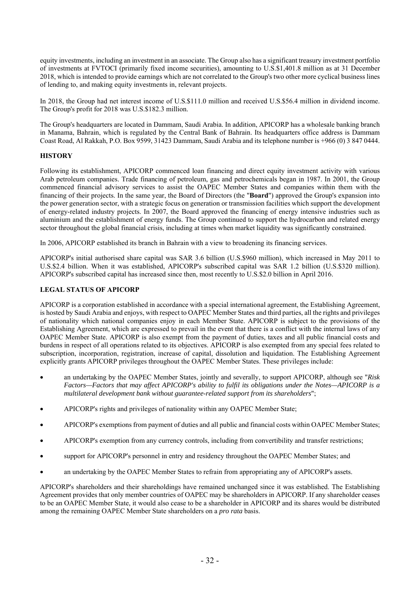equity investments, including an investment in an associate. The Group also has a significant treasury investment portfolio of investments at FVTOCI (primarily fixed income securities), amounting to U.S.\$1,401.8 million as at 31 December 2018, which is intended to provide earnings which are not correlated to the Group's two other more cyclical business lines of lending to, and making equity investments in, relevant projects.

In 2018, the Group had net interest income of U.S.\$111.0 million and received U.S.\$56.4 million in dividend income. The Group's profit for 2018 was U.S.\$182.3 million.

The Group's headquarters are located in Dammam, Saudi Arabia. In addition, APICORP has a wholesale banking branch in Manama, Bahrain, which is regulated by the Central Bank of Bahrain. Its headquarters office address is Dammam Coast Road, Al Rakkah, P.O. Box 9599, 31423 Dammam, Saudi Arabia and its telephone number is +966 (0) 3 847 0444.

# **HISTORY**

Following its establishment, APICORP commenced loan financing and direct equity investment activity with various Arab petroleum companies. Trade financing of petroleum, gas and petrochemicals began in 1987. In 2001, the Group commenced financial advisory services to assist the OAPEC Member States and companies within them with the financing of their projects. In the same year, the Board of Directors (the "**Board**") approved the Group's expansion into the power generation sector, with a strategic focus on generation or transmission facilities which support the development of energy-related industry projects. In 2007, the Board approved the financing of energy intensive industries such as aluminium and the establishment of energy funds. The Group continued to support the hydrocarbon and related energy sector throughout the global financial crisis, including at times when market liquidity was significantly constrained.

In 2006, APICORP established its branch in Bahrain with a view to broadening its financing services.

APICORP's initial authorised share capital was SAR 3.6 billion (U.S.\$960 million), which increased in May 2011 to U.S.\$2.4 billion. When it was established, APICORP's subscribed capital was SAR 1.2 billion (U.S.\$320 million). APICORP's subscribed capital has increased since then, most recently to U.S.\$2.0 billion in April 2016.

# **LEGAL STATUS OF APICORP**

APICORP is a corporation established in accordance with a special international agreement, the Establishing Agreement, is hosted by Saudi Arabia and enjoys, with respect to OAPEC Member States and third parties, all the rights and privileges of nationality which national companies enjoy in each Member State. APICORP is subject to the provisions of the Establishing Agreement, which are expressed to prevail in the event that there is a conflict with the internal laws of any OAPEC Member State. APICORP is also exempt from the payment of duties, taxes and all public financial costs and burdens in respect of all operations related to its objectives. APICORP is also exempted from any special fees related to subscription, incorporation, registration, increase of capital, dissolution and liquidation. The Establishing Agreement explicitly grants APICORP privileges throughout the OAPEC Member States. These privileges include:

- an undertaking by the OAPEC Member States, jointly and severally, to support APICORP, although see "*Risk Factors—Factors that may affect APICORP's ability to fulfil its obligations under the Notes—APICORP is a multilateral development bank without guarantee-related support from its shareholders*";
- APICORP's rights and privileges of nationality within any OAPEC Member State;
- APICORP's exemptions from payment of duties and all public and financial costs within OAPEC Member States;
- APICORP's exemption from any currency controls, including from convertibility and transfer restrictions;
- support for APICORP's personnel in entry and residency throughout the OAPEC Member States; and
- an undertaking by the OAPEC Member States to refrain from appropriating any of APICORP's assets.

APICORP's shareholders and their shareholdings have remained unchanged since it was established. The Establishing Agreement provides that only member countries of OAPEC may be shareholders in APICORP. If any shareholder ceases to be an OAPEC Member State, it would also cease to be a shareholder in APICORP and its shares would be distributed among the remaining OAPEC Member State shareholders on a *pro rata* basis.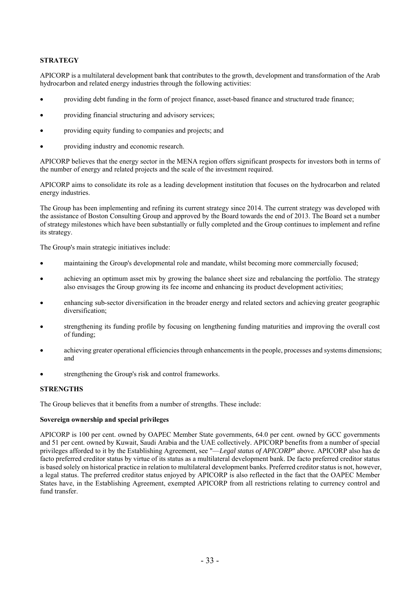# **STRATEGY**

APICORP is a multilateral development bank that contributes to the growth, development and transformation of the Arab hydrocarbon and related energy industries through the following activities:

- providing debt funding in the form of project finance, asset-based finance and structured trade finance;
- providing financial structuring and advisory services;
- providing equity funding to companies and projects; and
- providing industry and economic research.

APICORP believes that the energy sector in the MENA region offers significant prospects for investors both in terms of the number of energy and related projects and the scale of the investment required.

APICORP aims to consolidate its role as a leading development institution that focuses on the hydrocarbon and related energy industries.

The Group has been implementing and refining its current strategy since 2014. The current strategy was developed with the assistance of Boston Consulting Group and approved by the Board towards the end of 2013. The Board set a number of strategy milestones which have been substantially or fully completed and the Group continues to implement and refine its strategy.

The Group's main strategic initiatives include:

- maintaining the Group's developmental role and mandate, whilst becoming more commercially focused;
- achieving an optimum asset mix by growing the balance sheet size and rebalancing the portfolio. The strategy also envisages the Group growing its fee income and enhancing its product development activities;
- enhancing sub-sector diversification in the broader energy and related sectors and achieving greater geographic diversification;
- strengthening its funding profile by focusing on lengthening funding maturities and improving the overall cost of funding;
- achieving greater operational efficiencies through enhancements in the people, processes and systems dimensions; and
- strengthening the Group's risk and control frameworks.

### **STRENGTHS**

The Group believes that it benefits from a number of strengths. These include:

### **Sovereign ownership and special privileges**

APICORP is 100 per cent. owned by OAPEC Member State governments, 64.0 per cent. owned by GCC governments and 51 per cent. owned by Kuwait, Saudi Arabia and the UAE collectively. APICORP benefits from a number of special privileges afforded to it by the Establishing Agreement, see "—*Legal status of APICORP*" above. APICORP also has de facto preferred creditor status by virtue of its status as a multilateral development bank. De facto preferred creditor status is based solely on historical practice in relation to multilateral development banks. Preferred creditor status is not, however, a legal status. The preferred creditor status enjoyed by APICORP is also reflected in the fact that the OAPEC Member States have, in the Establishing Agreement, exempted APICORP from all restrictions relating to currency control and fund transfer.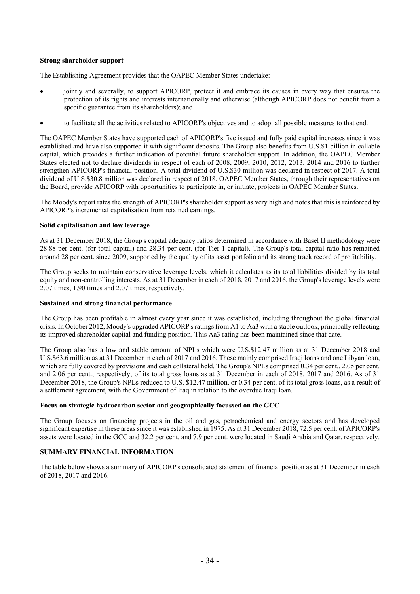## **Strong shareholder support**

The Establishing Agreement provides that the OAPEC Member States undertake:

- jointly and severally, to support APICORP, protect it and embrace its causes in every way that ensures the protection of its rights and interests internationally and otherwise (although APICORP does not benefit from a specific guarantee from its shareholders); and
- to facilitate all the activities related to APICORP's objectives and to adopt all possible measures to that end.

The OAPEC Member States have supported each of APICORP's five issued and fully paid capital increases since it was established and have also supported it with significant deposits. The Group also benefits from U.S.\$1 billion in callable capital, which provides a further indication of potential future shareholder support. In addition, the OAPEC Member States elected not to declare dividends in respect of each of 2008, 2009, 2010, 2012, 2013, 2014 and 2016 to further strengthen APICORP's financial position. A total dividend of U.S.\$30 million was declared in respect of 2017. A total dividend of U.S.\$30.8 million was declared in respect of 2018. OAPEC Member States, through their representatives on the Board, provide APICORP with opportunities to participate in, or initiate, projects in OAPEC Member States.

The Moody's report rates the strength of APICORP's shareholder support as very high and notes that this is reinforced by APICORP's incremental capitalisation from retained earnings.

### **Solid capitalisation and low leverage**

As at 31 December 2018, the Group's capital adequacy ratios determined in accordance with Basel II methodology were 28.88 per cent. (for total capital) and 28.34 per cent. (for Tier 1 capital). The Group's total capital ratio has remained around 28 per cent. since 2009, supported by the quality of its asset portfolio and its strong track record of profitability.

The Group seeks to maintain conservative leverage levels, which it calculates as its total liabilities divided by its total equity and non-controlling interests. As at 31 December in each of 2018, 2017 and 2016, the Group's leverage levels were 2.07 times, 1.90 times and 2.07 times, respectively.

### **Sustained and strong financial performance**

The Group has been profitable in almost every year since it was established, including throughout the global financial crisis. In October 2012, Moody's upgraded APICORP's ratings from A1 to Aa3 with a stable outlook, principally reflecting its improved shareholder capital and funding position. This Aa3 rating has been maintained since that date.

The Group also has a low and stable amount of NPLs which were U.S.\$12.47 million as at 31 December 2018 and U.S.\$63.6 million as at 31 December in each of 2017 and 2016. These mainly comprised Iraqi loans and one Libyan loan, which are fully covered by provisions and cash collateral held. The Group's NPLs comprised 0.34 per cent., 2.05 per cent. and 2.06 per cent., respectively, of its total gross loans as at 31 December in each of 2018, 2017 and 2016. As of 31 December 2018, the Group's NPLs reduced to U.S. \$12.47 million, or 0.34 per cent. of its total gross loans, as a result of a settlement agreement, with the Government of Iraq in relation to the overdue Iraqi loan.

### **Focus on strategic hydrocarbon sector and geographically focussed on the GCC**

The Group focuses on financing projects in the oil and gas, petrochemical and energy sectors and has developed significant expertise in these areas since it was established in 1975. As at 31 December 2018, 72.5 per cent. of APICORP's assets were located in the GCC and 32.2 per cent. and 7.9 per cent. were located in Saudi Arabia and Qatar, respectively.

# **SUMMARY FINANCIAL INFORMATION**

The table below shows a summary of APICORP's consolidated statement of financial position as at 31 December in each of 2018, 2017 and 2016.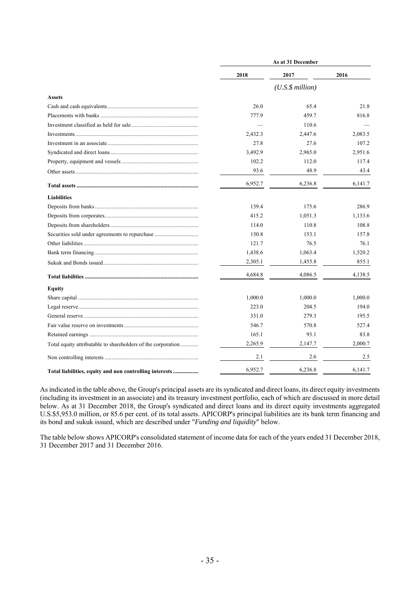|                                                              | As at 31 December |                      |         |
|--------------------------------------------------------------|-------------------|----------------------|---------|
|                                                              | 2018              | 2017                 | 2016    |
|                                                              |                   | $(U.S.\$ \$ million) |         |
| <b>Assets</b>                                                |                   |                      |         |
|                                                              | 26.0              | 65.4                 | 21.8    |
|                                                              | 777.9             | 459.7                | 816.8   |
|                                                              |                   | 110.6                |         |
|                                                              | 2,432.3           | 2,447.6              | 2,083.5 |
|                                                              | 27.8              | 27.6                 | 107.2   |
|                                                              | 3,492.9           | 2,965.0              | 2.951.6 |
|                                                              | 102.2             | 112.0                | 117.4   |
|                                                              | 93.6              | 48.9                 | 43.4    |
|                                                              | 6,952.7           | 6,236.8              | 6,141.7 |
| <b>Liabilities</b>                                           |                   |                      |         |
|                                                              | 139.4             | 175.6                | 286.9   |
|                                                              | 415.2             | 1,051.3              | 1,133.6 |
|                                                              | 114.0             | 110.8                | 108.8   |
| Securities sold under agreements to repurchase               | 150.8             | 153.1                | 157.8   |
|                                                              | 121.7             | 76.5                 | 76.1    |
|                                                              | 1,438.6           | 1,063.4              | 1,520.2 |
|                                                              | 2,305.1           | 1,455.8              | 855.1   |
|                                                              | 4,684.8           | 4,086.5              | 4,138.5 |
| <b>Equity</b>                                                |                   |                      |         |
|                                                              | 1,000.0           | 1,000.0              | 1.000.0 |
|                                                              | 223.0             | 204.5                | 194.0   |
|                                                              | 331.0             | 279.3                | 195.5   |
|                                                              | 546.7             | 570.8                | 527.4   |
|                                                              | 165.1             | 93.1                 | 83.8    |
| Total equity attributable to shareholders of the corporation | 2,265.9           | 2,147.7              | 2,000.7 |
|                                                              | 2.1               | 2.6                  | 2.5     |
| Total liabilities, equity and non controlling interests      | 6,952.7           | 6,236.8              | 6,141.7 |

As indicated in the table above, the Group's principal assets are its syndicated and direct loans, its direct equity investments (including its investment in an associate) and its treasury investment portfolio, each of which are discussed in more detail below. As at 31 December 2018, the Group's syndicated and direct loans and its direct equity investments aggregated U.S.\$5,953.0 million, or 85.6 per cent. of its total assets. APICORP's principal liabilities are its bank term financing and its bond and sukuk issued, which are described under "*Funding and liquidity*" below.

The table below shows APICORP's consolidated statement of income data for each of the years ended 31 December 2018, 31 December 2017 and 31 December 2016.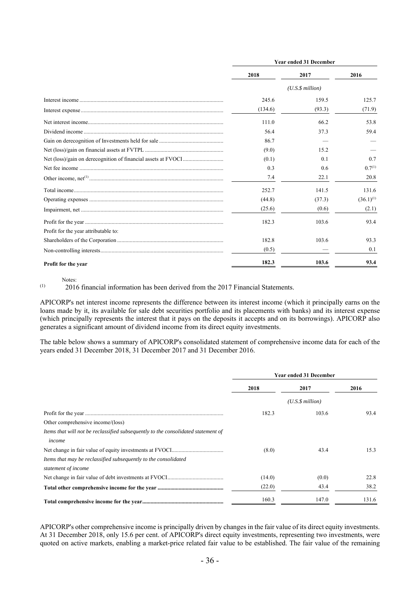|                                      | <b>Year ended 31 December</b> |                      |                |
|--------------------------------------|-------------------------------|----------------------|----------------|
|                                      | 2018                          | 2017                 | 2016           |
|                                      |                               | $(U.S.\$ \$ million) |                |
|                                      | 245.6                         | 159.5                | 125.7          |
|                                      | (134.6)                       | (93.3)               | (71.9)         |
|                                      | 111.0                         | 66.2                 | 53.8           |
|                                      | 56.4                          | 37.3                 | 59.4           |
|                                      | 86.7                          |                      |                |
|                                      | (9.0)                         | 15.2                 |                |
|                                      | (0.1)                         | 0.1                  | 0.7            |
|                                      | 0.3                           | 0.6                  | $0.7^{(1)}$    |
|                                      | 7.4                           | 22.1                 | 20.8           |
|                                      | 252.7                         | 141.5                | 131.6          |
|                                      | (44.8)                        | (37.3)               | $(36.1)^{(1)}$ |
|                                      | (25.6)                        | (0.6)                | (2.1)          |
|                                      | 182.3                         | 103.6                | 93.4           |
| Profit for the year attributable to: |                               |                      |                |
|                                      | 182.8                         | 103.6                | 93.3           |
|                                      | (0.5)                         |                      | 0.1            |
| Profit for the year                  | 182.3                         | 103.6                | 93.4           |

Notes:

(1) 2016 financial information has been derived from the 2017 Financial Statements.

APICORP's net interest income represents the difference between its interest income (which it principally earns on the loans made by it, its available for sale debt securities portfolio and its placements with banks) and its interest expense (which principally represents the interest that it pays on the deposits it accepts and on its borrowings). APICORP also generates a significant amount of dividend income from its direct equity investments.

The table below shows a summary of APICORP's consolidated statement of comprehensive income data for each of the years ended 31 December 2018, 31 December 2017 and 31 December 2016.

|                                                                                   | <b>Year ended 31 December</b> |                      |       |
|-----------------------------------------------------------------------------------|-------------------------------|----------------------|-------|
|                                                                                   | 2018                          | 2017                 | 2016  |
|                                                                                   |                               | $(U.S.\$ \$ million) |       |
|                                                                                   | 182.3                         | 103.6                | 93.4  |
| Other comprehensive income/(loss)                                                 |                               |                      |       |
| Items that will not be reclassified subsequently to the consolidated statement of |                               |                      |       |
| income                                                                            |                               |                      |       |
|                                                                                   | (8.0)                         | 43.4                 | 15.3  |
| Items that may be reclassified subsequently to the consolidated                   |                               |                      |       |
| statement of income                                                               |                               |                      |       |
|                                                                                   | (14.0)                        | (0.0)                | 22.8  |
|                                                                                   | (22.0)                        | 43.4                 | 38.2  |
|                                                                                   | 160.3                         | 147.0                | 131.6 |

APICORP's other comprehensive income is principally driven by changes in the fair value of its direct equity investments. At 31 December 2018, only 15.6 per cent. of APICORP's direct equity investments, representing two investments, were quoted on active markets, enabling a market-price related fair value to be established. The fair value of the remaining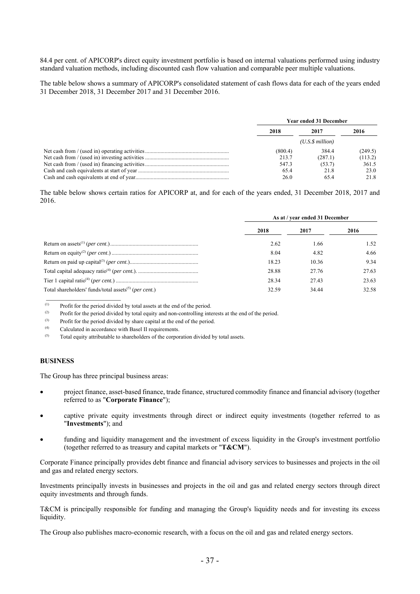84.4 per cent. of APICORP's direct equity investment portfolio is based on internal valuations performed using industry standard valuation methods, including discounted cash flow valuation and comparable peer multiple valuations.

The table below shows a summary of APICORP's consolidated statement of cash flows data for each of the years ended 31 December 2018, 31 December 2017 and 31 December 2016.

| <b>Year ended 31 December</b> |                 |         |
|-------------------------------|-----------------|---------|
| 2018                          | 2017            | 2016    |
|                               | (U.S.S.million) |         |
| (800.4)                       | 384.4           | (249.5) |
| 213.7                         | (287.1)         | (113.2) |
| 547.3                         | (53.7)          | 361.5   |
| 65.4                          | 21.8            | 23.0    |
| 26.0                          | 65.4            | 21.8    |

The table below shows certain ratios for APICORP at, and for each of the years ended, 31 December 2018, 2017 and 2016.

|                                                                   | As at / year ended 31 December |       |       |
|-------------------------------------------------------------------|--------------------------------|-------|-------|
|                                                                   | 2018                           | 2017  | 2016  |
|                                                                   | 2.62                           | 1.66  | 1.52  |
|                                                                   | 8.04                           | 4.82  | 4.66  |
|                                                                   | 18.23                          | 10.36 | 9.34  |
|                                                                   | 28.88                          | 27.76 | 27.63 |
|                                                                   | 28.34                          | 27.43 | 23.63 |
| Total shareholders' funds/total assets <sup>(5)</sup> (per cent.) | 32.59                          | 34.44 | 32.58 |

 $\overline{p}$  Profit for the period divided by total assets at the end of the period.

<sup>(2)</sup> Profit for the period divided by total equity and non-controlling interests at the end of the period.

 $(3)$  Profit for the period divided by share capital at the end of the period.

(4) Calculated in accordance with Basel II requirements.

 $(5)$  Total equity attributable to shareholders of the corporation divided by total assets.

#### **BUSINESS**

The Group has three principal business areas:

- project finance, asset-based finance, trade finance, structured commodity finance and financial advisory (together referred to as "**Corporate Finance**");
- captive private equity investments through direct or indirect equity investments (together referred to as "**Investments**"); and
- funding and liquidity management and the investment of excess liquidity in the Group's investment portfolio (together referred to as treasury and capital markets or "**T&CM**").

Corporate Finance principally provides debt finance and financial advisory services to businesses and projects in the oil and gas and related energy sectors.

Investments principally invests in businesses and projects in the oil and gas and related energy sectors through direct equity investments and through funds.

T&CM is principally responsible for funding and managing the Group's liquidity needs and for investing its excess liquidity.

The Group also publishes macro-economic research, with a focus on the oil and gas and related energy sectors.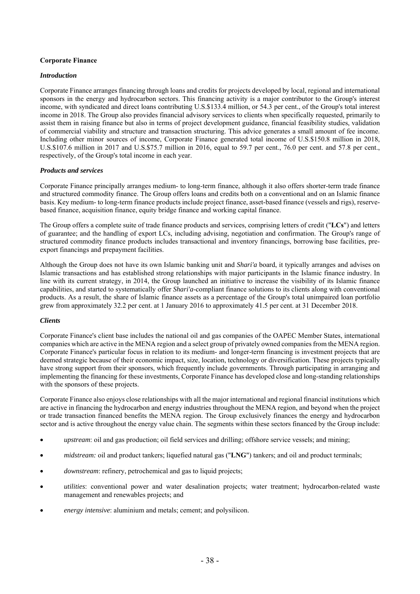# **Corporate Finance**

## *Introduction*

Corporate Finance arranges financing through loans and credits for projects developed by local, regional and international sponsors in the energy and hydrocarbon sectors. This financing activity is a major contributor to the Group's interest income, with syndicated and direct loans contributing U.S.\$133.4 million, or 54.3 per cent., of the Group's total interest income in 2018. The Group also provides financial advisory services to clients when specifically requested, primarily to assist them in raising finance but also in terms of project development guidance, financial feasibility studies, validation of commercial viability and structure and transaction structuring. This advice generates a small amount of fee income. Including other minor sources of income, Corporate Finance generated total income of U.S.\$150.8 million in 2018, U.S.\$107.6 million in 2017 and U.S.\$75.7 million in 2016, equal to 59.7 per cent., 76.0 per cent. and 57.8 per cent., respectively, of the Group's total income in each year.

## *Products and services*

Corporate Finance principally arranges medium- to long-term finance, although it also offers shorter-term trade finance and structured commodity finance. The Group offers loans and credits both on a conventional and on an Islamic finance basis. Key medium- to long-term finance products include project finance, asset-based finance (vessels and rigs), reservebased finance, acquisition finance, equity bridge finance and working capital finance.

The Group offers a complete suite of trade finance products and services, comprising letters of credit ("**LCs**") and letters of guarantee; and the handling of export LCs, including advising, negotiation and confirmation. The Group's range of structured commodity finance products includes transactional and inventory financings, borrowing base facilities, preexport financings and prepayment facilities.

Although the Group does not have its own Islamic banking unit and *Shari'a* board, it typically arranges and advises on Islamic transactions and has established strong relationships with major participants in the Islamic finance industry. In line with its current strategy, in 2014, the Group launched an initiative to increase the visibility of its Islamic finance capabilities, and started to systematically offer *Shari'a*-compliant finance solutions to its clients along with conventional products. As a result, the share of Islamic finance assets as a percentage of the Group's total unimpaired loan portfolio grew from approximately 32.2 per cent. at 1 January 2016 to approximately 41.5 per cent. at 31 December 2018.

### *Clients*

Corporate Finance's client base includes the national oil and gas companies of the OAPEC Member States, international companies which are active in the MENA region and a select group of privately owned companies from the MENA region. Corporate Finance's particular focus in relation to its medium- and longer-term financing is investment projects that are deemed strategic because of their economic impact, size, location, technology or diversification. These projects typically have strong support from their sponsors, which frequently include governments. Through participating in arranging and implementing the financing for these investments, Corporate Finance has developed close and long-standing relationships with the sponsors of these projects.

Corporate Finance also enjoys close relationships with all the major international and regional financial institutions which are active in financing the hydrocarbon and energy industries throughout the MENA region, and beyond when the project or trade transaction financed benefits the MENA region. The Group exclusively finances the energy and hydrocarbon sector and is active throughout the energy value chain. The segments within these sectors financed by the Group include:

- *upstream*: oil and gas production; oil field services and drilling; offshore service vessels; and mining;
- *midstream:* oil and product tankers; liquefied natural gas ("**LNG**") tankers; and oil and product terminals;
- *downstream*: refinery, petrochemical and gas to liquid projects;
- *utilities*: conventional power and water desalination projects; water treatment; hydrocarbon-related waste management and renewables projects; and
- *energy intensive*: aluminium and metals; cement; and polysilicon.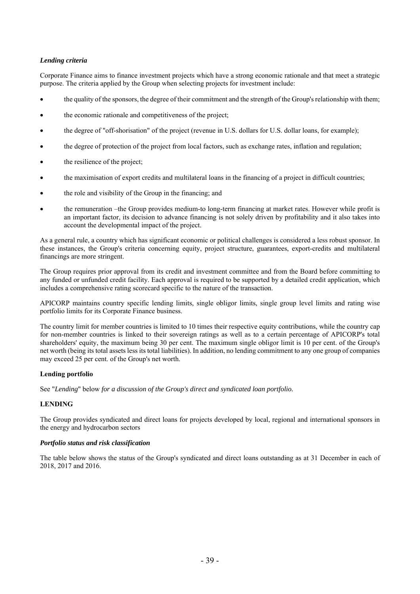# *Lending criteria*

Corporate Finance aims to finance investment projects which have a strong economic rationale and that meet a strategic purpose. The criteria applied by the Group when selecting projects for investment include:

- the quality of the sponsors, the degree of their commitment and the strength of the Group's relationship with them;
- the economic rationale and competitiveness of the project;
- the degree of "off-shorisation" of the project (revenue in U.S. dollars for U.S. dollar loans, for example);
- the degree of protection of the project from local factors, such as exchange rates, inflation and regulation;
- the resilience of the project;
- the maximisation of export credits and multilateral loans in the financing of a project in difficult countries;
- the role and visibility of the Group in the financing; and
- the remuneration –the Group provides medium-to long-term financing at market rates. However while profit is an important factor, its decision to advance financing is not solely driven by profitability and it also takes into account the developmental impact of the project.

As a general rule, a country which has significant economic or political challenges is considered a less robust sponsor. In these instances, the Group's criteria concerning equity, project structure, guarantees, export-credits and multilateral financings are more stringent.

The Group requires prior approval from its credit and investment committee and from the Board before committing to any funded or unfunded credit facility. Each approval is required to be supported by a detailed credit application, which includes a comprehensive rating scorecard specific to the nature of the transaction.

APICORP maintains country specific lending limits, single obligor limits, single group level limits and rating wise portfolio limits for its Corporate Finance business.

The country limit for member countries is limited to 10 times their respective equity contributions, while the country cap for non-member countries is linked to their sovereign ratings as well as to a certain percentage of APICORP's total shareholders' equity, the maximum being 30 per cent. The maximum single obligor limit is 10 per cent. of the Group's net worth (being its total assets less its total liabilities). In addition, no lending commitment to any one group of companies may exceed 25 per cent. of the Group's net worth.

## **Lending portfolio**

See "*Lending*" below *for a discussion of the Group's direct and syndicated loan portfolio.* 

### **LENDING**

The Group provides syndicated and direct loans for projects developed by local, regional and international sponsors in the energy and hydrocarbon sectors

### *Portfolio status and risk classification*

The table below shows the status of the Group's syndicated and direct loans outstanding as at 31 December in each of 2018, 2017 and 2016.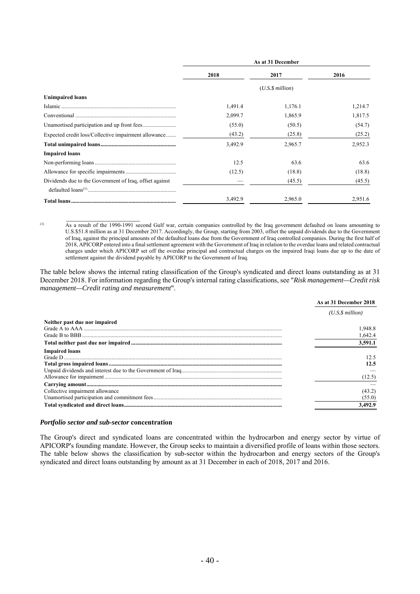|                                                         |         | As at 31 December       |         |
|---------------------------------------------------------|---------|-------------------------|---------|
|                                                         | 2018    | 2017                    | 2016    |
|                                                         |         | $(U.S.\$ \$ million $)$ |         |
| <b>Unimpaired loans</b>                                 |         |                         |         |
|                                                         | 1,491.4 | 1,176.1                 | 1,214.7 |
|                                                         | 2,099.7 | 1,865.9                 | 1,817.5 |
|                                                         | (55.0)  | (50.5)                  | (54.7)  |
| Expected credit loss/Collective impairment allowance    | (43.2)  | (25.8)                  | (25.2)  |
|                                                         | 3,492.9 | 2,965.7                 | 2,952.3 |
| <b>Impaired loans</b>                                   |         |                         |         |
|                                                         | 12.5    | 63.6                    | 63.6    |
|                                                         | (12.5)  | (18.8)                  | (18.8)  |
| Dividends due to the Government of Iraq, offset against |         | (45.5)                  | (45.5)  |
|                                                         |         |                         |         |
|                                                         | 3,492.9 | 2,965.0                 | 2,951.6 |

 $\mathcal{L}_\text{max}$ 

<sup>(1)</sup> As a result of the 1990-1991 second Gulf war, certain companies controlled by the Iraq government defaulted on loans amounting to U.S.\$51.8 million as at 31 December 2017. Accordingly, the Group, starting from 2003, offset the unpaid dividends due to the Government of Iraq, against the principal amounts of the defaulted loans due from the Government of Iraq controlled companies. During the first half of 2018, APICORP entered into a final settlement agreement with the Government of Iraq in relation to the overdue loans and related contractual charges under which APICORP set off the overdue principal and contractual charges on the impaired Iraqi loans due up to the date of settlement against the dividend payable by APICORP to the Government of Iraq.

The table below shows the internal rating classification of the Group's syndicated and direct loans outstanding as at 31 December 2018. For information regarding the Group's internal rating classifications, see "*Risk management—Credit risk management—Credit rating and measurement*".

|                                 | As at 31 December 2018 |
|---------------------------------|------------------------|
|                                 | (U.S.S.million)        |
| Neither past due nor impaired   |                        |
|                                 | 1,948.8                |
|                                 | 1,642.4                |
|                                 | 3,591.1                |
| <b>Impaired loans</b>           |                        |
|                                 | 12.5                   |
|                                 | 12.5                   |
|                                 |                        |
|                                 | (12.5)                 |
|                                 |                        |
| Collective impairment allowance | (43.2)                 |
|                                 | (55.0)                 |
|                                 | 3.492.9                |

#### *Portfolio sector and sub-sector* **concentration**

The Group's direct and syndicated loans are concentrated within the hydrocarbon and energy sector by virtue of APICORP's founding mandate. However, the Group seeks to maintain a diversified profile of loans within those sectors. The table below shows the classification by sub-sector within the hydrocarbon and energy sectors of the Group's syndicated and direct loans outstanding by amount as at 31 December in each of 2018, 2017 and 2016.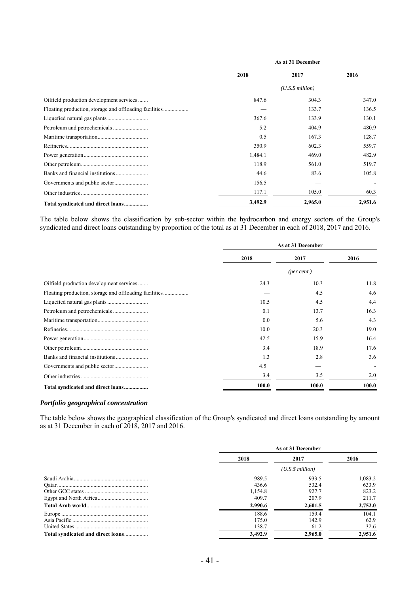|                                                        | As at 31 December |                      |         |  |
|--------------------------------------------------------|-------------------|----------------------|---------|--|
|                                                        | 2018              | 2017                 | 2016    |  |
|                                                        |                   | $(U.S.\$ \$ million) |         |  |
| Oilfield production development services               | 847.6             | 304.3                | 347.0   |  |
| Floating production, storage and offloading facilities |                   | 133.7                | 136.5   |  |
|                                                        | 367.6             | 133.9                | 130.1   |  |
|                                                        | 5.2               | 404.9                | 480.9   |  |
|                                                        | 0.5               | 167.3                | 128.7   |  |
|                                                        | 350.9             | 602.3                | 559.7   |  |
|                                                        | 1,484.1           | 469.0                | 482.9   |  |
|                                                        | 118.9             | 561.0                | 519.7   |  |
|                                                        | 44.6              | 83.6                 | 105.8   |  |
|                                                        | 156.5             |                      |         |  |
|                                                        | 117.1             | 105.0                | 60.3    |  |
| Total syndicated and direct loans                      | 3,492.9           | 2,965.0              | 2,951.6 |  |

The table below shows the classification by sub-sector within the hydrocarbon and energy sectors of the Group's syndicated and direct loans outstanding by proportion of the total as at 31 December in each of 2018, 2017 and 2016.

|                                          | As at 31 December |             |       |
|------------------------------------------|-------------------|-------------|-------|
|                                          | 2018              | 2017        | 2016  |
|                                          |                   | (per cent.) |       |
| Oilfield production development services | 24.3              | 10.3        | 11.8  |
|                                          |                   | 4.5         | 4.6   |
|                                          | 10.5              | 4.5         | 4.4   |
|                                          | 0.1               | 13.7        | 16.3  |
|                                          | 0.0               | 5.6         | 4.3   |
|                                          | 10.0              | 20.3        | 19.0  |
|                                          | 42.5              | 15.9        | 16.4  |
|                                          | 3.4               | 18.9        | 17.6  |
|                                          | 1.3               | 2.8         | 3.6   |
|                                          | 4.5               |             |       |
|                                          | 3.4               | 3.5         | 2.0   |
| Total syndicated and direct loans        | 100.0             | 100.0       | 100.0 |

### *Portfolio geographical concentration*

The table below shows the geographical classification of the Group's syndicated and direct loans outstanding by amount as at 31 December in each of 2018, 2017 and 2016.

|                                   | As at 31 December |         |         |
|-----------------------------------|-------------------|---------|---------|
|                                   | 2018              | 2017    | 2016    |
|                                   | (U.S.S.million)   |         |         |
|                                   | 989.5             | 933.5   | 1.083.2 |
|                                   | 436.6             | 532.4   | 633.9   |
|                                   | 1,154.8           | 927.7   | 823.2   |
|                                   | 409.7             | 207.9   | 211.7   |
|                                   | 2,990.6           | 2.601.5 | 2,752.0 |
|                                   | 188.6             | 159.4   | 104.1   |
|                                   | 175.0             | 142.9   | 62.9    |
|                                   | 138.7             | 61.2    | 32.6    |
| Total syndicated and direct loans | 3.492.9           | 2,965.0 | 2,951.6 |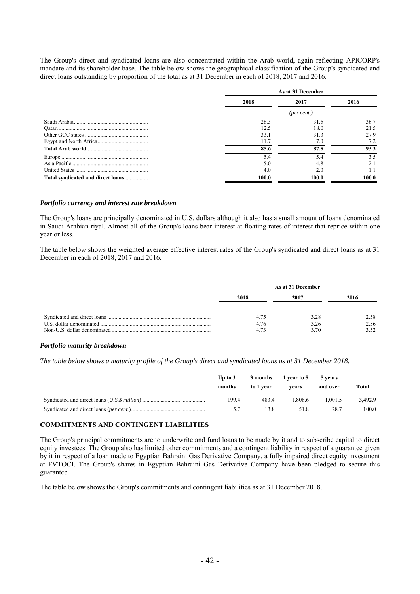The Group's direct and syndicated loans are also concentrated within the Arab world, again reflecting APICORP's mandate and its shareholder base. The table below shows the geographical classification of the Group's syndicated and direct loans outstanding by proportion of the total as at 31 December in each of 2018, 2017 and 2016.

|                                   | As at 31 December |       |       |
|-----------------------------------|-------------------|-------|-------|
|                                   | 2018              | 2017  | 2016  |
|                                   | (per cent.)       |       |       |
|                                   | 28.3              | 31.5  | 36.7  |
|                                   | 12.5              | 18.0  | 21.5  |
|                                   | 33.1              | 31.3  | 27.9  |
|                                   | 11.7              | 7.0   | 7.2   |
|                                   | 85.6              | 87.8  | 93.3  |
|                                   | 5.4               | 5.4   | 3.5   |
|                                   | 5.0               | 4.8   | 2.1   |
|                                   | 4.0               | 2.0   | 1.1   |
| Total syndicated and direct loans | 100.0             | 100.0 | 100.0 |

#### *Portfolio currency and interest rate breakdown*

The Group's loans are principally denominated in U.S. dollars although it also has a small amount of loans denominated in Saudi Arabian riyal. Almost all of the Group's loans bear interest at floating rates of interest that reprice within one year or less.

The table below shows the weighted average effective interest rates of the Group's syndicated and direct loans as at 31 December in each of 2018, 2017 and 2016.

| As at 31 December    |                      |                      |  |
|----------------------|----------------------|----------------------|--|
| 2018                 | 2017                 | 2016                 |  |
| 4.75<br>4.76<br>4.73 | 3.28<br>3.26<br>3.70 | 2.58<br>2.56<br>3.52 |  |

#### *Portfolio maturity breakdown*

*The table below shows a maturity profile of the Group's direct and syndicated loans as at 31 December 2018.*

| Up to $3$<br>months | to 1 year | 3 months 1 year to 5<br>vears | 5 vears<br>and over | Total   |
|---------------------|-----------|-------------------------------|---------------------|---------|
| 199.4               | 483.4     | .808.6                        | 1.001.5             | 3.492.9 |
| 57                  | 13.8      | 51.8                          | 28.7                | 100.0   |

#### **COMMITMENTS AND CONTINGENT LIABILITIES**

The Group's principal commitments are to underwrite and fund loans to be made by it and to subscribe capital to direct equity investees. The Group also has limited other commitments and a contingent liability in respect of a guarantee given by it in respect of a loan made to Egyptian Bahraini Gas Derivative Company, a fully impaired direct equity investment at FVTOCI. The Group's shares in Egyptian Bahraini Gas Derivative Company have been pledged to secure this guarantee.

The table below shows the Group's commitments and contingent liabilities as at 31 December 2018.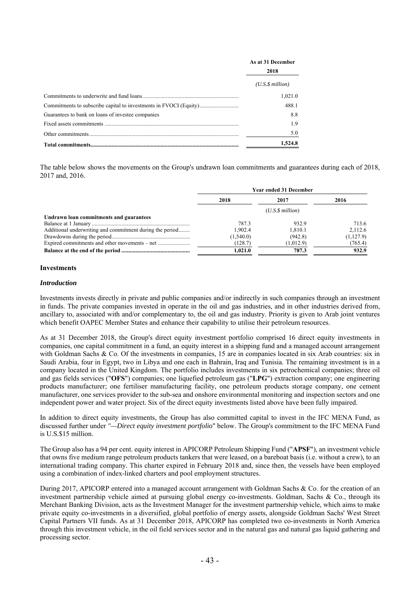|                                                                   | As at 31 December    |
|-------------------------------------------------------------------|----------------------|
|                                                                   | 2018                 |
|                                                                   | $(U.S.\$ \$ million) |
|                                                                   | 1,021.0              |
| Commitments to subscribe capital to investments in FVOCI (Equity) | 488.1                |
| Guarantees to bank on loans of investee companies                 | 8.8                  |
|                                                                   | 1.9                  |
|                                                                   | 5.0                  |
|                                                                   | 1,524.8              |

The table below shows the movements on the Group's undrawn loan commitments and guarantees during each of 2018, 2017 and, 2016.

|                                                          | <b>Year ended 31 December</b> |                         |           |  |
|----------------------------------------------------------|-------------------------------|-------------------------|-----------|--|
|                                                          | 2018                          | 2017                    | 2016      |  |
|                                                          |                               | $(U.S.\$ \$ million $)$ |           |  |
| Undrawn loan commitments and guarantees                  |                               |                         |           |  |
|                                                          | 787.3                         | 932.9                   | 713.6     |  |
| Additional underwriting and commitment during the period | 1.902.4                       | 1.810.1                 | 2.112.6   |  |
|                                                          | (1,540.0)                     | (942.8)                 | (1,127.9) |  |
|                                                          | (128.7)                       | (1,012.9)               | (765.4)   |  |
|                                                          | 1,021.0                       | 787.3                   | 932.9     |  |

### **Investments**

#### *Introduction*

Investments invests directly in private and public companies and/or indirectly in such companies through an investment in funds. The private companies invested in operate in the oil and gas industries, and in other industries derived from, ancillary to, associated with and/or complementary to, the oil and gas industry. Priority is given to Arab joint ventures which benefit OAPEC Member States and enhance their capability to utilise their petroleum resources.

As at 31 December 2018, the Group's direct equity investment portfolio comprised 16 direct equity investments in companies, one capital commitment in a fund, an equity interest in a shipping fund and a managed account arrangement with Goldman Sachs & Co. Of the investments in companies, 15 are in companies located in six Arab countries: six in Saudi Arabia, four in Egypt, two in Libya and one each in Bahrain, Iraq and Tunisia. The remaining investment is in a company located in the United Kingdom. The portfolio includes investments in six petrochemical companies; three oil and gas fields services ("**OFS**") companies; one liquefied petroleum gas ("**LPG**") extraction company; one engineering products manufacturer; one fertiliser manufacturing facility, one petroleum products storage company, one cement manufacturer, one services provider to the sub-sea and onshore environmental monitoring and inspection sectors and one independent power and water project. Six of the direct equity investments listed above have been fully impaired.

In addition to direct equity investments, the Group has also committed capital to invest in the IFC MENA Fund, as discussed further under *"—Direct equity investment portfolio*" below. The Group's commitment to the IFC MENA Fund is U.S.\$15 million.

The Group also has a 94 per cent. equity interest in APICORP Petroleum Shipping Fund ("**APSF**"), an investment vehicle that owns five medium range petroleum products tankers that were leased, on a bareboat basis (i.e. without a crew), to an international trading company. This charter expired in February 2018 and, since then, the vessels have been employed using a combination of index-linked charters and pool employment structures.

During 2017, APICORP entered into a managed account arrangement with Goldman Sachs & Co. for the creation of an investment partnership vehicle aimed at pursuing global energy co-investments. Goldman, Sachs & Co., through its Merchant Banking Division, acts as the Investment Manager for the investment partnership vehicle, which aims to make private equity co-investments in a diversified, global portfolio of energy assets, alongside Goldman Sachs' West Street Capital Partners VII funds. As at 31 December 2018, APICORP has completed two co-investments in North America through this investment vehicle, in the oil field services sector and in the natural gas and natural gas liquid gathering and processing sector.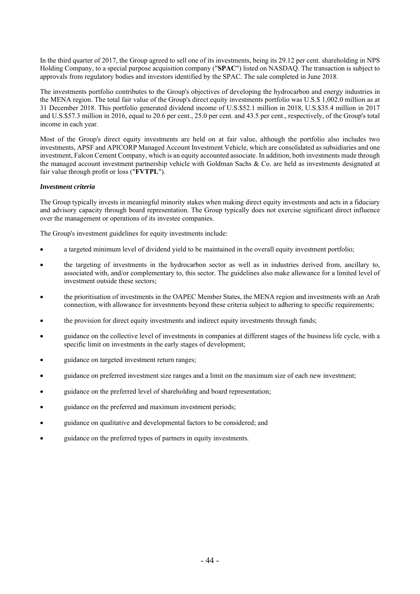In the third quarter of 2017, the Group agreed to sell one of its investments, being its 29.12 per cent. shareholding in NPS Holding Company, to a special purpose acquisition company ("**SPAC**") listed on NASDAQ. The transaction is subject to approvals from regulatory bodies and investors identified by the SPAC. The sale completed in June 2018.

The investments portfolio contributes to the Group's objectives of developing the hydrocarbon and energy industries in the MENA region. The total fair value of the Group's direct equity investments portfolio was U.S.\$ 1,002.0 million as at 31 December 2018. This portfolio generated dividend income of U.S.\$52.1 million in 2018, U.S.\$35.4 million in 2017 and U.S.\$57.3 million in 2016, equal to 20.6 per cent., 25.0 per cent. and 43.5 per cent., respectively, of the Group's total income in each year.

Most of the Group's direct equity investments are held on at fair value, although the portfolio also includes two investments, APSF and APICORP Managed Account Investment Vehicle, which are consolidated as subsidiaries and one investment, Falcon Cement Company, which is an equity accounted associate. In addition, both investments made through the managed account investment partnership vehicle with Goldman Sachs & Co. are held as investments designated at fair value through profit or loss ("**FVTPL**").

## *Investment criteria*

The Group typically invests in meaningful minority stakes when making direct equity investments and acts in a fiduciary and advisory capacity through board representation. The Group typically does not exercise significant direct influence over the management or operations of its investee companies.

The Group's investment guidelines for equity investments include:

- a targeted minimum level of dividend yield to be maintained in the overall equity investment portfolio;
- the targeting of investments in the hydrocarbon sector as well as in industries derived from, ancillary to, associated with, and/or complementary to, this sector. The guidelines also make allowance for a limited level of investment outside these sectors;
- the prioritisation of investments in the OAPEC Member States, the MENA region and investments with an Arab connection, with allowance for investments beyond these criteria subject to adhering to specific requirements;
- the provision for direct equity investments and indirect equity investments through funds;
- guidance on the collective level of investments in companies at different stages of the business life cycle, with a specific limit on investments in the early stages of development;
- guidance on targeted investment return ranges;
- guidance on preferred investment size ranges and a limit on the maximum size of each new investment;
- guidance on the preferred level of shareholding and board representation;
- guidance on the preferred and maximum investment periods;
- guidance on qualitative and developmental factors to be considered; and
- guidance on the preferred types of partners in equity investments.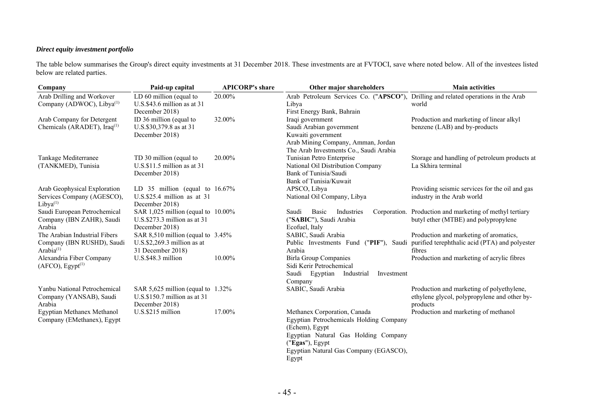# *Direct equity investment portfolio*

The table below summarises the Group's direct equity investments at 31 December 2018. These investments are at FVTOCI, save where noted below. All of the investees listed below are related parties.

| LD 60 million (equal to<br>Arab Petroleum Services Co. ("APSCO"), Drilling and related operations in the Arab<br>20.00%<br>Company (ADWOC), Libya <sup>(1)</sup><br>U.S.\$43.6 million as at 31<br>world<br>Libya<br>First Energy Bank, Bahrain<br>December 2018)<br>32.00%<br>Iraqi government<br>Arab Company for Detergent<br>ID 36 million (equal to<br>Production and marketing of linear alkyl<br>Chemicals (ARADET), Iraq <sup>(1)</sup><br>U.S.\$30,379.8 as at 31<br>Saudi Arabian government<br>benzene (LAB) and by-products<br>December 2018)<br>Kuwaiti government<br>Arab Mining Company, Amman, Jordan<br>The Arab Investments Co., Saudi Arabia<br>Tankage Mediterranee<br>20.00%<br>Tunisian Petro Enterprise<br>Storage and handling of petroleum products at<br>TD 30 million (equal to<br>(TANKMED), Tunisia<br>U.S.\$11.5 million as at 31<br>La Skhira terminal<br>National Oil Distribution Company<br>Bank of Tunisia/Saudi<br>December 2018)<br>Bank of Tunisia/Kuwait<br>Arab Geophysical Exploration<br>Providing seismic services for the oil and gas<br>LD 35 million (equal to $16.67\%$<br>APSCO, Libya<br>$U.S.S.25.4$ million as at 31<br>National Oil Company, Libya<br>industry in the Arab world<br>Services Company (AGESCO),<br>December 2018)<br>$Libva^{(1)}$<br>Saudi European Petrochemical<br>SAR 1,025 million (equal to 10.00%)<br>Basic<br>Corporation. Production and marketing of methyl tertiary<br>Saudi<br>Industries<br>$U.S.\$ \$273.3 million as at 31<br>("SABIC"), Saudi Arabia<br>butyl ether (MTBE) and polypropylene<br>Company (IBN ZAHR), Saudi<br>Arabia<br>December 2018)<br>Ecofuel, Italy<br>The Arabian Industrial Fibers<br>Production and marketing of aromatics,<br>SAR 8,510 million (equal to 3.45%)<br>SABIC, Saudi Arabia<br>Public Investments Fund ("PIF"), Saudi purified terephthalic acid (PTA) and polyester<br>Company (IBN RUSHD), Saudi<br>$U.S.\$ \$2,269.3 million as at<br>Arabia <sup>(1)</sup><br>31 December 2018)<br>Arabia<br>fibres<br>Alexandria Fiber Company<br>U.S.\$48.3 million<br>10.00%<br><b>Birla Group Companies</b><br>Production and marketing of acrylic fibres<br>(AFCO), Egypt <sup>(1)</sup><br>Sidi Kerir Petrochemical<br>Saudi Egyptian Industrial<br>Investment<br>Company<br>Yanbu National Petrochemical<br>SAR 5,625 million (equal to 1.32%)<br>SABIC, Saudi Arabia<br>Production and marketing of polyethylene,<br>U.S.\$150.7 million as at 31<br>Company (YANSAB), Saudi<br>ethylene glycol, polypropylene and other by-<br>December 2018)<br>Arabia<br>products<br>U.S.\$215 million<br>17.00%<br>Egyptian Methanex Methanol<br>Methanex Corporation, Canada<br>Production and marketing of methanol<br>Company (EMethanex), Egypt<br>Egyptian Petrochemicals Holding Company<br>(Echem), Egypt<br>Egyptian Natural Gas Holding Company<br>("Egas"), Egypt<br>Egyptian Natural Gas Company (EGASCO), | Company                    | Paid-up capital | <b>APICORP's share</b> | Other major shareholders | <b>Main activities</b> |
|------------------------------------------------------------------------------------------------------------------------------------------------------------------------------------------------------------------------------------------------------------------------------------------------------------------------------------------------------------------------------------------------------------------------------------------------------------------------------------------------------------------------------------------------------------------------------------------------------------------------------------------------------------------------------------------------------------------------------------------------------------------------------------------------------------------------------------------------------------------------------------------------------------------------------------------------------------------------------------------------------------------------------------------------------------------------------------------------------------------------------------------------------------------------------------------------------------------------------------------------------------------------------------------------------------------------------------------------------------------------------------------------------------------------------------------------------------------------------------------------------------------------------------------------------------------------------------------------------------------------------------------------------------------------------------------------------------------------------------------------------------------------------------------------------------------------------------------------------------------------------------------------------------------------------------------------------------------------------------------------------------------------------------------------------------------------------------------------------------------------------------------------------------------------------------------------------------------------------------------------------------------------------------------------------------------------------------------------------------------------------------------------------------------------------------------------------------------------------------------------------------------------------------------------------------------------------------------------------------------------------------------------------------------------------------------------------------------------------------------------------------------------------------------------------------------------------------------------------------------------------------------------------------------------------|----------------------------|-----------------|------------------------|--------------------------|------------------------|
|                                                                                                                                                                                                                                                                                                                                                                                                                                                                                                                                                                                                                                                                                                                                                                                                                                                                                                                                                                                                                                                                                                                                                                                                                                                                                                                                                                                                                                                                                                                                                                                                                                                                                                                                                                                                                                                                                                                                                                                                                                                                                                                                                                                                                                                                                                                                                                                                                                                                                                                                                                                                                                                                                                                                                                                                                                                                                                                              | Arab Drilling and Workover |                 |                        |                          |                        |
|                                                                                                                                                                                                                                                                                                                                                                                                                                                                                                                                                                                                                                                                                                                                                                                                                                                                                                                                                                                                                                                                                                                                                                                                                                                                                                                                                                                                                                                                                                                                                                                                                                                                                                                                                                                                                                                                                                                                                                                                                                                                                                                                                                                                                                                                                                                                                                                                                                                                                                                                                                                                                                                                                                                                                                                                                                                                                                                              |                            |                 |                        |                          |                        |
|                                                                                                                                                                                                                                                                                                                                                                                                                                                                                                                                                                                                                                                                                                                                                                                                                                                                                                                                                                                                                                                                                                                                                                                                                                                                                                                                                                                                                                                                                                                                                                                                                                                                                                                                                                                                                                                                                                                                                                                                                                                                                                                                                                                                                                                                                                                                                                                                                                                                                                                                                                                                                                                                                                                                                                                                                                                                                                                              |                            |                 |                        |                          |                        |
|                                                                                                                                                                                                                                                                                                                                                                                                                                                                                                                                                                                                                                                                                                                                                                                                                                                                                                                                                                                                                                                                                                                                                                                                                                                                                                                                                                                                                                                                                                                                                                                                                                                                                                                                                                                                                                                                                                                                                                                                                                                                                                                                                                                                                                                                                                                                                                                                                                                                                                                                                                                                                                                                                                                                                                                                                                                                                                                              |                            |                 |                        |                          |                        |
|                                                                                                                                                                                                                                                                                                                                                                                                                                                                                                                                                                                                                                                                                                                                                                                                                                                                                                                                                                                                                                                                                                                                                                                                                                                                                                                                                                                                                                                                                                                                                                                                                                                                                                                                                                                                                                                                                                                                                                                                                                                                                                                                                                                                                                                                                                                                                                                                                                                                                                                                                                                                                                                                                                                                                                                                                                                                                                                              |                            |                 |                        |                          |                        |
|                                                                                                                                                                                                                                                                                                                                                                                                                                                                                                                                                                                                                                                                                                                                                                                                                                                                                                                                                                                                                                                                                                                                                                                                                                                                                                                                                                                                                                                                                                                                                                                                                                                                                                                                                                                                                                                                                                                                                                                                                                                                                                                                                                                                                                                                                                                                                                                                                                                                                                                                                                                                                                                                                                                                                                                                                                                                                                                              |                            |                 |                        |                          |                        |
|                                                                                                                                                                                                                                                                                                                                                                                                                                                                                                                                                                                                                                                                                                                                                                                                                                                                                                                                                                                                                                                                                                                                                                                                                                                                                                                                                                                                                                                                                                                                                                                                                                                                                                                                                                                                                                                                                                                                                                                                                                                                                                                                                                                                                                                                                                                                                                                                                                                                                                                                                                                                                                                                                                                                                                                                                                                                                                                              |                            |                 |                        |                          |                        |
|                                                                                                                                                                                                                                                                                                                                                                                                                                                                                                                                                                                                                                                                                                                                                                                                                                                                                                                                                                                                                                                                                                                                                                                                                                                                                                                                                                                                                                                                                                                                                                                                                                                                                                                                                                                                                                                                                                                                                                                                                                                                                                                                                                                                                                                                                                                                                                                                                                                                                                                                                                                                                                                                                                                                                                                                                                                                                                                              |                            |                 |                        |                          |                        |
|                                                                                                                                                                                                                                                                                                                                                                                                                                                                                                                                                                                                                                                                                                                                                                                                                                                                                                                                                                                                                                                                                                                                                                                                                                                                                                                                                                                                                                                                                                                                                                                                                                                                                                                                                                                                                                                                                                                                                                                                                                                                                                                                                                                                                                                                                                                                                                                                                                                                                                                                                                                                                                                                                                                                                                                                                                                                                                                              |                            |                 |                        |                          |                        |
|                                                                                                                                                                                                                                                                                                                                                                                                                                                                                                                                                                                                                                                                                                                                                                                                                                                                                                                                                                                                                                                                                                                                                                                                                                                                                                                                                                                                                                                                                                                                                                                                                                                                                                                                                                                                                                                                                                                                                                                                                                                                                                                                                                                                                                                                                                                                                                                                                                                                                                                                                                                                                                                                                                                                                                                                                                                                                                                              |                            |                 |                        |                          |                        |
|                                                                                                                                                                                                                                                                                                                                                                                                                                                                                                                                                                                                                                                                                                                                                                                                                                                                                                                                                                                                                                                                                                                                                                                                                                                                                                                                                                                                                                                                                                                                                                                                                                                                                                                                                                                                                                                                                                                                                                                                                                                                                                                                                                                                                                                                                                                                                                                                                                                                                                                                                                                                                                                                                                                                                                                                                                                                                                                              |                            |                 |                        |                          |                        |
|                                                                                                                                                                                                                                                                                                                                                                                                                                                                                                                                                                                                                                                                                                                                                                                                                                                                                                                                                                                                                                                                                                                                                                                                                                                                                                                                                                                                                                                                                                                                                                                                                                                                                                                                                                                                                                                                                                                                                                                                                                                                                                                                                                                                                                                                                                                                                                                                                                                                                                                                                                                                                                                                                                                                                                                                                                                                                                                              |                            |                 |                        |                          |                        |
|                                                                                                                                                                                                                                                                                                                                                                                                                                                                                                                                                                                                                                                                                                                                                                                                                                                                                                                                                                                                                                                                                                                                                                                                                                                                                                                                                                                                                                                                                                                                                                                                                                                                                                                                                                                                                                                                                                                                                                                                                                                                                                                                                                                                                                                                                                                                                                                                                                                                                                                                                                                                                                                                                                                                                                                                                                                                                                                              |                            |                 |                        |                          |                        |
|                                                                                                                                                                                                                                                                                                                                                                                                                                                                                                                                                                                                                                                                                                                                                                                                                                                                                                                                                                                                                                                                                                                                                                                                                                                                                                                                                                                                                                                                                                                                                                                                                                                                                                                                                                                                                                                                                                                                                                                                                                                                                                                                                                                                                                                                                                                                                                                                                                                                                                                                                                                                                                                                                                                                                                                                                                                                                                                              |                            |                 |                        |                          |                        |
|                                                                                                                                                                                                                                                                                                                                                                                                                                                                                                                                                                                                                                                                                                                                                                                                                                                                                                                                                                                                                                                                                                                                                                                                                                                                                                                                                                                                                                                                                                                                                                                                                                                                                                                                                                                                                                                                                                                                                                                                                                                                                                                                                                                                                                                                                                                                                                                                                                                                                                                                                                                                                                                                                                                                                                                                                                                                                                                              |                            |                 |                        |                          |                        |
|                                                                                                                                                                                                                                                                                                                                                                                                                                                                                                                                                                                                                                                                                                                                                                                                                                                                                                                                                                                                                                                                                                                                                                                                                                                                                                                                                                                                                                                                                                                                                                                                                                                                                                                                                                                                                                                                                                                                                                                                                                                                                                                                                                                                                                                                                                                                                                                                                                                                                                                                                                                                                                                                                                                                                                                                                                                                                                                              |                            |                 |                        |                          |                        |
|                                                                                                                                                                                                                                                                                                                                                                                                                                                                                                                                                                                                                                                                                                                                                                                                                                                                                                                                                                                                                                                                                                                                                                                                                                                                                                                                                                                                                                                                                                                                                                                                                                                                                                                                                                                                                                                                                                                                                                                                                                                                                                                                                                                                                                                                                                                                                                                                                                                                                                                                                                                                                                                                                                                                                                                                                                                                                                                              |                            |                 |                        |                          |                        |
|                                                                                                                                                                                                                                                                                                                                                                                                                                                                                                                                                                                                                                                                                                                                                                                                                                                                                                                                                                                                                                                                                                                                                                                                                                                                                                                                                                                                                                                                                                                                                                                                                                                                                                                                                                                                                                                                                                                                                                                                                                                                                                                                                                                                                                                                                                                                                                                                                                                                                                                                                                                                                                                                                                                                                                                                                                                                                                                              |                            |                 |                        |                          |                        |
|                                                                                                                                                                                                                                                                                                                                                                                                                                                                                                                                                                                                                                                                                                                                                                                                                                                                                                                                                                                                                                                                                                                                                                                                                                                                                                                                                                                                                                                                                                                                                                                                                                                                                                                                                                                                                                                                                                                                                                                                                                                                                                                                                                                                                                                                                                                                                                                                                                                                                                                                                                                                                                                                                                                                                                                                                                                                                                                              |                            |                 |                        |                          |                        |
|                                                                                                                                                                                                                                                                                                                                                                                                                                                                                                                                                                                                                                                                                                                                                                                                                                                                                                                                                                                                                                                                                                                                                                                                                                                                                                                                                                                                                                                                                                                                                                                                                                                                                                                                                                                                                                                                                                                                                                                                                                                                                                                                                                                                                                                                                                                                                                                                                                                                                                                                                                                                                                                                                                                                                                                                                                                                                                                              |                            |                 |                        |                          |                        |
|                                                                                                                                                                                                                                                                                                                                                                                                                                                                                                                                                                                                                                                                                                                                                                                                                                                                                                                                                                                                                                                                                                                                                                                                                                                                                                                                                                                                                                                                                                                                                                                                                                                                                                                                                                                                                                                                                                                                                                                                                                                                                                                                                                                                                                                                                                                                                                                                                                                                                                                                                                                                                                                                                                                                                                                                                                                                                                                              |                            |                 |                        |                          |                        |
|                                                                                                                                                                                                                                                                                                                                                                                                                                                                                                                                                                                                                                                                                                                                                                                                                                                                                                                                                                                                                                                                                                                                                                                                                                                                                                                                                                                                                                                                                                                                                                                                                                                                                                                                                                                                                                                                                                                                                                                                                                                                                                                                                                                                                                                                                                                                                                                                                                                                                                                                                                                                                                                                                                                                                                                                                                                                                                                              |                            |                 |                        |                          |                        |
|                                                                                                                                                                                                                                                                                                                                                                                                                                                                                                                                                                                                                                                                                                                                                                                                                                                                                                                                                                                                                                                                                                                                                                                                                                                                                                                                                                                                                                                                                                                                                                                                                                                                                                                                                                                                                                                                                                                                                                                                                                                                                                                                                                                                                                                                                                                                                                                                                                                                                                                                                                                                                                                                                                                                                                                                                                                                                                                              |                            |                 |                        |                          |                        |
|                                                                                                                                                                                                                                                                                                                                                                                                                                                                                                                                                                                                                                                                                                                                                                                                                                                                                                                                                                                                                                                                                                                                                                                                                                                                                                                                                                                                                                                                                                                                                                                                                                                                                                                                                                                                                                                                                                                                                                                                                                                                                                                                                                                                                                                                                                                                                                                                                                                                                                                                                                                                                                                                                                                                                                                                                                                                                                                              |                            |                 |                        |                          |                        |
|                                                                                                                                                                                                                                                                                                                                                                                                                                                                                                                                                                                                                                                                                                                                                                                                                                                                                                                                                                                                                                                                                                                                                                                                                                                                                                                                                                                                                                                                                                                                                                                                                                                                                                                                                                                                                                                                                                                                                                                                                                                                                                                                                                                                                                                                                                                                                                                                                                                                                                                                                                                                                                                                                                                                                                                                                                                                                                                              |                            |                 |                        |                          |                        |
|                                                                                                                                                                                                                                                                                                                                                                                                                                                                                                                                                                                                                                                                                                                                                                                                                                                                                                                                                                                                                                                                                                                                                                                                                                                                                                                                                                                                                                                                                                                                                                                                                                                                                                                                                                                                                                                                                                                                                                                                                                                                                                                                                                                                                                                                                                                                                                                                                                                                                                                                                                                                                                                                                                                                                                                                                                                                                                                              |                            |                 |                        |                          |                        |
|                                                                                                                                                                                                                                                                                                                                                                                                                                                                                                                                                                                                                                                                                                                                                                                                                                                                                                                                                                                                                                                                                                                                                                                                                                                                                                                                                                                                                                                                                                                                                                                                                                                                                                                                                                                                                                                                                                                                                                                                                                                                                                                                                                                                                                                                                                                                                                                                                                                                                                                                                                                                                                                                                                                                                                                                                                                                                                                              |                            |                 |                        |                          |                        |
|                                                                                                                                                                                                                                                                                                                                                                                                                                                                                                                                                                                                                                                                                                                                                                                                                                                                                                                                                                                                                                                                                                                                                                                                                                                                                                                                                                                                                                                                                                                                                                                                                                                                                                                                                                                                                                                                                                                                                                                                                                                                                                                                                                                                                                                                                                                                                                                                                                                                                                                                                                                                                                                                                                                                                                                                                                                                                                                              |                            |                 |                        |                          |                        |
|                                                                                                                                                                                                                                                                                                                                                                                                                                                                                                                                                                                                                                                                                                                                                                                                                                                                                                                                                                                                                                                                                                                                                                                                                                                                                                                                                                                                                                                                                                                                                                                                                                                                                                                                                                                                                                                                                                                                                                                                                                                                                                                                                                                                                                                                                                                                                                                                                                                                                                                                                                                                                                                                                                                                                                                                                                                                                                                              |                            |                 |                        |                          |                        |
|                                                                                                                                                                                                                                                                                                                                                                                                                                                                                                                                                                                                                                                                                                                                                                                                                                                                                                                                                                                                                                                                                                                                                                                                                                                                                                                                                                                                                                                                                                                                                                                                                                                                                                                                                                                                                                                                                                                                                                                                                                                                                                                                                                                                                                                                                                                                                                                                                                                                                                                                                                                                                                                                                                                                                                                                                                                                                                                              |                            |                 |                        |                          |                        |
|                                                                                                                                                                                                                                                                                                                                                                                                                                                                                                                                                                                                                                                                                                                                                                                                                                                                                                                                                                                                                                                                                                                                                                                                                                                                                                                                                                                                                                                                                                                                                                                                                                                                                                                                                                                                                                                                                                                                                                                                                                                                                                                                                                                                                                                                                                                                                                                                                                                                                                                                                                                                                                                                                                                                                                                                                                                                                                                              |                            |                 |                        |                          |                        |
|                                                                                                                                                                                                                                                                                                                                                                                                                                                                                                                                                                                                                                                                                                                                                                                                                                                                                                                                                                                                                                                                                                                                                                                                                                                                                                                                                                                                                                                                                                                                                                                                                                                                                                                                                                                                                                                                                                                                                                                                                                                                                                                                                                                                                                                                                                                                                                                                                                                                                                                                                                                                                                                                                                                                                                                                                                                                                                                              |                            |                 |                        |                          |                        |
|                                                                                                                                                                                                                                                                                                                                                                                                                                                                                                                                                                                                                                                                                                                                                                                                                                                                                                                                                                                                                                                                                                                                                                                                                                                                                                                                                                                                                                                                                                                                                                                                                                                                                                                                                                                                                                                                                                                                                                                                                                                                                                                                                                                                                                                                                                                                                                                                                                                                                                                                                                                                                                                                                                                                                                                                                                                                                                                              |                            |                 |                        |                          |                        |
| Egypt                                                                                                                                                                                                                                                                                                                                                                                                                                                                                                                                                                                                                                                                                                                                                                                                                                                                                                                                                                                                                                                                                                                                                                                                                                                                                                                                                                                                                                                                                                                                                                                                                                                                                                                                                                                                                                                                                                                                                                                                                                                                                                                                                                                                                                                                                                                                                                                                                                                                                                                                                                                                                                                                                                                                                                                                                                                                                                                        |                            |                 |                        |                          |                        |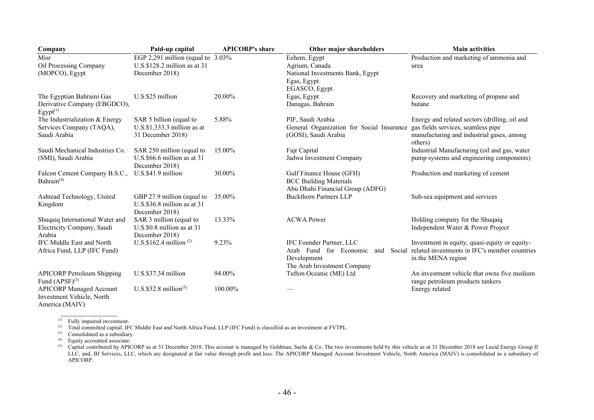| Company                                                                           | Paid-up capital                                                                          | <b>APICORP's share</b> | Other major shareholders                                                                                | <b>Main activities</b>                                                                                                                      |
|-----------------------------------------------------------------------------------|------------------------------------------------------------------------------------------|------------------------|---------------------------------------------------------------------------------------------------------|---------------------------------------------------------------------------------------------------------------------------------------------|
| Misr<br>Oil Processing Company<br>(MOPCO), Egypt                                  | EGP 2,291 million (equal to $3.03\%$<br>$U.S.S.128.2$ million as at 31<br>December 2018) |                        | Echem, Egypt<br>Agrium, Canada<br>National Investments Bank, Egypt<br>Egas, Egypt<br>EGASCO, Egypt      | Production and marketing of ammonia and<br>urea                                                                                             |
| The Egyptian Bahraini Gas<br>Derivative Company (EBGDCO),<br>Egypt <sup>(1)</sup> | U.S.\$25 million                                                                         | 20.00%                 | Egas, Egypt<br>Danagas, Bahrain                                                                         | Recovery and marketing of propane and<br>butane                                                                                             |
| The Industrialization & Energy<br>Services Company (TAQA),<br>Saudi Arabia        | SAR 5 billion (equal to<br>$U.S.\$ \$1,333.3 million as at<br>31 December 2018)          | 5.88%                  | PIF, Saudi Arabia<br>General Organization for Social Insurance<br>(GOSI), Saudi Arabia                  | Energy and related sectors (drilling, oil and<br>gas fields services, seamless pipe<br>manufacturing and industrial gases, among<br>others) |
| Saudi Mechanical Industries Co.<br>(SMI), Saudi Arabia                            | SAR 250 million (equal to<br>$U.S.$ \$66.6 million as at 31<br>December 2018)            | 15.00%                 | Fajr Capital<br>Jadwa Investment Company                                                                | Industrial Manufacturing (oil and gas, water<br>pump systems and engineering components)                                                    |
| Falcon Cement Company B.S.C.,<br>Bahrain <sup>(4)</sup>                           | U.S.\$41.9 million                                                                       | 30.00%                 | Gulf Finance House (GFH)<br><b>BCC Building Materials</b><br>Abu Dhabi Financial Group (ADFG)           | Production and marketing of cement                                                                                                          |
| Ashtead Technology, United<br>Kingdom                                             | GBP 27.9 million (equal to<br>$U.S.S36.8$ million as at 31<br>December 2018)             | 35.00%                 | <b>Buckthorn Partners LLP</b>                                                                           | Sub-sea equipment and services                                                                                                              |
| Shuqaiq International Water and<br>Electricity Company, Saudi<br>Arabia           | SAR 3 million (equal to<br>$U.S.S.80.8$ million as at 31<br>December 2018)               | 13.33%                 | <b>ACWA Power</b>                                                                                       | Holding company for the Shuqaiq<br>Independent Water & Power Project                                                                        |
| IFC Middle East and North<br>Africa Fund, LLP (IFC Fund)                          | U.S.\$162.4 million <sup>(2)</sup>                                                       | 9.23%                  | IFC Founder Partner, LLC<br>Arab Fund for Economic<br>and<br>Development<br>The Arab Investment Company | Investment in equity, quasi-equity or equity-<br>Social related investments in IFC's member countries<br>in the MENA region                 |
| <b>APICORP Petroleum Shipping</b><br>Fund $(APSF)^{(3)}$                          | U.S.\$37.34 million                                                                      | 94.00%                 | Tufton Oceanic (ME) Ltd                                                                                 | An investment vehicle that owns five medium<br>range petroleum products tankers                                                             |
| <b>APICORP Managed Account</b><br>Investment Vehicle, North<br>America (MAIV)     | U.S.\$52.8 million <sup>(5)</sup>                                                        | 100.00%                |                                                                                                         | Energy related                                                                                                                              |

 $\overline{\phantom{a}^{\text{(1)}}\phantom{\,}}$  Fully impaired investment.

(2) Total committed capital. IFC Middle East and North Africa Fund, LLP (IFC Fund) is classified as an investment at FVTPL.

 $^{(3)}$  Consolidated as a subsidiary.

 $^{(4)}$  Equity accounted associate.

<sup>(5)</sup> Capital contributed by APICORP as at 31 December 2018. This account is managed by Goldman, Sachs & Co. The two investments held by this vehicle as at 31 December 2018 are Lucid Energy Group II LLC, and, BJ Services, LLC, which are designated at fair value through profit and loss. The APICORP Managed Account Investment Vehicle, North America (MAIV) is consolidated as a subsidiary of APICORP.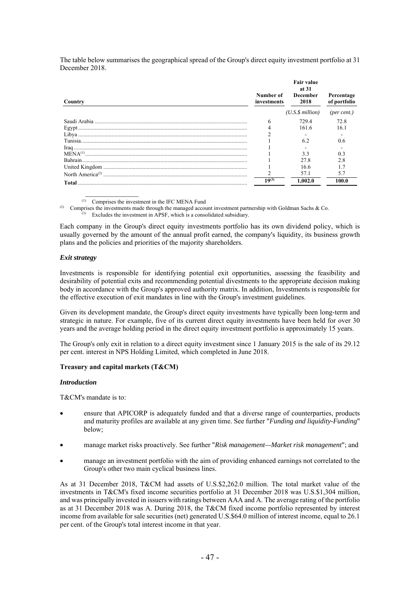The table below summarises the geographical spread of the Group's direct equity investment portfolio at 31 December 2018.

| Country  | Number of<br>investments | <b>Fair value</b><br>at 31<br>December<br>2018 | Percentage<br>of portfolio |
|----------|--------------------------|------------------------------------------------|----------------------------|
|          |                          | $(U.S.\$ \$ million $)$                        | (per cent.)                |
|          | 6                        | 729.4                                          | 72.8                       |
|          |                          | 161.6                                          | 16.1                       |
|          |                          |                                                |                            |
|          |                          | 6.2                                            | 0.6                        |
|          |                          |                                                |                            |
|          |                          | 3.3                                            | 0.3                        |
| Bahrain. |                          | 27.8                                           |                            |
|          |                          | 16.6                                           |                            |
|          |                          | 57.1                                           | 5.7                        |
|          | $19^{(3)}$               | 1.002.0                                        | 100.0                      |

(1) Comprises the investment in the IFC MENA Fund

 $\frac{1}{2}$ 

(2) Comprises the investments made through the managed account investment partnership with Goldman Sachs & Co.

 $\overline{a}^{(3)}$  Excludes the investment in APSF, which is a consolidated subsidiary.

Each company in the Group's direct equity investments portfolio has its own dividend policy, which is usually governed by the amount of the annual profit earned, the company's liquidity, its business growth plans and the policies and priorities of the majority shareholders.

## *Exit strategy*

Investments is responsible for identifying potential exit opportunities, assessing the feasibility and desirability of potential exits and recommending potential divestments to the appropriate decision making body in accordance with the Group's approved authority matrix. In addition, Investments is responsible for the effective execution of exit mandates in line with the Group's investment guidelines.

Given its development mandate, the Group's direct equity investments have typically been long-term and strategic in nature. For example, five of its current direct equity investments have been held for over 30 years and the average holding period in the direct equity investment portfolio is approximately 15 years.

The Group's only exit in relation to a direct equity investment since 1 January 2015 is the sale of its 29.12 per cent. interest in NPS Holding Limited, which completed in June 2018.

### **Treasury and capital markets (T&CM)**

#### *Introduction*

T&CM's mandate is to:

- ensure that APICORP is adequately funded and that a diverse range of counterparties, products and maturity profiles are available at any given time. See further "*Funding and liquidity-Funding*" below;
- manage market risks proactively. See further "*Risk management—Market risk management*"; and
- manage an investment portfolio with the aim of providing enhanced earnings not correlated to the Group's other two main cyclical business lines.

As at 31 December 2018, T&CM had assets of U.S.\$2,262.0 million. The total market value of the investments in T&CM's fixed income securities portfolio at 31 December 2018 was U.S.\$1,304 million, and was principally invested in issuers with ratings between AAA and A. The average rating of the portfolio as at 31 December 2018 was A. During 2018, the T&CM fixed income portfolio represented by interest income from available for sale securities (net) generated U.S.\$64.0 million of interest income, equal to 26.1 per cent. of the Group's total interest income in that year.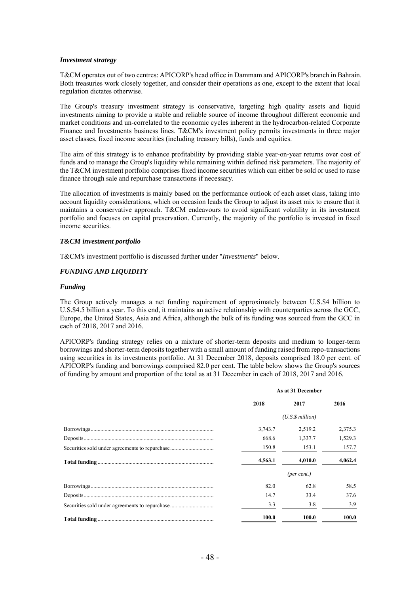#### *Investment strategy*

T&CM operates out of two centres: APICORP's head office in Dammam and APICORP's branch in Bahrain. Both treasuries work closely together, and consider their operations as one, except to the extent that local regulation dictates otherwise.

The Group's treasury investment strategy is conservative, targeting high quality assets and liquid investments aiming to provide a stable and reliable source of income throughout different economic and market conditions and un-correlated to the economic cycles inherent in the hydrocarbon-related Corporate Finance and Investments business lines. T&CM's investment policy permits investments in three major asset classes, fixed income securities (including treasury bills), funds and equities.

The aim of this strategy is to enhance profitability by providing stable year-on-year returns over cost of funds and to manage the Group's liquidity while remaining within defined risk parameters. The majority of the T&CM investment portfolio comprises fixed income securities which can either be sold or used to raise finance through sale and repurchase transactions if necessary.

The allocation of investments is mainly based on the performance outlook of each asset class, taking into account liquidity considerations, which on occasion leads the Group to adjust its asset mix to ensure that it maintains a conservative approach. T&CM endeavours to avoid significant volatility in its investment portfolio and focuses on capital preservation. Currently, the majority of the portfolio is invested in fixed income securities.

#### *T&CM investment portfolio*

T&CM's investment portfolio is discussed further under "*Investments*" below.

### *FUNDING AND LIQUIDITY*

#### *Funding*

The Group actively manages a net funding requirement of approximately between U.S.\$4 billion to U.S.\$4.5 billion a year. To this end, it maintains an active relationship with counterparties across the GCC, Europe, the United States, Asia and Africa, although the bulk of its funding was sourced from the GCC in each of 2018, 2017 and 2016.

APICORP's funding strategy relies on a mixture of shorter-term deposits and medium to longer-term borrowings and shorter-term deposits together with a small amount of funding raised from repo-transactions using securities in its investments portfolio. At 31 December 2018, deposits comprised 18.0 per cent. of APICORP's funding and borrowings comprised 82.0 per cent. The table below shows the Group's sources of funding by amount and proportion of the total as at 31 December in each of 2018, 2017 and 2016.

| As at 31 December |                 |         |  |
|-------------------|-----------------|---------|--|
| 2018              | 2017            | 2016    |  |
|                   | (U.S.S.million) |         |  |
| 3,743.7           | 2.519.2         | 2,375.3 |  |
| 668.6             | 1.337.7         | 1,529.3 |  |
| 150.8             | 153.1           | 157.7   |  |
| 4,563.1           | 4,010.0         | 4,062.4 |  |
|                   | (per cent.)     |         |  |
| 82.0              | 62.8            | 58.5    |  |
| 14.7              | 33.4            | 37.6    |  |
| 3.3               | 3.8             | 3.9     |  |
| 100.0             | 100.0           | 100.0   |  |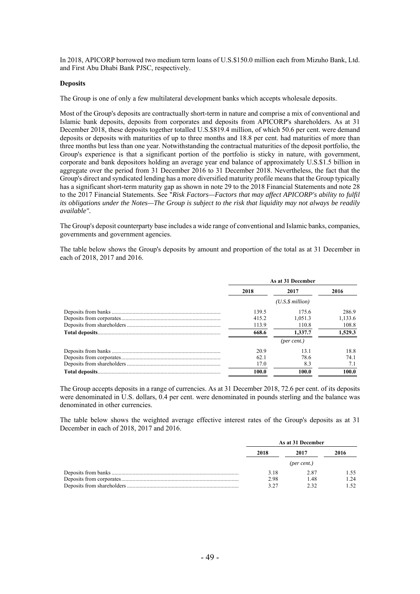In 2018, APICORP borrowed two medium term loans of U.S.\$150.0 million each from Mizuho Bank, Ltd. and First Abu Dhabi Bank PJSC, respectively.

#### **Deposits**

The Group is one of only a few multilateral development banks which accepts wholesale deposits.

Most of the Group's deposits are contractually short-term in nature and comprise a mix of conventional and Islamic bank deposits, deposits from corporates and deposits from APICORP's shareholders. As at 31 December 2018, these deposits together totalled U.S.\$819.4 million, of which 50.6 per cent. were demand deposits or deposits with maturities of up to three months and 18.8 per cent. had maturities of more than three months but less than one year. Notwithstanding the contractual maturities of the deposit portfolio, the Group's experience is that a significant portion of the portfolio is sticky in nature, with government, corporate and bank depositors holding an average year end balance of approximately U.S.\$1.5 billion in aggregate over the period from 31 December 2016 to 31 December 2018. Nevertheless, the fact that the Group's direct and syndicated lending has a more diversified maturity profile means that the Group typically has a significant short-term maturity gap as shown in note 29 to the 2018 Financial Statements and note 28 to the 2017 Financial Statements. See "*Risk Factors—Factors that may affect APICORP's ability to fulfil its obligations under the Notes—The Group is subject to the risk that liquidity may not always be readily available".*

The Group's deposit counterparty base includes a wide range of conventional and Islamic banks, companies, governments and government agencies.

The table below shows the Group's deposits by amount and proportion of the total as at 31 December in each of 2018, 2017 and 2016.

| As at 31 December |                      |         |  |  |
|-------------------|----------------------|---------|--|--|
| 2018              | 2017                 | 2016    |  |  |
|                   | $(U.S.\$ \$ million) |         |  |  |
| 139.5             | 175.6                | 286.9   |  |  |
| 415.2             | 1.051.3              | 1,133.6 |  |  |
| 113.9             | 110.8                | 108.8   |  |  |
| 668.6             | 1.337.7              | 1,529.3 |  |  |
|                   | $(\text{per cent.})$ |         |  |  |
| 20.9              | 13.1                 | 18.8    |  |  |
| 62.1              | 78.6                 | 74.1    |  |  |
| 17.0              | 8.3                  | 7.1     |  |  |
| 100.0             | 100.0                | 100.0   |  |  |

The Group accepts deposits in a range of currencies. As at 31 December 2018, 72.6 per cent. of its deposits were denominated in U.S. dollars, 0.4 per cent. were denominated in pounds sterling and the balance was denominated in other currencies.

The table below shows the weighted average effective interest rates of the Group's deposits as at 31 December in each of 2018, 2017 and 2016.

| As at 31 December |      |      |
|-------------------|------|------|
| 2018              | 2017 | 2016 |
|                   |      |      |
| 3.18              | 2.87 | 1.55 |
| 2.98              | 1.48 | 1.24 |
|                   |      | 152  |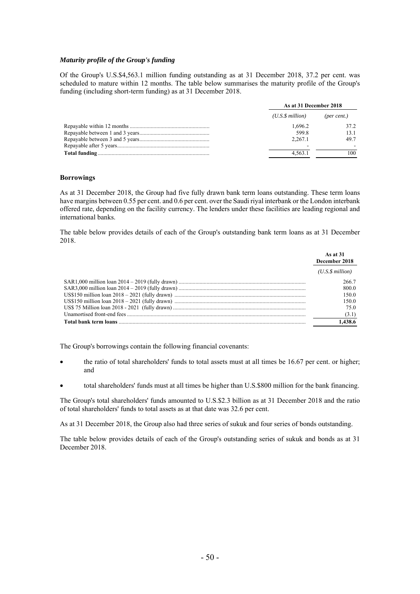### *Maturity profile of the Group's funding*

Of the Group's U.S.\$4,563.1 million funding outstanding as at 31 December 2018, 37.2 per cent. was scheduled to mature within 12 months. The table below summarises the maturity profile of the Group's funding (including short-term funding) as at 31 December 2018.

| As at 31 December 2018 |             |  |
|------------------------|-------------|--|
| (U.S.S. million)       | (per cent.) |  |
| 1.696.2                | 37.2        |  |
| 599.8                  | 13.1        |  |
| 2.267.1                | 49.7        |  |
|                        |             |  |
| 4.563.1                | 100         |  |

#### **Borrowings**

As at 31 December 2018, the Group had five fully drawn bank term loans outstanding. These term loans have margins between 0.55 per cent. and 0.6 per cent. over the Saudi riyal interbank or the London interbank offered rate, depending on the facility currency. The lenders under these facilities are leading regional and international banks.

The table below provides details of each of the Group's outstanding bank term loans as at 31 December 2018.

| As at $31$<br>December 2018 |
|-----------------------------|
| (U.S.S.million)             |
| 266.7                       |
| 800.0                       |
| 150.0                       |
| 150.0                       |
| 75.0                        |
| (3.1)                       |
| 1.438.6                     |

The Group's borrowings contain the following financial covenants:

- the ratio of total shareholders' funds to total assets must at all times be 16.67 per cent. or higher; and
- total shareholders' funds must at all times be higher than U.S.\$800 million for the bank financing.

The Group's total shareholders' funds amounted to U.S.\$2.3 billion as at 31 December 2018 and the ratio of total shareholders' funds to total assets as at that date was 32.6 per cent.

As at 31 December 2018, the Group also had three series of sukuk and four series of bonds outstanding.

The table below provides details of each of the Group's outstanding series of sukuk and bonds as at 31 December 2018.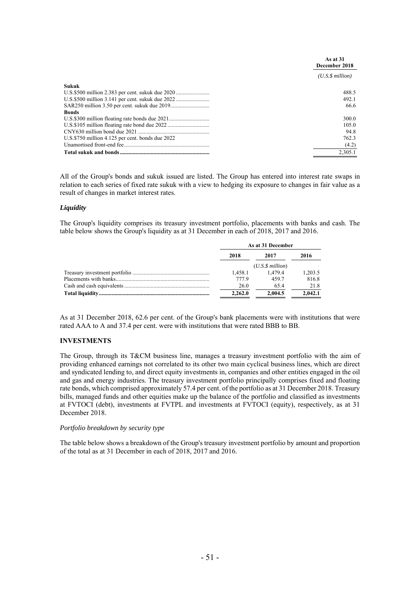|                                                  | As at 31<br>December 2018 |
|--------------------------------------------------|---------------------------|
|                                                  | (U.S.S.million)           |
| Sukuk                                            |                           |
|                                                  | 488.5                     |
|                                                  | 492.1                     |
|                                                  | 66.6                      |
| <b>Bonds</b>                                     |                           |
|                                                  | 300.0                     |
|                                                  | 105.0                     |
|                                                  | 94.8                      |
| U.S.\$750 million 4.125 per cent. bonds due 2022 | 762.3                     |
|                                                  | (4.2)                     |
|                                                  | 2,305.1                   |

All of the Group's bonds and sukuk issued are listed. The Group has entered into interest rate swaps in relation to each series of fixed rate sukuk with a view to hedging its exposure to changes in fair value as a result of changes in market interest rates.

### *Liquidity*

The Group's liquidity comprises its treasury investment portfolio, placements with banks and cash. The table below shows the Group's liquidity as at 31 December in each of 2018, 2017 and 2016.

| As at 31 December |                         |         |
|-------------------|-------------------------|---------|
| 2018              | 2017                    | 2016    |
|                   | $(U.S.\$ \$ million $)$ |         |
| 1.458.1           | 1.479.4                 | 1,203.5 |
| 777.9             | 459.7                   | 816.8   |
| 26.0              | 65.4                    | 21.8    |
| 2.262.0           | 2.004.5                 | 2.042.1 |

As at 31 December 2018, 62.6 per cent. of the Group's bank placements were with institutions that were rated AAA to A and 37.4 per cent. were with institutions that were rated BBB to BB.

#### **INVESTMENTS**

The Group, through its T&CM business line, manages a treasury investment portfolio with the aim of providing enhanced earnings not correlated to its other two main cyclical business lines, which are direct and syndicated lending to, and direct equity investments in, companies and other entities engaged in the oil and gas and energy industries. The treasury investment portfolio principally comprises fixed and floating rate bonds, which comprised approximately 57.4 per cent. of the portfolio as at 31 December 2018. Treasury bills, managed funds and other equities make up the balance of the portfolio and classified as investments at FVTOCI (debt), investments at FVTPL and investments at FVTOCI (equity), respectively, as at 31 December 2018.

#### *Portfolio breakdown by security type*

The table below shows a breakdown of the Group's treasury investment portfolio by amount and proportion of the total as at 31 December in each of 2018, 2017 and 2016.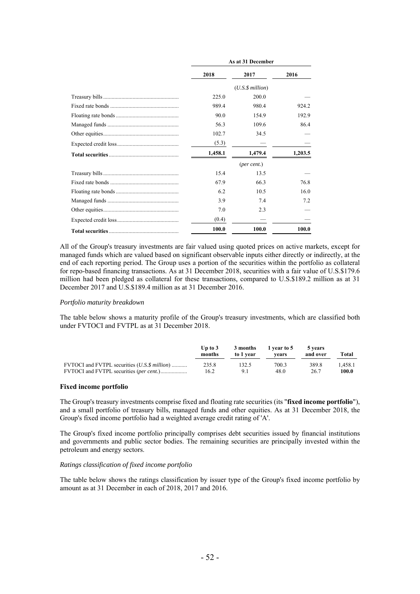| As at 31 December |                         |         |  |
|-------------------|-------------------------|---------|--|
| 2018              | 2017                    | 2016    |  |
|                   | $(U.S.\$ \$ million $)$ |         |  |
| 225.0             | 200.0                   |         |  |
| 989.4             | 980.4                   | 924.2   |  |
| 90.0              | 154.9                   | 192.9   |  |
| 56.3              | 109.6                   | 86.4    |  |
| 102.7             | 34.5                    |         |  |
| (5.3)             |                         |         |  |
| 1,458.1           | 1,479.4                 | 1,203.5 |  |
|                   | $(\text{per cent.})$    |         |  |
| 15.4              | 13.5                    |         |  |
| 67.9              | 66.3                    | 76.8    |  |
| 6.2               | 10.5                    | 16.0    |  |
| 3.9               | 7.4                     | 7.2     |  |
| 7.0               | 2.3                     |         |  |
| (0.4)             |                         |         |  |
| 100.0             | 100.0                   | 100.0   |  |

All of the Group's treasury investments are fair valued using quoted prices on active markets, except for managed funds which are valued based on significant observable inputs either directly or indirectly, at the end of each reporting period. The Group uses a portion of the securities within the portfolio as collateral for repo-based financing transactions. As at 31 December 2018, securities with a fair value of U.S.\$179.6 million had been pledged as collateral for these transactions, compared to U.S.\$189.2 million as at 31 December 2017 and U.S.\$189.4 million as at 31 December 2016.

#### *Portfolio maturity breakdown*

The table below shows a maturity profile of the Group's treasury investments, which are classified both under FVTOCI and FVTPL as at 31 December 2018.

|                                               | Up to $3$<br>months | 3 months<br>to 1 year | 1 year to 5<br>vears | 5 vears<br>and over | Total   |
|-----------------------------------------------|---------------------|-----------------------|----------------------|---------------------|---------|
| FVTOCI and FVTPL securities (U.S. \$ million) | 235.8               | 132.5                 | 700.3                | 389.8               | 1.458.1 |
|                                               | 16.2                | 9.1                   | 48.0                 | 26.7                | 100.0   |

### **Fixed income portfolio**

The Group's treasury investments comprise fixed and floating rate securities (its "**fixed income portfolio**"), and a small portfolio of treasury bills, managed funds and other equities. As at 31 December 2018, the Group's fixed income portfolio had a weighted average credit rating of 'A'.

The Group's fixed income portfolio principally comprises debt securities issued by financial institutions and governments and public sector bodies. The remaining securities are principally invested within the petroleum and energy sectors.

#### *Ratings classification of fixed income portfolio*

The table below shows the ratings classification by issuer type of the Group's fixed income portfolio by amount as at 31 December in each of 2018, 2017 and 2016.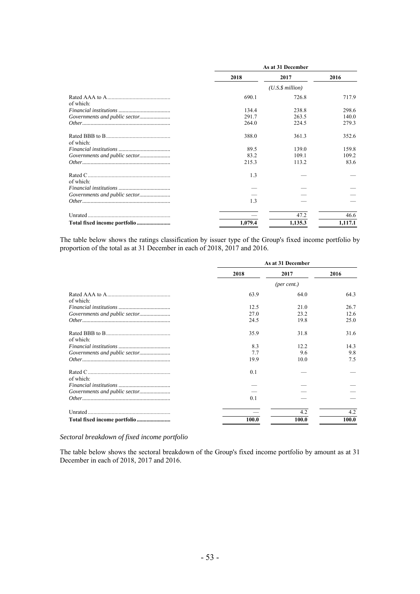|                               | As at 31 December |                      |         |
|-------------------------------|-------------------|----------------------|---------|
|                               | 2018              | 2017                 | 2016    |
|                               |                   | $(U.S.\$ \$ million) |         |
| of which:                     | 690.1             | 726.8                | 717.9   |
|                               | 134.4             | 238.8                | 298.6   |
|                               | 291.7             | 263.5                | 140.0   |
|                               | 264.0             | 224.5                | 279.3   |
| of which:                     | 388.0             | 361.3                | 352.6   |
|                               | 89.5              | 139.0                | 159.8   |
|                               | 83.2              | 109.1                | 109.2   |
|                               | 215.3             | 113.2                | 83.6    |
| of which:                     | 1.3               |                      |         |
|                               |                   |                      |         |
| Governments and public sector |                   |                      |         |
|                               | 1.3               |                      |         |
|                               |                   | 47.2                 | 46.6    |
|                               | 1,079.4           | 1,135.3              | 1,117.1 |

The table below shows the ratings classification by issuer type of the Group's fixed income portfolio by proportion of the total as at 31 December in each of 2018, 2017 and 2016.

|           |       | As at 31 December |       |
|-----------|-------|-------------------|-------|
|           | 2018  | 2017              | 2016  |
|           |       | (per cent.)       |       |
| of which: | 63.9  | 64.0              | 64.3  |
|           | 12.5  | 21.0              | 26.7  |
|           | 27.0  | 23.2              | 12.6  |
|           | 24.5  | 19.8              | 25.0  |
| of which: | 35.9  | 31.8              | 31.6  |
|           | 8.3   | 12.2              | 14.3  |
|           | 7.7   | 9.6               | 9.8   |
|           | 19.9  | 10.0              | 7.5   |
| of which: | 0.1   |                   |       |
|           |       |                   |       |
|           |       |                   |       |
|           | 0.1   |                   |       |
|           |       | 4.2               | 4.2   |
|           | 100.0 | 100.0             | 100.0 |

*Sectoral breakdown of fixed income portfolio* 

The table below shows the sectoral breakdown of the Group's fixed income portfolio by amount as at 31 December in each of 2018, 2017 and 2016.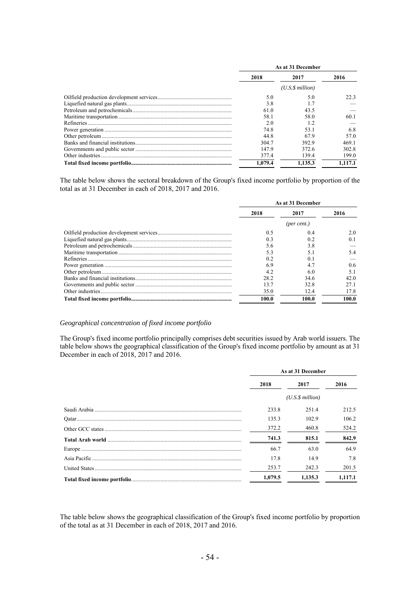| As at 31 December |                 |         |
|-------------------|-----------------|---------|
| 2018              | 2017            | 2016    |
|                   | (U.S.S.million) |         |
| 5.0               | 5.0             | 22.3    |
| 3.8               |                 |         |
| 61.0              | 43.5            |         |
| 58.1              | 58.0            | 60.1    |
| 2.0               | 1.2             |         |
| 74.8              | 53.1            | 6.8     |
| 44.8              | 67.9            | 57.0    |
| 304.7             | 392.9           | 469.1   |
| 147.9             | 372.6           | 302.8   |
| 377.4             | 139.4           | 199.0   |
| 1.079.4           | 1.135.3         | 1.117.1 |

The table below shows the sectoral breakdown of the Group's fixed income portfolio by proportion of the total as at 31 December in each of 2018, 2017 and 2016.

| As at 31 December |             |               |
|-------------------|-------------|---------------|
| 2018              | 2017        | 2016          |
|                   | (per cent.) |               |
| 0.5               | 0.4         | 2.0           |
| 0.3               | 0.2         | 0.1           |
| 5.6               | 3.8         |               |
| 5.3               | 5.1         | 5.4           |
| 0.2               | 0.1         |               |
| 6.9               | 4.7         | $0.6^{\circ}$ |
| 4.2               | 6.0         | 5.1           |
| 28.2              | 34.6        | 42.0          |
| 13.7              | 32.8        | 27.1          |
| 35.0              | 12.4        | 17.8          |
| 100.0             | 100.0       | 100.0         |

#### *Geographical concentration of fixed income portfolio*

The Group's fixed income portfolio principally comprises debt securities issued by Arab world issuers. The table below shows the geographical classification of the Group's fixed income portfolio by amount as at 31 December in each of 2018, 2017 and 2016.

| As at 31 December |                 |         |
|-------------------|-----------------|---------|
| 2018              | 2017            | 2016    |
|                   | (U.S.S.million) |         |
| 233.8             | 251.4           | 212.5   |
| 135.3             | 102.9           | 106.2   |
| 372.2             | 460.8           | 524.2   |
| 741.3             | 815.1           | 842.9   |
| 66.7              | 63.0            | 64.9    |
| 17.8              | 14.9            | 7.8     |
| 253.7             | 242.3           | 201.5   |
| 1.079.5           | 1.135.3         | 1.117.1 |

The table below shows the geographical classification of the Group's fixed income portfolio by proportion of the total as at 31 December in each of 2018, 2017 and 2016.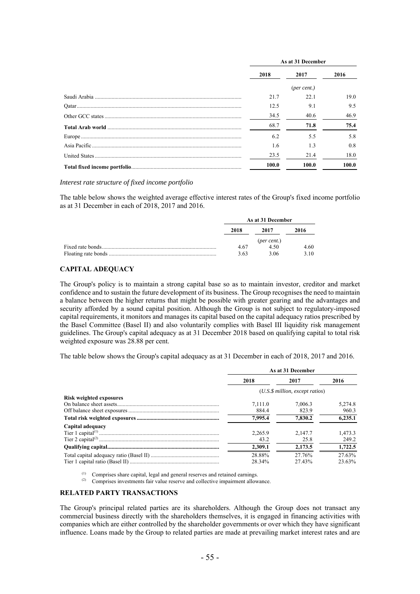| As at 31 December |                      |       |
|-------------------|----------------------|-------|
| 2018              | 2017                 | 2016  |
|                   | $(\text{per cent.})$ |       |
| 21.7              | 22.1                 | 19.0  |
| 12.5              | 9.1                  | 9.5   |
| 34.5              | 40.6                 | 46.9  |
| 68.7              | 71.8                 | 75.4  |
| 6.2               | 5.5                  | 5.8   |
| 1.6               | 1.3                  | 0.8   |
| 23.5              | 21.4                 | 18.0  |
| 100.0             | 100.0                | 100.0 |

*Interest rate structure of fixed income portfolio* 

The table below shows the weighted average effective interest rates of the Group's fixed income portfolio as at 31 December in each of 2018, 2017 and 2016.

| As at 31 December |                      |      |
|-------------------|----------------------|------|
| 2018              | 2017                 | 2016 |
|                   | $(\text{per cent.})$ |      |
| 4.67              | 4.50                 | 4.60 |
| 3.63              | 3.06                 | 3.10 |

## **CAPITAL ADEQUACY**

The Group's policy is to maintain a strong capital base so as to maintain investor, creditor and market confidence and to sustain the future development of its business. The Group recognises the need to maintain a balance between the higher returns that might be possible with greater gearing and the advantages and security afforded by a sound capital position. Although the Group is not subject to regulatory-imposed capital requirements, it monitors and manages its capital based on the capital adequacy ratios prescribed by the Basel Committee (Basel II) and also voluntarily complies with Basel III liquidity risk management guidelines. The Group's capital adequacy as at 31 December 2018 based on qualifying capital to total risk weighted exposure was 28.88 per cent.

The table below shows the Group's capital adequacy as at 31 December in each of 2018, 2017 and 2016.

|                                | As at 31 December                   |         |         |  |
|--------------------------------|-------------------------------------|---------|---------|--|
|                                | 2018                                | 2017    | 2016    |  |
|                                | $(U.S.\$ \$ million, except ratios) |         |         |  |
| <b>Risk weighted exposures</b> |                                     |         |         |  |
|                                | 7.111.0                             | 7,006.3 | 5,274.8 |  |
|                                | 884.4                               | 823.9   | 960.3   |  |
|                                | 7.995.4                             | 7,830.2 | 6,235.1 |  |
| Capital adequacy               |                                     |         |         |  |
|                                | 2.265.9                             | 2.147.7 | 1.473.3 |  |
|                                | 43.2                                | 25.8    | 249.2   |  |
|                                | 2.309.1                             | 2.173.5 | 1,722.5 |  |
|                                | 28.88%                              | 27.76%  | 27.63%  |  |
|                                | 28.34%                              | 27.43%  | 23.63%  |  |

(1) Comprises share capital, legal and general reserves and retained earnings.<br>(2) Comprises investments fair value reserve and collective impairment allow

Comprises investments fair value reserve and collective impairment allowance.

#### **RELATED PARTY TRANSACTIONS**

The Group's principal related parties are its shareholders. Although the Group does not transact any commercial business directly with the shareholders themselves, it is engaged in financing activities with companies which are either controlled by the shareholder governments or over which they have significant influence. Loans made by the Group to related parties are made at prevailing market interest rates and are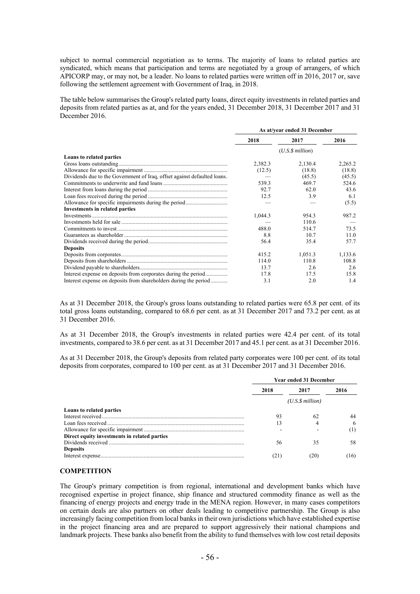subject to normal commercial negotiation as to terms. The majority of loans to related parties are syndicated, which means that participation and terms are negotiated by a group of arrangers, of which APICORP may, or may not, be a leader. No loans to related parties were written off in 2016, 2017 or, save following the settlement agreement with Government of Iraq, in 2018.

The table below summarises the Group's related party loans, direct equity investments in related parties and deposits from related parties as at, and for the years ended, 31 December 2018, 31 December 2017 and 31 December 2016.

|                                                                          | As at/year ended 31 December |         |         |
|--------------------------------------------------------------------------|------------------------------|---------|---------|
|                                                                          | 2018                         | 2017    | 2016    |
|                                                                          | $(U.S.\$ \$ million $)$      |         |         |
| Loans to related parties                                                 |                              |         |         |
|                                                                          | 2,382.3                      | 2,130.4 | 2,265.2 |
|                                                                          | (12.5)                       | (18.8)  | (18.8)  |
| Dividends due to the Government of Iraq, offset against defaulted loans. |                              | (45.5)  | (45.5)  |
|                                                                          | 539.3                        | 469.7   | 524.6   |
|                                                                          | 92.7                         | 62.0    | 43.6    |
|                                                                          | 12.5                         | 3.9     | 6.1     |
|                                                                          |                              |         | (5.5)   |
| <b>Investments in related parties</b>                                    |                              |         |         |
|                                                                          | 1,044.3                      | 954.3   | 987.2   |
|                                                                          |                              | 110.6   |         |
|                                                                          | 488.0                        | 514.7   | 73.5    |
|                                                                          | 8.8                          | 10.7    | 11.0    |
|                                                                          | 56.4                         | 35.4    | 57.7    |
| <b>Deposits</b>                                                          |                              |         |         |
|                                                                          | 415.2                        | 1,051.3 | 1,133.6 |
|                                                                          | 114.0                        | 110.8   | 108.8   |
|                                                                          | 13.7                         | 2.6     | 2.6     |
|                                                                          | 17.8                         | 17.5    | 15.8    |
| Interest expense on deposits from shareholders during the period         | 3.1                          | 2.0     | 1.4     |

As at 31 December 2018, the Group's gross loans outstanding to related parties were 65.8 per cent. of its total gross loans outstanding, compared to 68.6 per cent. as at 31 December 2017 and 73.2 per cent. as at 31 December 2016.

As at 31 December 2018, the Group's investments in related parties were 42.4 per cent. of its total investments, compared to 38.6 per cent. as at 31 December 2017 and 45.1 per cent. as at 31 December 2016.

As at 31 December 2018, the Group's deposits from related party corporates were 100 per cent. of its total deposits from corporates, compared to 100 per cent. as at 31 December 2017 and 31 December 2016.

|                                              | <b>Year ended 31 December</b> |                      |      |
|----------------------------------------------|-------------------------------|----------------------|------|
|                                              | 2018                          | 2017                 | 2016 |
|                                              |                               | $(U.S.\$ \$ million) |      |
| Loans to related parties                     |                               |                      |      |
|                                              | 93                            | 62                   | 44   |
|                                              | 13                            |                      | 6    |
|                                              |                               |                      |      |
| Direct equity investments in related parties |                               |                      |      |
|                                              | 56                            | 35                   | 58   |
| <b>Deposits</b>                              |                               |                      |      |
|                                              | 21                            |                      | [16] |

### **COMPETITION**

The Group's primary competition is from regional, international and development banks which have recognised expertise in project finance, ship finance and structured commodity finance as well as the financing of energy projects and energy trade in the MENA region. However, in many cases competitors on certain deals are also partners on other deals leading to competitive partnership. The Group is also increasingly facing competition from local banks in their own jurisdictions which have established expertise in the project financing area and are prepared to support aggressively their national champions and landmark projects. These banks also benefit from the ability to fund themselves with low cost retail deposits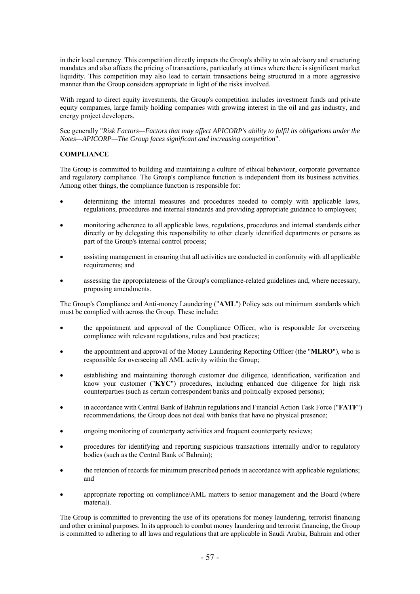in their local currency. This competition directly impacts the Group's ability to win advisory and structuring mandates and also affects the pricing of transactions, particularly at times where there is significant market liquidity. This competition may also lead to certain transactions being structured in a more aggressive manner than the Group considers appropriate in light of the risks involved.

With regard to direct equity investments, the Group's competition includes investment funds and private equity companies, large family holding companies with growing interest in the oil and gas industry, and energy project developers.

See generally "*Risk Factors—Factors that may affect APICORP's ability to fulfil its obligations under the Notes—APICORP—The Group faces significant and increasing competition*".

## **COMPLIANCE**

The Group is committed to building and maintaining a culture of ethical behaviour, corporate governance and regulatory compliance. The Group's compliance function is independent from its business activities. Among other things, the compliance function is responsible for:

- determining the internal measures and procedures needed to comply with applicable laws, regulations, procedures and internal standards and providing appropriate guidance to employees;
- monitoring adherence to all applicable laws, regulations, procedures and internal standards either directly or by delegating this responsibility to other clearly identified departments or persons as part of the Group's internal control process;
- assisting management in ensuring that all activities are conducted in conformity with all applicable requirements; and
- assessing the appropriateness of the Group's compliance-related guidelines and, where necessary, proposing amendments.

The Group's Compliance and Anti-money Laundering ("**AML**") Policy sets out minimum standards which must be complied with across the Group. These include:

- the appointment and approval of the Compliance Officer, who is responsible for overseeing compliance with relevant regulations, rules and best practices;
- the appointment and approval of the Money Laundering Reporting Officer (the "**MLRO**"), who is responsible for overseeing all AML activity within the Group;
- establishing and maintaining thorough customer due diligence, identification, verification and know your customer ("**KYC**") procedures, including enhanced due diligence for high risk counterparties (such as certain correspondent banks and politically exposed persons);
- in accordance with Central Bank of Bahrain regulations and Financial Action Task Force ("**FATF**") recommendations, the Group does not deal with banks that have no physical presence;
- ongoing monitoring of counterparty activities and frequent counterparty reviews;
- procedures for identifying and reporting suspicious transactions internally and/or to regulatory bodies (such as the Central Bank of Bahrain);
- the retention of records for minimum prescribed periods in accordance with applicable regulations; and
- appropriate reporting on compliance/AML matters to senior management and the Board (where material).

The Group is committed to preventing the use of its operations for money laundering, terrorist financing and other criminal purposes. In its approach to combat money laundering and terrorist financing, the Group is committed to adhering to all laws and regulations that are applicable in Saudi Arabia, Bahrain and other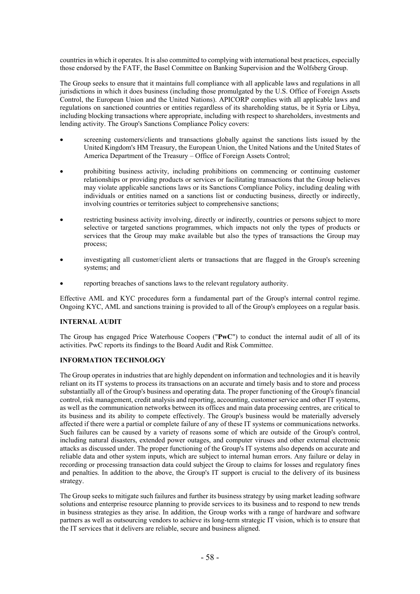countries in which it operates. It is also committed to complying with international best practices, especially those endorsed by the FATF, the Basel Committee on Banking Supervision and the Wolfsberg Group.

The Group seeks to ensure that it maintains full compliance with all applicable laws and regulations in all jurisdictions in which it does business (including those promulgated by the U.S. Office of Foreign Assets Control, the European Union and the United Nations). APICORP complies with all applicable laws and regulations on sanctioned countries or entities regardless of its shareholding status, be it Syria or Libya, including blocking transactions where appropriate, including with respect to shareholders, investments and lending activity. The Group's Sanctions Compliance Policy covers:

- screening customers/clients and transactions globally against the sanctions lists issued by the United Kingdom's HM Treasury, the European Union, the United Nations and the United States of America Department of the Treasury – Office of Foreign Assets Control;
- prohibiting business activity, including prohibitions on commencing or continuing customer relationships or providing products or services or facilitating transactions that the Group believes may violate applicable sanctions laws or its Sanctions Compliance Policy, including dealing with individuals or entities named on a sanctions list or conducting business, directly or indirectly, involving countries or territories subject to comprehensive sanctions;
- restricting business activity involving, directly or indirectly, countries or persons subject to more selective or targeted sanctions programmes, which impacts not only the types of products or services that the Group may make available but also the types of transactions the Group may process;
- investigating all customer/client alerts or transactions that are flagged in the Group's screening systems: and
- reporting breaches of sanctions laws to the relevant regulatory authority.

Effective AML and KYC procedures form a fundamental part of the Group's internal control regime. Ongoing KYC, AML and sanctions training is provided to all of the Group's employees on a regular basis.

### **INTERNAL AUDIT**

The Group has engaged Price Waterhouse Coopers ("**PwC**") to conduct the internal audit of all of its activities. PwC reports its findings to the Board Audit and Risk Committee.

# **INFORMATION TECHNOLOGY**

The Group operates in industries that are highly dependent on information and technologies and it is heavily reliant on its IT systems to process its transactions on an accurate and timely basis and to store and process substantially all of the Group's business and operating data. The proper functioning of the Group's financial control, risk management, credit analysis and reporting, accounting, customer service and other IT systems, as well as the communication networks between its offices and main data processing centres, are critical to its business and its ability to compete effectively. The Group's business would be materially adversely affected if there were a partial or complete failure of any of these IT systems or communications networks. Such failures can be caused by a variety of reasons some of which are outside of the Group's control, including natural disasters, extended power outages, and computer viruses and other external electronic attacks as discussed under. The proper functioning of the Group's IT systems also depends on accurate and reliable data and other system inputs, which are subject to internal human errors. Any failure or delay in recording or processing transaction data could subject the Group to claims for losses and regulatory fines and penalties. In addition to the above, the Group's IT support is crucial to the delivery of its business strategy.

The Group seeks to mitigate such failures and further its business strategy by using market leading software solutions and enterprise resource planning to provide services to its business and to respond to new trends in business strategies as they arise. In addition, the Group works with a range of hardware and software partners as well as outsourcing vendors to achieve its long-term strategic IT vision, which is to ensure that the IT services that it delivers are reliable, secure and business aligned.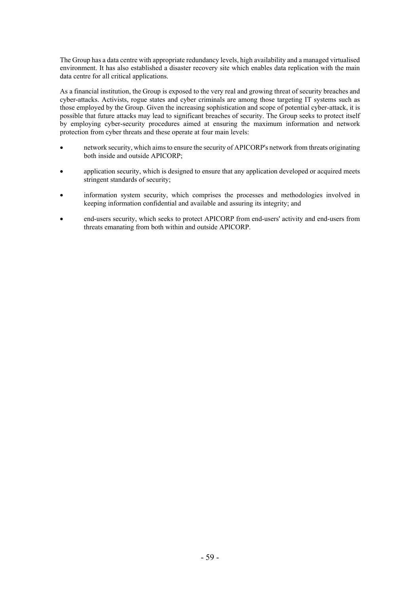The Group has a data centre with appropriate redundancy levels, high availability and a managed virtualised environment. It has also established a disaster recovery site which enables data replication with the main data centre for all critical applications.

As a financial institution, the Group is exposed to the very real and growing threat of security breaches and cyber-attacks. Activists, rogue states and cyber criminals are among those targeting IT systems such as those employed by the Group. Given the increasing sophistication and scope of potential cyber-attack, it is possible that future attacks may lead to significant breaches of security. The Group seeks to protect itself by employing cyber-security procedures aimed at ensuring the maximum information and network protection from cyber threats and these operate at four main levels:

- network security, which aims to ensure the security of APICORP's network from threats originating both inside and outside APICORP;
- application security, which is designed to ensure that any application developed or acquired meets stringent standards of security;
- information system security, which comprises the processes and methodologies involved in keeping information confidential and available and assuring its integrity; and
- end-users security, which seeks to protect APICORP from end-users' activity and end-users from threats emanating from both within and outside APICORP.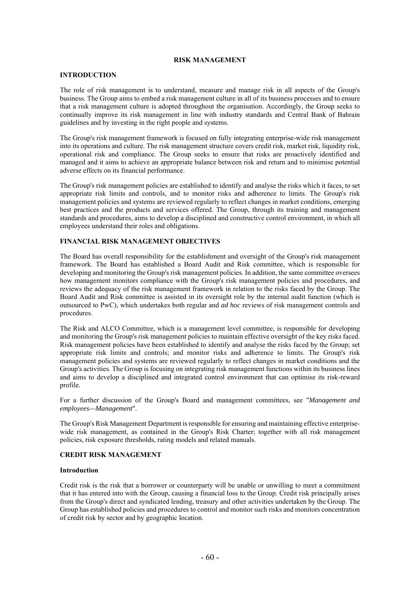### **RISK MANAGEMENT**

#### **INTRODUCTION**

The role of risk management is to understand, measure and manage risk in all aspects of the Group's business. The Group aims to embed a risk management culture in all of its business processes and to ensure that a risk management culture is adopted throughout the organisation. Accordingly, the Group seeks to continually improve its risk management in line with industry standards and Central Bank of Bahrain guidelines and by investing in the right people and systems.

The Group's risk management framework is focused on fully integrating enterprise-wide risk management into its operations and culture. The risk management structure covers credit risk, market risk, liquidity risk, operational risk and compliance. The Group seeks to ensure that risks are proactively identified and managed and it aims to achieve an appropriate balance between risk and return and to minimise potential adverse effects on its financial performance.

The Group's risk management policies are established to identify and analyse the risks which it faces, to set appropriate risk limits and controls, and to monitor risks and adherence to limits. The Group's risk management policies and systems are reviewed regularly to reflect changes in market conditions, emerging best practices and the products and services offered. The Group, through its training and management standards and procedures, aims to develop a disciplined and constructive control environment, in which all employees understand their roles and obligations.

#### **FINANCIAL RISK MANAGEMENT OBJECTIVES**

The Board has overall responsibility for the establishment and oversight of the Group's risk management framework. The Board has established a Board Audit and Risk committee, which is responsible for developing and monitoring the Group's risk management policies. In addition, the same committee oversees how management monitors compliance with the Group's risk management policies and procedures, and reviews the adequacy of the risk management framework in relation to the risks faced by the Group. The Board Audit and Risk committee is assisted in its oversight role by the internal audit function (which is outsourced to PwC), which undertakes both regular and *ad hoc* reviews of risk management controls and procedures.

The Risk and ALCO Committee, which is a management level committee, is responsible for developing and monitoring the Group's risk management policies to maintain effective oversight of the key risks faced. Risk management policies have been established to identify and analyse the risks faced by the Group; set appropriate risk limits and controls; and monitor risks and adherence to limits. The Group's risk management policies and systems are reviewed regularly to reflect changes in market conditions and the Group's activities. The Group is focusing on integrating risk management functions within its business lines and aims to develop a disciplined and integrated control environment that can optimise its risk-reward profile.

For a further discussion of the Group's Board and management committees, see "*Management and employees—Management*".

The Group's Risk Management Department is responsible for ensuring and maintaining effective enterprisewide risk management, as contained in the Group's Risk Charter; together with all risk management policies, risk exposure thresholds, rating models and related manuals.

### **CREDIT RISK MANAGEMENT**

#### **Introduction**

Credit risk is the risk that a borrower or counterparty will be unable or unwilling to meet a commitment that it has entered into with the Group, causing a financial loss to the Group. Credit risk principally arises from the Group's direct and syndicated lending, treasury and other activities undertaken by the Group. The Group has established policies and procedures to control and monitor such risks and monitors concentration of credit risk by sector and by geographic location.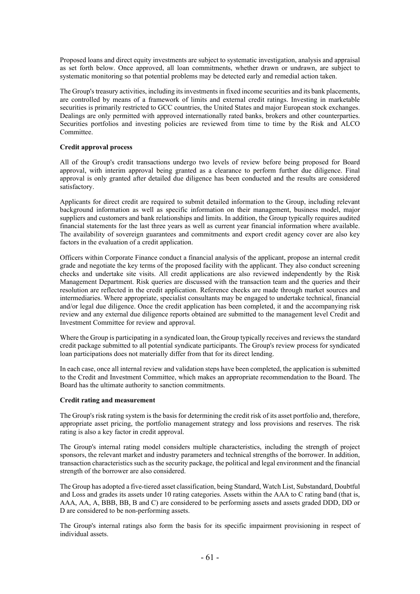Proposed loans and direct equity investments are subject to systematic investigation, analysis and appraisal as set forth below. Once approved, all loan commitments, whether drawn or undrawn, are subject to systematic monitoring so that potential problems may be detected early and remedial action taken.

The Group's treasury activities, including its investments in fixed income securities and its bank placements, are controlled by means of a framework of limits and external credit ratings. Investing in marketable securities is primarily restricted to GCC countries, the United States and major European stock exchanges. Dealings are only permitted with approved internationally rated banks, brokers and other counterparties. Securities portfolios and investing policies are reviewed from time to time by the Risk and ALCO Committee.

## **Credit approval process**

All of the Group's credit transactions undergo two levels of review before being proposed for Board approval, with interim approval being granted as a clearance to perform further due diligence. Final approval is only granted after detailed due diligence has been conducted and the results are considered satisfactory.

Applicants for direct credit are required to submit detailed information to the Group, including relevant background information as well as specific information on their management, business model, major suppliers and customers and bank relationships and limits. In addition, the Group typically requires audited financial statements for the last three years as well as current year financial information where available. The availability of sovereign guarantees and commitments and export credit agency cover are also key factors in the evaluation of a credit application.

Officers within Corporate Finance conduct a financial analysis of the applicant, propose an internal credit grade and negotiate the key terms of the proposed facility with the applicant. They also conduct screening checks and undertake site visits. All credit applications are also reviewed independently by the Risk Management Department. Risk queries are discussed with the transaction team and the queries and their resolution are reflected in the credit application. Reference checks are made through market sources and intermediaries. Where appropriate, specialist consultants may be engaged to undertake technical, financial and/or legal due diligence. Once the credit application has been completed, it and the accompanying risk review and any external due diligence reports obtained are submitted to the management level Credit and Investment Committee for review and approval.

Where the Group is participating in a syndicated loan, the Group typically receives and reviews the standard credit package submitted to all potential syndicate participants. The Group's review process for syndicated loan participations does not materially differ from that for its direct lending.

In each case, once all internal review and validation steps have been completed, the application is submitted to the Credit and Investment Committee, which makes an appropriate recommendation to the Board. The Board has the ultimate authority to sanction commitments.

#### **Credit rating and measurement**

The Group's risk rating system is the basis for determining the credit risk of its asset portfolio and, therefore, appropriate asset pricing, the portfolio management strategy and loss provisions and reserves. The risk rating is also a key factor in credit approval.

The Group's internal rating model considers multiple characteristics, including the strength of project sponsors, the relevant market and industry parameters and technical strengths of the borrower. In addition, transaction characteristics such as the security package, the political and legal environment and the financial strength of the borrower are also considered.

The Group has adopted a five-tiered asset classification, being Standard, Watch List, Substandard, Doubtful and Loss and grades its assets under 10 rating categories. Assets within the AAA to C rating band (that is, AAA, AA, A, BBB, BB, B and C) are considered to be performing assets and assets graded DDD, DD or D are considered to be non-performing assets.

The Group's internal ratings also form the basis for its specific impairment provisioning in respect of individual assets.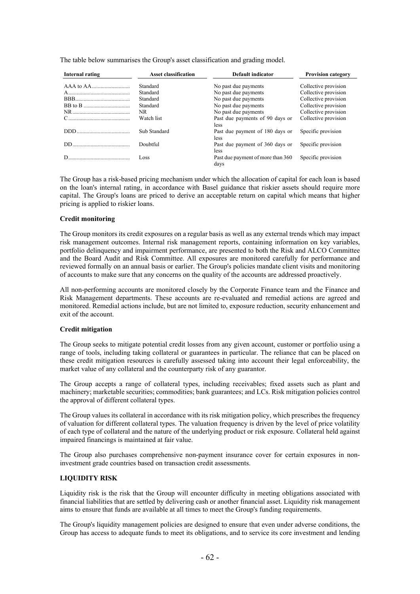| Internal rating | <b>Asset classification</b> | <b>Default indicator</b>                       | <b>Provision category</b> |
|-----------------|-----------------------------|------------------------------------------------|---------------------------|
|                 | Standard                    | No past due payments                           | Collective provision      |
|                 | Standard                    | No past due payments                           | Collective provision      |
|                 | Standard                    | No past due payments                           | Collective provision      |
|                 | Standard                    | No past due payments                           | Collective provision      |
|                 | NR.                         | No past due payments                           | Collective provision      |
|                 | Watch list                  | Past due payments of 90 days or<br><i>less</i> | Collective provision      |
|                 | Sub Standard                | Past due payment of 180 days or<br><i>less</i> | Specific provision        |
| DD.             | Doubtful                    | Past due payment of 360 days or<br>less        | Specific provision        |
|                 | Loss                        | Past due payment of more than 360<br>davs      | Specific provision        |

The table below summarises the Group's asset classification and grading model.

The Group has a risk-based pricing mechanism under which the allocation of capital for each loan is based on the loan's internal rating, in accordance with Basel guidance that riskier assets should require more capital. The Group's loans are priced to derive an acceptable return on capital which means that higher pricing is applied to riskier loans.

### **Credit monitoring**

The Group monitors its credit exposures on a regular basis as well as any external trends which may impact risk management outcomes. Internal risk management reports, containing information on key variables, portfolio delinquency and impairment performance, are presented to both the Risk and ALCO Committee and the Board Audit and Risk Committee. All exposures are monitored carefully for performance and reviewed formally on an annual basis or earlier. The Group's policies mandate client visits and monitoring of accounts to make sure that any concerns on the quality of the accounts are addressed proactively.

All non-performing accounts are monitored closely by the Corporate Finance team and the Finance and Risk Management departments. These accounts are re-evaluated and remedial actions are agreed and monitored. Remedial actions include, but are not limited to, exposure reduction, security enhancement and exit of the account.

## **Credit mitigation**

The Group seeks to mitigate potential credit losses from any given account, customer or portfolio using a range of tools, including taking collateral or guarantees in particular. The reliance that can be placed on these credit mitigation resources is carefully assessed taking into account their legal enforceability, the market value of any collateral and the counterparty risk of any guarantor.

The Group accepts a range of collateral types, including receivables; fixed assets such as plant and machinery; marketable securities; commodities; bank guarantees; and LCs. Risk mitigation policies control the approval of different collateral types.

The Group values its collateral in accordance with its risk mitigation policy, which prescribes the frequency of valuation for different collateral types. The valuation frequency is driven by the level of price volatility of each type of collateral and the nature of the underlying product or risk exposure. Collateral held against impaired financings is maintained at fair value.

The Group also purchases comprehensive non-payment insurance cover for certain exposures in noninvestment grade countries based on transaction credit assessments.

## **LIQUIDITY RISK**

Liquidity risk is the risk that the Group will encounter difficulty in meeting obligations associated with financial liabilities that are settled by delivering cash or another financial asset. Liquidity risk management aims to ensure that funds are available at all times to meet the Group's funding requirements.

The Group's liquidity management policies are designed to ensure that even under adverse conditions, the Group has access to adequate funds to meet its obligations, and to service its core investment and lending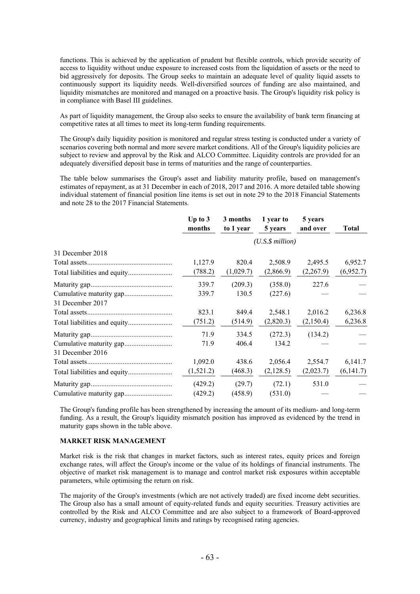functions. This is achieved by the application of prudent but flexible controls, which provide security of access to liquidity without undue exposure to increased costs from the liquidation of assets or the need to bid aggressively for deposits. The Group seeks to maintain an adequate level of quality liquid assets to continuously support its liquidity needs. Well-diversified sources of funding are also maintained, and liquidity mismatches are monitored and managed on a proactive basis. The Group's liquidity risk policy is in compliance with Basel III guidelines.

As part of liquidity management, the Group also seeks to ensure the availability of bank term financing at competitive rates at all times to meet its long-term funding requirements.

The Group's daily liquidity position is monitored and regular stress testing is conducted under a variety of scenarios covering both normal and more severe market conditions. All of the Group's liquidity policies are subject to review and approval by the Risk and ALCO Committee. Liquidity controls are provided for an adequately diversified deposit base in terms of maturities and the range of counterparties.

The table below summarises the Group's asset and liability maturity profile, based on management's estimates of repayment, as at 31 December in each of 2018, 2017 and 2016. A more detailed table showing individual statement of financial position line items is set out in note 29 to the 2018 Financial Statements and note 28 to the 2017 Financial Statements.

|                              | Up to $3$<br>months  | 3 months<br>to 1 year | 1 year to<br>5 years | 5 years<br>and over | Total     |
|------------------------------|----------------------|-----------------------|----------------------|---------------------|-----------|
|                              | $(U.S.\$ \$ million) |                       |                      |                     |           |
| 31 December 2018             |                      |                       |                      |                     |           |
|                              | 1,127.9              | 820.4                 | 2,508.9              | 2,495.5             | 6,952.7   |
| Total liabilities and equity | (788.2)              | (1,029.7)             | (2,866.9)            | (2,267.9)           | (6,952.7) |
|                              | 339.7                | (209.3)               | (358.0)              | 227.6               |           |
|                              | 339.7                | 130.5                 | (227.6)              |                     |           |
| 31 December 2017             |                      |                       |                      |                     |           |
|                              | 823.1                | 849.4                 | 2,548.1              | 2,016.2             | 6,236.8   |
|                              | (751.2)              | (514.9)               | (2,820.3)            | (2,150.4)           | 6,236.8   |
|                              | 71.9                 | 334.5                 | (272.3)              | (134.2)             |           |
|                              | 71.9                 | 406.4                 | 134.2                |                     |           |
| 31 December 2016             |                      |                       |                      |                     |           |
|                              | 1,092.0              | 438.6                 | 2,056.4              | 2,554.7             | 6,141.7   |
|                              | (1,521.2)            | (468.3)               | (2,128.5)            | (2,023.7)           | (6,141.7) |
|                              | (429.2)              | (29.7)                | (72.1)               | 531.0               |           |
|                              | (429.2)              | (458.9)               | (531.0)              |                     |           |

The Group's funding profile has been strengthened by increasing the amount of its medium- and long-term funding. As a result, the Group's liquidity mismatch position has improved as evidenced by the trend in maturity gaps shown in the table above.

#### **MARKET RISK MANAGEMENT**

Market risk is the risk that changes in market factors, such as interest rates, equity prices and foreign exchange rates, will affect the Group's income or the value of its holdings of financial instruments. The objective of market risk management is to manage and control market risk exposures within acceptable parameters, while optimising the return on risk.

The majority of the Group's investments (which are not actively traded) are fixed income debt securities. The Group also has a small amount of equity-related funds and equity securities. Treasury activities are controlled by the Risk and ALCO Committee and are also subject to a framework of Board-approved currency, industry and geographical limits and ratings by recognised rating agencies.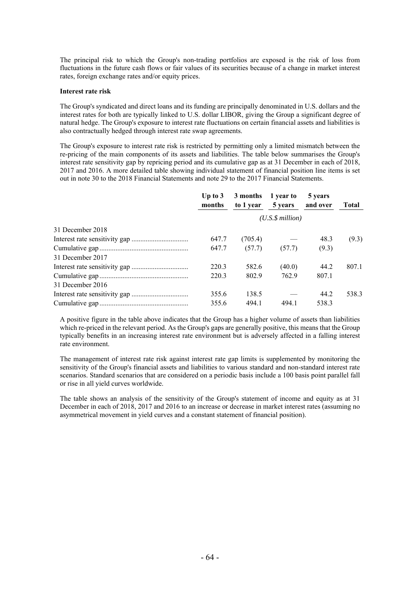The principal risk to which the Group's non-trading portfolios are exposed is the risk of loss from fluctuations in the future cash flows or fair values of its securities because of a change in market interest rates, foreign exchange rates and/or equity prices.

### **Interest rate risk**

The Group's syndicated and direct loans and its funding are principally denominated in U.S. dollars and the interest rates for both are typically linked to U.S. dollar LIBOR, giving the Group a significant degree of natural hedge. The Group's exposure to interest rate fluctuations on certain financial assets and liabilities is also contractually hedged through interest rate swap agreements.

The Group's exposure to interest rate risk is restricted by permitting only a limited mismatch between the re-pricing of the main components of its assets and liabilities. The table below summarises the Group's interest rate sensitivity gap by repricing period and its cumulative gap as at 31 December in each of 2018, 2017 and 2016. A more detailed table showing individual statement of financial position line items is set out in note 30 to the 2018 Financial Statements and note 29 to the 2017 Financial Statements.

|                  | Up to $3$<br>months  | 3 months<br>to 1 year | 1 year to<br>5 years | 5 years<br>and over | <b>Total</b> |
|------------------|----------------------|-----------------------|----------------------|---------------------|--------------|
|                  | $(U.S.\$ \$ million) |                       |                      |                     |              |
| 31 December 2018 |                      |                       |                      |                     |              |
|                  | 647.7                | (705.4)               |                      | 48.3                | (9.3)        |
|                  | 647.7                | (57.7)                | (57.7)               | (9.3)               |              |
| 31 December 2017 |                      |                       |                      |                     |              |
|                  | 220.3                | 582.6                 | (40.0)               | 44.2                | 807.1        |
|                  | 220.3                | 802.9                 | 762.9                | 807.1               |              |
| 31 December 2016 |                      |                       |                      |                     |              |
|                  | 355.6                | 138.5                 |                      | 44.2                | 538.3        |
|                  | 355.6                | 494.1                 | 494.1                | 538.3               |              |

A positive figure in the table above indicates that the Group has a higher volume of assets than liabilities which re-priced in the relevant period. As the Group's gaps are generally positive, this means that the Group typically benefits in an increasing interest rate environment but is adversely affected in a falling interest rate environment.

The management of interest rate risk against interest rate gap limits is supplemented by monitoring the sensitivity of the Group's financial assets and liabilities to various standard and non-standard interest rate scenarios. Standard scenarios that are considered on a periodic basis include a 100 basis point parallel fall or rise in all yield curves worldwide.

The table shows an analysis of the sensitivity of the Group's statement of income and equity as at 31 December in each of 2018, 2017 and 2016 to an increase or decrease in market interest rates (assuming no asymmetrical movement in yield curves and a constant statement of financial position).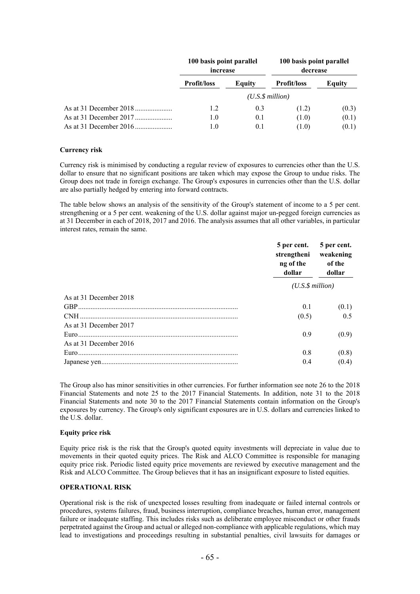| 100 basis point parallel<br>increase |        | 100 basis point parallel<br>decrease |        |
|--------------------------------------|--------|--------------------------------------|--------|
| <b>Profit/loss</b>                   | Equity | <b>Profit/loss</b>                   | Equity |
|                                      |        | (U.S.S.million)                      |        |
| 1.2                                  | 0.3    | (1.2)                                | (0.3)  |
| 1.0                                  | 0.1    | (1.0)                                | (0.1)  |
| 1.0                                  | 0.1    | (1.0)                                | (0.1)  |

#### **Currency risk**

Currency risk is minimised by conducting a regular review of exposures to currencies other than the U.S. dollar to ensure that no significant positions are taken which may expose the Group to undue risks. The Group does not trade in foreign exchange. The Group's exposures in currencies other than the U.S. dollar are also partially hedged by entering into forward contracts.

The table below shows an analysis of the sensitivity of the Group's statement of income to a 5 per cent. strengthening or a 5 per cent. weakening of the U.S. dollar against major un-pegged foreign currencies as at 31 December in each of 2018, 2017 and 2016. The analysis assumes that all other variables, in particular interest rates, remain the same.

|                        | 5 per cent.<br>strengtheni<br>ng of the<br>dollar | 5 per cent.<br>weakening<br>of the<br>dollar |  |
|------------------------|---------------------------------------------------|----------------------------------------------|--|
|                        | $(U.S.\$ \$ million)                              |                                              |  |
| As at 31 December 2018 |                                                   |                                              |  |
|                        | 0.1                                               | (0.1)                                        |  |
|                        | (0.5)                                             | 0.5                                          |  |
| As at 31 December 2017 |                                                   |                                              |  |
|                        | 0.9                                               | (0.9)                                        |  |
| As at 31 December 2016 |                                                   |                                              |  |
|                        | 0.8                                               | (0.8)                                        |  |
|                        | 0.4                                               | (0.4)                                        |  |

The Group also has minor sensitivities in other currencies. For further information see note 26 to the 2018 Financial Statements and note 25 to the 2017 Financial Statements. In addition, note 31 to the 2018 Financial Statements and note 30 to the 2017 Financial Statements contain information on the Group's exposures by currency. The Group's only significant exposures are in U.S. dollars and currencies linked to the U.S. dollar.

## **Equity price risk**

Equity price risk is the risk that the Group's quoted equity investments will depreciate in value due to movements in their quoted equity prices. The Risk and ALCO Committee is responsible for managing equity price risk. Periodic listed equity price movements are reviewed by executive management and the Risk and ALCO Committee. The Group believes that it has an insignificant exposure to listed equities.

### **OPERATIONAL RISK**

Operational risk is the risk of unexpected losses resulting from inadequate or failed internal controls or procedures, systems failures, fraud, business interruption, compliance breaches, human error, management failure or inadequate staffing. This includes risks such as deliberate employee misconduct or other frauds perpetrated against the Group and actual or alleged non-compliance with applicable regulations, which may lead to investigations and proceedings resulting in substantial penalties, civil lawsuits for damages or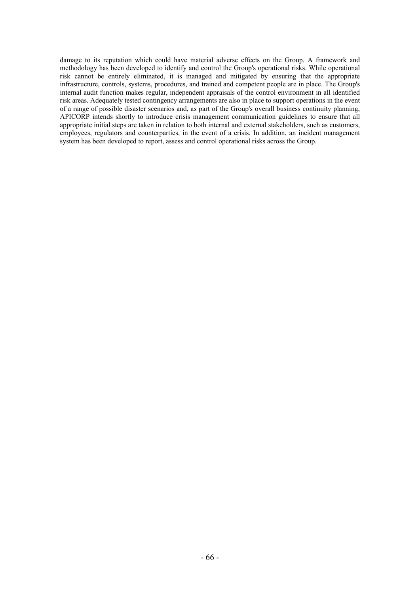damage to its reputation which could have material adverse effects on the Group. A framework and methodology has been developed to identify and control the Group's operational risks. While operational risk cannot be entirely eliminated, it is managed and mitigated by ensuring that the appropriate infrastructure, controls, systems, procedures, and trained and competent people are in place. The Group's internal audit function makes regular, independent appraisals of the control environment in all identified risk areas. Adequately tested contingency arrangements are also in place to support operations in the event of a range of possible disaster scenarios and, as part of the Group's overall business continuity planning, APICORP intends shortly to introduce crisis management communication guidelines to ensure that all appropriate initial steps are taken in relation to both internal and external stakeholders, such as customers, employees, regulators and counterparties, in the event of a crisis. In addition, an incident management system has been developed to report, assess and control operational risks across the Group.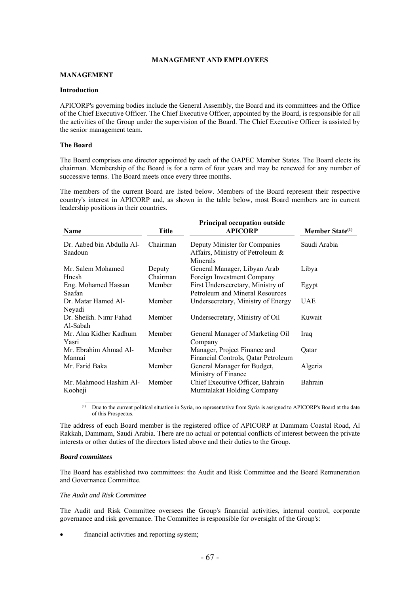## **MANAGEMENT AND EMPLOYEES**

#### **MANAGEMENT**

#### **Introduction**

APICORP's governing bodies include the General Assembly, the Board and its committees and the Office of the Chief Executive Officer. The Chief Executive Officer, appointed by the Board, is responsible for all the activities of the Group under the supervision of the Board. The Chief Executive Officer is assisted by the senior management team.

### **The Board**

The Board comprises one director appointed by each of the OAPEC Member States. The Board elects its chairman. Membership of the Board is for a term of four years and may be renewed for any number of successive terms. The Board meets once every three months.

The members of the current Board are listed below. Members of the Board represent their respective country's interest in APICORP and, as shown in the table below, most Board members are in current leadership positions in their countries.

| <b>Name</b>                          | <b>Title</b>       | <b>Principal occupation outside</b><br><b>APICORP</b>                         | Member State <sup>(1)</sup> |
|--------------------------------------|--------------------|-------------------------------------------------------------------------------|-----------------------------|
| Dr. Aabed bin Abdulla Al-<br>Saadoun | Chairman           | Deputy Minister for Companies<br>Affairs, Ministry of Petroleum &<br>Minerals | Saudi Arabia                |
| Mr. Salem Mohamed<br>Hnesh           | Deputy<br>Chairman | General Manager, Libyan Arab<br>Foreign Investment Company                    | Libya                       |
| Eng. Mohamed Hassan<br>Saafan        | Member             | First Undersecretary, Ministry of<br>Petroleum and Mineral Resources          | Egypt                       |
| Dr. Matar Hamed Al-<br>Neyadi        | Member             | Undersecretary, Ministry of Energy                                            | <b>UAE</b>                  |
| Dr. Sheikh. Nimr Fahad<br>Al-Sabah   | Member             | Undersecretary, Ministry of Oil                                               | Kuwait                      |
| Mr. Alaa Kidher Kadhum<br>Yasri      | Member             | General Manager of Marketing Oil<br>Company                                   | Iraq                        |
| Mr. Ebrahim Ahmad Al-<br>Mannai      | Member             | Manager, Project Finance and<br>Financial Controls, Qatar Petroleum           | Qatar                       |
| Mr. Farid Baka                       | Member             | General Manager for Budget,<br>Ministry of Finance                            | Algeria                     |
| Mr. Mahmood Hashim Al-<br>Kooheji    | Member             | Chief Executive Officer, Bahrain<br>Mumtalakat Holding Company                | Bahrain                     |

<sup>(1)</sup> Due to the current political situation in Syria, no representative from Syria is assigned to APICORP's Board at the date of this Prospectus.

The address of each Board member is the registered office of APICORP at Dammam Coastal Road, Al Rakkah, Dammam, Saudi Arabia. There are no actual or potential conflicts of interest between the private interests or other duties of the directors listed above and their duties to the Group.

#### *Board committees*

The Board has established two committees: the Audit and Risk Committee and the Board Remuneration and Governance Committee.

## *The Audit and Risk Committee*

The Audit and Risk Committee oversees the Group's financial activities, internal control, corporate governance and risk governance. The Committee is responsible for oversight of the Group's:

financial activities and reporting system;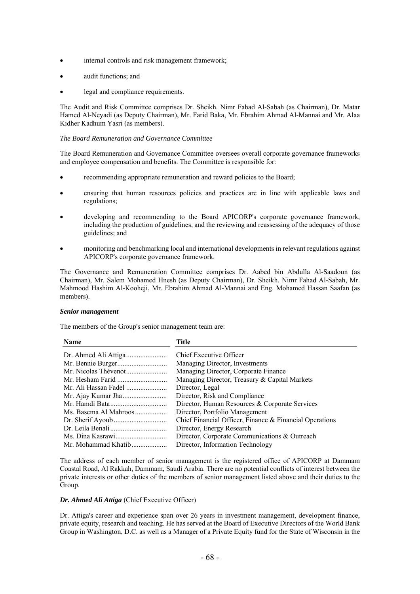- internal controls and risk management framework;
- audit functions; and
- legal and compliance requirements.

The Audit and Risk Committee comprises Dr. Sheikh. Nimr Fahad Al-Sabah (as Chairman), Dr. Matar Hamed Al-Neyadi (as Deputy Chairman), Mr. Farid Baka, Mr. Ebrahim Ahmad Al-Mannai and Mr. Alaa Kidher Kadhum Yasri (as members).

## *The Board Remuneration and Governance Committee*

The Board Remuneration and Governance Committee oversees overall corporate governance frameworks and employee compensation and benefits. The Committee is responsible for:

- recommending appropriate remuneration and reward policies to the Board;
- ensuring that human resources policies and practices are in line with applicable laws and regulations;
- developing and recommending to the Board APICORP's corporate governance framework, including the production of guidelines, and the reviewing and reassessing of the adequacy of those guidelines; and
- monitoring and benchmarking local and international developments in relevant regulations against APICORP's corporate governance framework.

The Governance and Remuneration Committee comprises Dr. Aabed bin Abdulla Al-Saadoun (as Chairman), Mr. Salem Mohamed Hnesh (as Deputy Chairman), Dr. Sheikh. Nimr Fahad Al-Sabah, Mr. Mahmood Hashim Al-Kooheji, Mr. Ebrahim Ahmad Al-Mannai and Eng. Mohamed Hassan Saafan (as members).

## *Senior management*

The members of the Group's senior management team are:

| <b>Name</b>           | Title                                                   |
|-----------------------|---------------------------------------------------------|
|                       | Chief Executive Officer                                 |
|                       | Managing Director, Investments                          |
|                       | Managing Director, Corporate Finance                    |
|                       | Managing Director, Treasury & Capital Markets           |
| Mr. Ali Hassan Fadel  | Director, Legal                                         |
|                       | Director, Risk and Compliance                           |
|                       | Director, Human Resources & Corporate Services          |
| Ms. Basema Al Mahroos | Director, Portfolio Management                          |
|                       | Chief Financial Officer, Finance & Financial Operations |
|                       | Director, Energy Research                               |
|                       | Director, Corporate Communications & Outreach           |
| Mr. Mohammad Khatib   | Director, Information Technology                        |
|                       |                                                         |

The address of each member of senior management is the registered office of APICORP at Dammam Coastal Road, Al Rakkah, Dammam, Saudi Arabia. There are no potential conflicts of interest between the private interests or other duties of the members of senior management listed above and their duties to the Group.

## *Dr. Ahmed Ali Attiga* (Chief Executive Officer)

Dr. Attiga's career and experience span over 26 years in investment management, development finance, private equity, research and teaching. He has served at the Board of Executive Directors of the World Bank Group in Washington, D.C. as well as a Manager of a Private Equity fund for the State of Wisconsin in the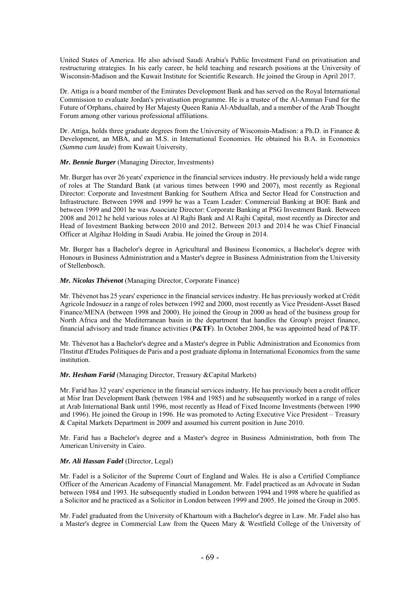United States of America. He also advised Saudi Arabia's Public Investment Fund on privatisation and restructuring strategies. In his early career, he held teaching and research positions at the University of Wisconsin-Madison and the Kuwait Institute for Scientific Research. He joined the Group in April 2017.

Dr. Attiga is a board member of the Emirates Development Bank and has served on the Royal International Commission to evaluate Jordan's privatisation programme. He is a trustee of the Al-Amman Fund for the Future of Orphans, chaired by Her Majesty Queen Rania Al-Abduallah, and a member of the Arab Thought Forum among other various professional affiliations.

Dr. Attiga, holds three graduate degrees from the University of Wisconsin-Madison: a Ph.D. in Finance & Development, an MBA, and an M.S. in International Economies. He obtained his B.A. in Economics (*Summa cum laude*) from Kuwait University.

## *Mr. Bennie Burger* (Managing Director, Investments)

Mr. Burger has over 26 years' experience in the financial services industry. He previously held a wide range of roles at The Standard Bank (at various times between 1990 and 2007), most recently as Regional Director: Corporate and Investment Banking for Southern Africa and Sector Head for Construction and Infrastructure. Between 1998 and 1999 he was a Team Leader: Commercial Banking at BOE Bank and between 1999 and 2001 he was Associate Director: Corporate Banking at PSG Investment Bank. Between 2008 and 2012 he held various roles at Al Rajhi Bank and Al Rajhi Capital, most recently as Director and Head of Investment Banking between 2010 and 2012. Between 2013 and 2014 he was Chief Financial Officer at Algihaz Holding in Saudi Arabia. He joined the Group in 2014.

Mr. Burger has a Bachelor's degree in Agricultural and Business Economics, a Bachelor's degree with Honours in Business Administration and a Master's degree in Business Administration from the University of Stellenbosch.

## *Mr. Nicolas Thévenot* (Managing Director, Corporate Finance)

Mr. Thévenot has 25 years' experience in the financial services industry. He has previously worked at Crédit Agricole Indosuez in a range of roles between 1992 and 2000, most recently as Vice President-Asset Based Finance/MENA (between 1998 and 2000). He joined the Group in 2000 as head of the business group for North Africa and the Mediterranean basin in the department that handles the Group's project finance, financial advisory and trade finance activities (**P&TF**). In October 2004, he was appointed head of P&TF.

Mr. Thévenot has a Bachelor's degree and a Master's degree in Public Administration and Economics from l'Institut d'Etudes Politiques de Paris and a post graduate diploma in International Economics from the same institution.

## *Mr. Hesham Farid* (Managing Director, Treasury &Capital Markets)

Mr. Farid has 32 years' experience in the financial services industry. He has previously been a credit officer at Misr Iran Development Bank (between 1984 and 1985) and he subsequently worked in a range of roles at Arab International Bank until 1996, most recently as Head of Fixed Income Investments (between 1990 and 1996). He joined the Group in 1996. He was promoted to Acting Executive Vice President – Treasury & Capital Markets Department in 2009 and assumed his current position in June 2010.

Mr. Farid has a Bachelor's degree and a Master's degree in Business Administration, both from The American University in Cairo.

## *Mr. Ali Hassan Fadel* (Director, Legal)

Mr. Fadel is a Solicitor of the Supreme Court of England and Wales. He is also a Certified Compliance Officer of the American Academy of Financial Management. Mr. Fadel practiced as an Advocate in Sudan between 1984 and 1993. He subsequently studied in London between 1994 and 1998 where he qualified as a Solicitor and he practiced as a Solicitor in London between 1999 and 2005. He joined the Group in 2005.

Mr. Fadel graduated from the University of Khartoum with a Bachelor's degree in Law. Mr. Fadel also has a Master's degree in Commercial Law from the Queen Mary & Westfield College of the University of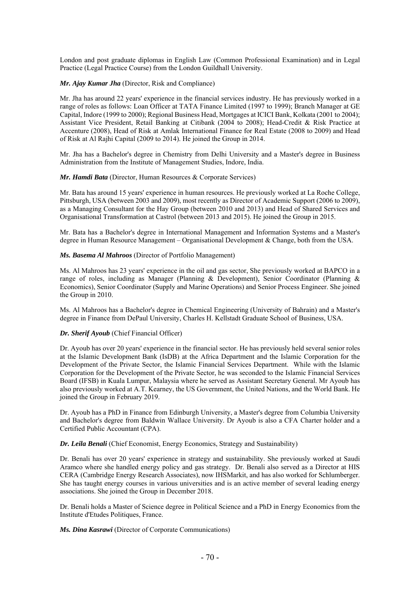London and post graduate diplomas in English Law (Common Professional Examination) and in Legal Practice (Legal Practice Course) from the London Guildhall University.

## *Mr. Ajay Kumar Jha* (Director, Risk and Compliance)

Mr. Jha has around 22 years' experience in the financial services industry. He has previously worked in a range of roles as follows: Loan Officer at TATA Finance Limited (1997 to 1999); Branch Manager at GE Capital, Indore (1999 to 2000); Regional Business Head, Mortgages at ICICI Bank, Kolkata (2001 to 2004); Assistant Vice President, Retail Banking at Citibank (2004 to 2008); Head-Credit & Risk Practice at Accenture (2008), Head of Risk at Amlak International Finance for Real Estate (2008 to 2009) and Head of Risk at Al Rajhi Capital (2009 to 2014). He joined the Group in 2014.

Mr. Jha has a Bachelor's degree in Chemistry from Delhi University and a Master's degree in Business Administration from the Institute of Management Studies, Indore, India.

### *Mr. Hamdi Bata* (Director, Human Resources & Corporate Services)

Mr. Bata has around 15 years' experience in human resources. He previously worked at La Roche College, Pittsburgh, USA (between 2003 and 2009), most recently as Director of Academic Support (2006 to 2009), as a Managing Consultant for the Hay Group (between 2010 and 2013) and Head of Shared Services and Organisational Transformation at Castrol (between 2013 and 2015). He joined the Group in 2015.

Mr. Bata has a Bachelor's degree in International Management and Information Systems and a Master's degree in Human Resource Management – Organisational Development & Change, both from the USA.

### *Ms. Basema Al Mahroos* (Director of Portfolio Management)

Ms. Al Mahroos has 23 years' experience in the oil and gas sector, She previously worked at BAPCO in a range of roles, including as Manager (Planning & Development), Senior Coordinator (Planning & Economics), Senior Coordinator (Supply and Marine Operations) and Senior Process Engineer. She joined the Group in 2010.

Ms. Al Mahroos has a Bachelor's degree in Chemical Engineering (University of Bahrain) and a Master's degree in Finance from DePaul University, Charles H. Kellstadt Graduate School of Business, USA.

#### *Dr. Sherif Ayoub* (Chief Financial Officer)

Dr. Ayoub has over 20 years' experience in the financial sector. He has previously held several senior roles at the Islamic Development Bank (IsDB) at the Africa Department and the Islamic Corporation for the Development of the Private Sector, the Islamic Financial Services Department. While with the Islamic Corporation for the Development of the Private Sector, he was seconded to the Islamic Financial Services Board (IFSB) in Kuala Lumpur, Malaysia where he served as Assistant Secretary General. Mr Ayoub has also previously worked at A.T. Kearney, the US Government, the United Nations, and the World Bank. He joined the Group in February 2019.

Dr. Ayoub has a PhD in Finance from Edinburgh University, a Master's degree from Columbia University and Bachelor's degree from Baldwin Wallace University. Dr Ayoub is also a CFA Charter holder and a Certified Public Accountant (CPA).

## *Dr. Leila Benali* (Chief Economist, Energy Economics, Strategy and Sustainability)

Dr. Benali has over 20 years' experience in strategy and sustainability. She previously worked at Saudi Aramco where she handled energy policy and gas strategy. Dr. Benali also served as a Director at HIS CERA (Cambridge Energy Research Associates), now IHSMarkit, and has also worked for Schlumberger. She has taught energy courses in various universities and is an active member of several leading energy associations. She joined the Group in December 2018.

Dr. Benali holds a Master of Science degree in Political Science and a PhD in Energy Economics from the Institute d'Etudes Politiques, France.

*Ms. Dina Kasrawi* (Director of Corporate Communications)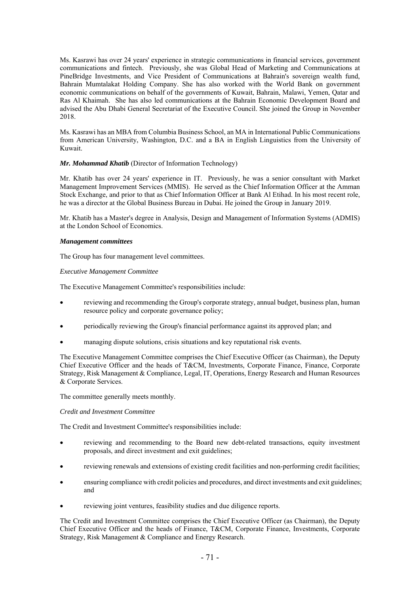Ms. Kasrawi has over 24 years' experience in strategic communications in financial services, government communications and fintech. Previously, she was Global Head of Marketing and Communications at PineBridge Investments, and Vice President of Communications at Bahrain's sovereign wealth fund, Bahrain Mumtalakat Holding Company. She has also worked with the World Bank on government economic communications on behalf of the governments of Kuwait, Bahrain, Malawi, Yemen, Qatar and Ras Al Khaimah. She has also led communications at the Bahrain Economic Development Board and advised the Abu Dhabi General Secretariat of the Executive Council. She joined the Group in November 2018.

Ms. Kasrawi has an MBA from Columbia Business School, an MA in International Public Communications from American University, Washington, D.C. and a BA in English Linguistics from the University of Kuwait.

## *Mr. Mohammad Khatib* (Director of Information Technology)

Mr. Khatib has over 24 years' experience in IT. Previously, he was a senior consultant with Market Management Improvement Services (MMIS). He served as the Chief Information Officer at the Amman Stock Exchange, and prior to that as Chief Information Officer at Bank Al Etihad. In his most recent role, he was a director at the Global Business Bureau in Dubai. He joined the Group in January 2019.

Mr. Khatib has a Master's degree in Analysis, Design and Management of Information Systems (ADMIS) at the London School of Economics.

#### *Management committees*

The Group has four management level committees.

### *Executive Management Committee*

The Executive Management Committee's responsibilities include:

- reviewing and recommending the Group's corporate strategy, annual budget, business plan, human resource policy and corporate governance policy;
- periodically reviewing the Group's financial performance against its approved plan; and
- managing dispute solutions, crisis situations and key reputational risk events.

The Executive Management Committee comprises the Chief Executive Officer (as Chairman), the Deputy Chief Executive Officer and the heads of T&CM, Investments, Corporate Finance, Finance, Corporate Strategy, Risk Management & Compliance, Legal, IT, Operations, Energy Research and Human Resources & Corporate Services.

The committee generally meets monthly.

### *Credit and Investment Committee*

The Credit and Investment Committee's responsibilities include:

- reviewing and recommending to the Board new debt-related transactions, equity investment proposals, and direct investment and exit guidelines;
- reviewing renewals and extensions of existing credit facilities and non-performing credit facilities;
- ensuring compliance with credit policies and procedures, and direct investments and exit guidelines; and
- reviewing joint ventures, feasibility studies and due diligence reports.

The Credit and Investment Committee comprises the Chief Executive Officer (as Chairman), the Deputy Chief Executive Officer and the heads of Finance, T&CM, Corporate Finance, Investments, Corporate Strategy, Risk Management & Compliance and Energy Research.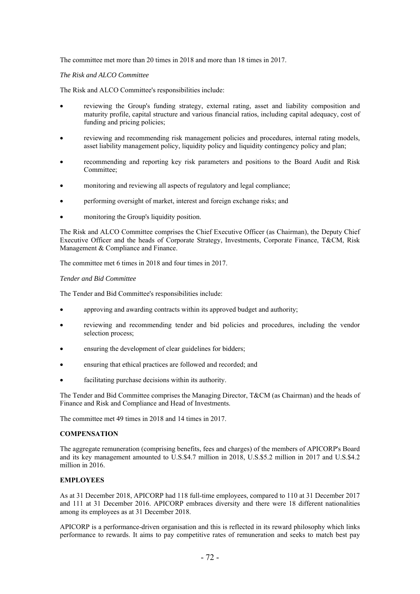The committee met more than 20 times in 2018 and more than 18 times in 2017.

## *The Risk and ALCO Committee*

The Risk and ALCO Committee's responsibilities include:

- reviewing the Group's funding strategy, external rating, asset and liability composition and maturity profile, capital structure and various financial ratios, including capital adequacy, cost of funding and pricing policies;
- reviewing and recommending risk management policies and procedures, internal rating models, asset liability management policy, liquidity policy and liquidity contingency policy and plan;
- recommending and reporting key risk parameters and positions to the Board Audit and Risk Committee;
- monitoring and reviewing all aspects of regulatory and legal compliance;
- performing oversight of market, interest and foreign exchange risks; and
- monitoring the Group's liquidity position.

The Risk and ALCO Committee comprises the Chief Executive Officer (as Chairman), the Deputy Chief Executive Officer and the heads of Corporate Strategy, Investments, Corporate Finance, T&CM, Risk Management & Compliance and Finance.

The committee met 6 times in 2018 and four times in 2017.

## *Tender and Bid Committee*

The Tender and Bid Committee's responsibilities include:

- approving and awarding contracts within its approved budget and authority;
- reviewing and recommending tender and bid policies and procedures, including the vendor selection process;
- ensuring the development of clear guidelines for bidders;
- ensuring that ethical practices are followed and recorded; and
- facilitating purchase decisions within its authority.

The Tender and Bid Committee comprises the Managing Director, T&CM (as Chairman) and the heads of Finance and Risk and Compliance and Head of Investments.

The committee met 49 times in 2018 and 14 times in 2017.

## **COMPENSATION**

The aggregate remuneration (comprising benefits, fees and charges) of the members of APICORP's Board and its key management amounted to U.S.\$4.7 million in 2018, U.S.\$5.2 million in 2017 and U.S.\$4.2 million in 2016.

# **EMPLOYEES**

As at 31 December 2018, APICORP had 118 full-time employees, compared to 110 at 31 December 2017 and 111 at 31 December 2016. APICORP embraces diversity and there were 18 different nationalities among its employees as at 31 December 2018.

APICORP is a performance-driven organisation and this is reflected in its reward philosophy which links performance to rewards. It aims to pay competitive rates of remuneration and seeks to match best pay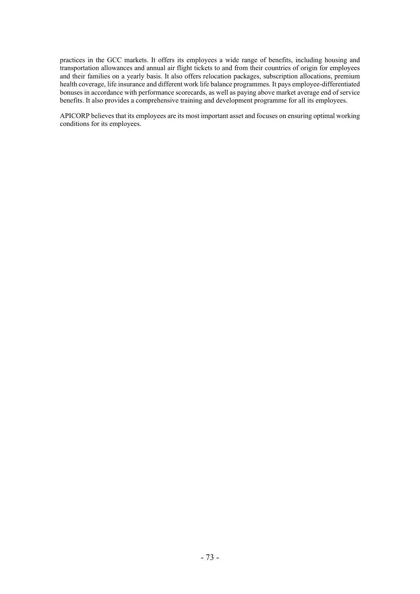practices in the GCC markets. It offers its employees a wide range of benefits, including housing and transportation allowances and annual air flight tickets to and from their countries of origin for employees and their families on a yearly basis. It also offers relocation packages, subscription allocations, premium health coverage, life insurance and different work life balance programmes. It pays employee-differentiated bonuses in accordance with performance scorecards, as well as paying above market average end of service benefits. It also provides a comprehensive training and development programme for all its employees.

APICORP believes that its employees are its most important asset and focuses on ensuring optimal working conditions for its employees.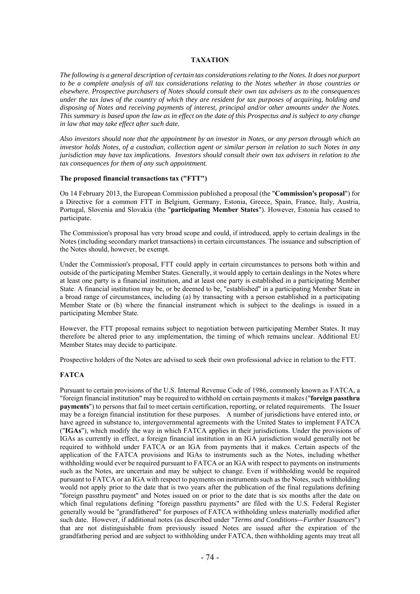## **TAXATION**

*The following is a general description of certain tax considerations relating to the Notes. It does not purport to be a complete analysis of all tax considerations relating to the Notes whether in those countries or elsewhere. Prospective purchasers of Notes should consult their own tax advisers as to the consequences under the tax laws of the country of which they are resident for tax purposes of acquiring, holding and disposing of Notes and receiving payments of interest, principal and/or other amounts under the Notes. This summary is based upon the law as in effect on the date of this Prospectus and is subject to any change in law that may take effect after such date.* 

*Also investors should note that the appointment by an investor in Notes, or any person through which an investor holds Notes, of a custodian, collection agent or similar person in relation to such Notes in any jurisdiction may have tax implications. Investors should consult their own tax advisers in relation to the tax consequences for them of any such appointment.* 

### **The proposed financial transactions tax ("FTT")**

On 14 February 2013, the European Commission published a proposal (the "**Commission's proposal**") for a Directive for a common FTT in Belgium, Germany, Estonia, Greece, Spain, France, Italy, Austria, Portugal, Slovenia and Slovakia (the "**participating Member States**"). However, Estonia has ceased to participate.

The Commission's proposal has very broad scope and could, if introduced, apply to certain dealings in the Notes (including secondary market transactions) in certain circumstances. The issuance and subscription of the Notes should, however, be exempt.

Under the Commission's proposal, FTT could apply in certain circumstances to persons both within and outside of the participating Member States. Generally, it would apply to certain dealings in the Notes where at least one party is a financial institution, and at least one party is established in a participating Member State. A financial institution may be, or be deemed to be, "established" in a participating Member State in a broad range of circumstances, including (a) by transacting with a person established in a participating Member State or (b) where the financial instrument which is subject to the dealings is issued in a participating Member State.

However, the FTT proposal remains subject to negotiation between participating Member States. It may therefore be altered prior to any implementation, the timing of which remains unclear. Additional EU Member States may decide to participate.

Prospective holders of the Notes are advised to seek their own professional advice in relation to the FTT.

## **FATCA**

Pursuant to certain provisions of the U.S. Internal Revenue Code of 1986, commonly known as FATCA, a "foreign financial institution" may be required to withhold on certain payments it makes ("**foreign passthru payments**") to persons that fail to meet certain certification, reporting, or related requirements. The Issuer may be a foreign financial institution for these purposes. A number of jurisdictions have entered into, or have agreed in substance to, intergovernmental agreements with the United States to implement FATCA ("**IGAs**"), which modify the way in which FATCA applies in their jurisdictions. Under the provisions of IGAs as currently in effect, a foreign financial institution in an IGA jurisdiction would generally not be required to withhold under FATCA or an IGA from payments that it makes. Certain aspects of the application of the FATCA provisions and IGAs to instruments such as the Notes, including whether withholding would ever be required pursuant to FATCA or an IGA with respect to payments on instruments such as the Notes, are uncertain and may be subject to change. Even if withholding would be required pursuant to FATCA or an IGA with respect to payments on instruments such as the Notes, such withholding would not apply prior to the date that is two years after the publication of the final regulations defining "foreign passthru payment" and Notes issued on or prior to the date that is six months after the date on which final regulations defining "foreign passthru payments" are filed with the U.S. Federal Register generally would be "grandfathered" for purposes of FATCA withholding unless materially modified after such date. However, if additional notes (as described under "*Terms and Conditions—Further Issuances*") that are not distinguishable from previously issued Notes are issued after the expiration of the grandfathering period and are subject to withholding under FATCA, then withholding agents may treat all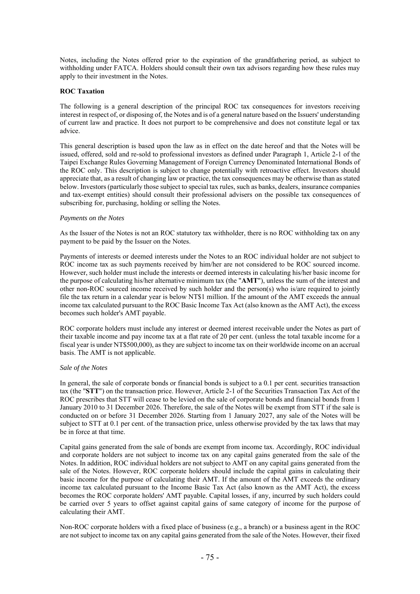Notes, including the Notes offered prior to the expiration of the grandfathering period, as subject to withholding under FATCA. Holders should consult their own tax advisors regarding how these rules may apply to their investment in the Notes.

## **ROC Taxation**

The following is a general description of the principal ROC tax consequences for investors receiving interest in respect of, or disposing of, the Notes and is of a general nature based on the Issuers' understanding of current law and practice. It does not purport to be comprehensive and does not constitute legal or tax advice.

This general description is based upon the law as in effect on the date hereof and that the Notes will be issued, offered, sold and re-sold to professional investors as defined under Paragraph 1, Article 2-1 of the Taipei Exchange Rules Governing Management of Foreign Currency Denominated International Bonds of the ROC only. This description is subject to change potentially with retroactive effect. Investors should appreciate that, as a result of changing law or practice, the tax consequences may be otherwise than as stated below. Investors (particularly those subject to special tax rules, such as banks, dealers, insurance companies and tax-exempt entities) should consult their professional advisers on the possible tax consequences of subscribing for, purchasing, holding or selling the Notes.

### *Payments on the Notes*

As the Issuer of the Notes is not an ROC statutory tax withholder, there is no ROC withholding tax on any payment to be paid by the Issuer on the Notes.

Payments of interests or deemed interests under the Notes to an ROC individual holder are not subject to ROC income tax as such payments received by him/her are not considered to be ROC sourced income. However, such holder must include the interests or deemed interests in calculating his/her basic income for the purpose of calculating his/her alternative minimum tax (the "**AMT**"), unless the sum of the interest and other non-ROC sourced income received by such holder and the person(s) who is/are required to jointly file the tax return in a calendar year is below NT\$1 million. If the amount of the AMT exceeds the annual income tax calculated pursuant to the ROC Basic Income Tax Act (also known as the AMT Act), the excess becomes such holder's AMT payable.

ROC corporate holders must include any interest or deemed interest receivable under the Notes as part of their taxable income and pay income tax at a flat rate of 20 per cent. (unless the total taxable income for a fiscal year is under NT\$500,000), as they are subject to income tax on their worldwide income on an accrual basis. The AMT is not applicable.

#### *Sale of the Notes*

In general, the sale of corporate bonds or financial bonds is subject to a 0.1 per cent. securities transaction tax (the "**STT**") on the transaction price. However, Article 2-1 of the Securities Transaction Tax Act of the ROC prescribes that STT will cease to be levied on the sale of corporate bonds and financial bonds from 1 January 2010 to 31 December 2026. Therefore, the sale of the Notes will be exempt from STT if the sale is conducted on or before 31 December 2026. Starting from 1 January 2027, any sale of the Notes will be subject to STT at 0.1 per cent. of the transaction price, unless otherwise provided by the tax laws that may be in force at that time.

Capital gains generated from the sale of bonds are exempt from income tax. Accordingly, ROC individual and corporate holders are not subject to income tax on any capital gains generated from the sale of the Notes. In addition, ROC individual holders are not subject to AMT on any capital gains generated from the sale of the Notes. However, ROC corporate holders should include the capital gains in calculating their basic income for the purpose of calculating their AMT. If the amount of the AMT exceeds the ordinary income tax calculated pursuant to the Income Basic Tax Act (also known as the AMT Act), the excess becomes the ROC corporate holders' AMT payable. Capital losses, if any, incurred by such holders could be carried over 5 years to offset against capital gains of same category of income for the purpose of calculating their AMT.

Non-ROC corporate holders with a fixed place of business (e.g., a branch) or a business agent in the ROC are not subject to income tax on any capital gains generated from the sale of the Notes. However, their fixed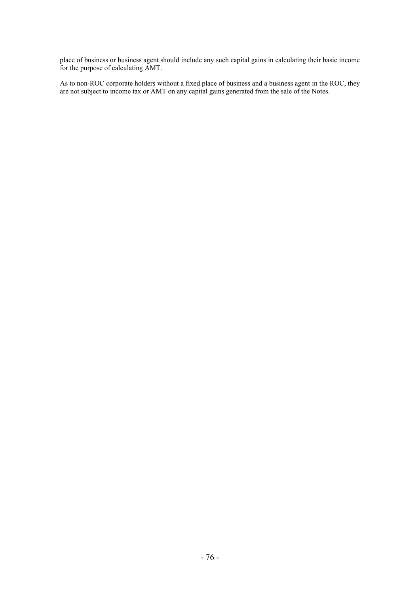place of business or business agent should include any such capital gains in calculating their basic income for the purpose of calculating AMT.

As to non-ROC corporate holders without a fixed place of business and a business agent in the ROC, they are not subject to income tax or AMT on any capital gains generated from the sale of the Notes.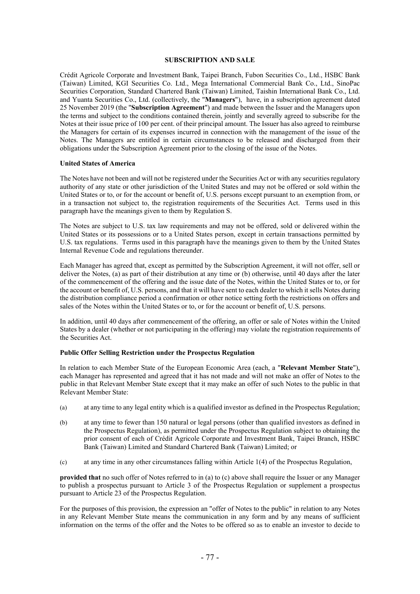### **SUBSCRIPTION AND SALE**

Crédit Agricole Corporate and Investment Bank, Taipei Branch, Fubon Securities Co., Ltd., HSBC Bank (Taiwan) Limited, KGI Securities Co. Ltd., Mega International Commercial Bank Co., Ltd., SinoPac Securities Corporation, Standard Chartered Bank (Taiwan) Limited, Taishin International Bank Co., Ltd. and Yuanta Securities Co., Ltd. (collectively, the "**Managers**"), have, in a subscription agreement dated 25 November 2019 (the "**Subscription Agreement**") and made between the Issuer and the Managers upon the terms and subject to the conditions contained therein, jointly and severally agreed to subscribe for the Notes at their issue price of 100 per cent. of their principal amount. The Issuer has also agreed to reimburse the Managers for certain of its expenses incurred in connection with the management of the issue of the Notes. The Managers are entitled in certain circumstances to be released and discharged from their obligations under the Subscription Agreement prior to the closing of the issue of the Notes.

### **United States of America**

The Notes have not been and will not be registered under the Securities Act or with any securities regulatory authority of any state or other jurisdiction of the United States and may not be offered or sold within the United States or to, or for the account or benefit of, U.S. persons except pursuant to an exemption from, or in a transaction not subject to, the registration requirements of the Securities Act. Terms used in this paragraph have the meanings given to them by Regulation S.

The Notes are subject to U.S. tax law requirements and may not be offered, sold or delivered within the United States or its possessions or to a United States person, except in certain transactions permitted by U.S. tax regulations. Terms used in this paragraph have the meanings given to them by the United States Internal Revenue Code and regulations thereunder.

Each Manager has agreed that, except as permitted by the Subscription Agreement, it will not offer, sell or deliver the Notes, (a) as part of their distribution at any time or (b) otherwise, until 40 days after the later of the commencement of the offering and the issue date of the Notes, within the United States or to, or for the account or benefit of, U.S. persons, and that it will have sent to each dealer to which it sells Notes during the distribution compliance period a confirmation or other notice setting forth the restrictions on offers and sales of the Notes within the United States or to, or for the account or benefit of, U.S. persons.

In addition, until 40 days after commencement of the offering, an offer or sale of Notes within the United States by a dealer (whether or not participating in the offering) may violate the registration requirements of the Securities Act.

### **Public Offer Selling Restriction under the Prospectus Regulation**

In relation to each Member State of the European Economic Area (each, a "**Relevant Member State**"), each Manager has represented and agreed that it has not made and will not make an offer of Notes to the public in that Relevant Member State except that it may make an offer of such Notes to the public in that Relevant Member State:

- (a) at any time to any legal entity which is a qualified investor as defined in the Prospectus Regulation;
- (b) at any time to fewer than 150 natural or legal persons (other than qualified investors as defined in the Prospectus Regulation), as permitted under the Prospectus Regulation subject to obtaining the prior consent of each of Crédit Agricole Corporate and Investment Bank, Taipei Branch, HSBC Bank (Taiwan) Limited and Standard Chartered Bank (Taiwan) Limited; or
- (c) at any time in any other circumstances falling within Article 1(4) of the Prospectus Regulation,

**provided that** no such offer of Notes referred to in (a) to (c) above shall require the Issuer or any Manager to publish a prospectus pursuant to Article 3 of the Prospectus Regulation or supplement a prospectus pursuant to Article 23 of the Prospectus Regulation.

For the purposes of this provision, the expression an "offer of Notes to the public" in relation to any Notes in any Relevant Member State means the communication in any form and by any means of sufficient information on the terms of the offer and the Notes to be offered so as to enable an investor to decide to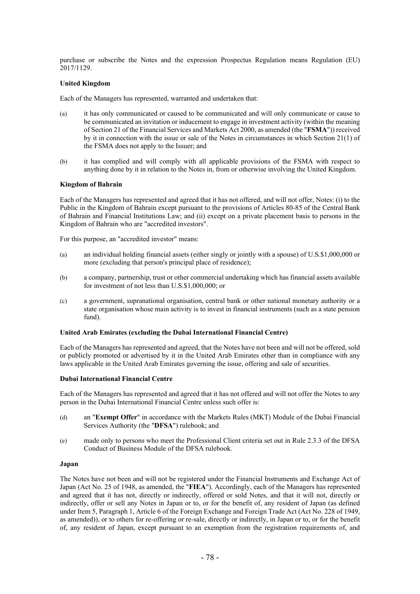purchase or subscribe the Notes and the expression Prospectus Regulation means Regulation (EU) 2017/1129.

### **United Kingdom**

Each of the Managers has represented, warranted and undertaken that:

- (a) it has only communicated or caused to be communicated and will only communicate or cause to be communicated an invitation or inducement to engage in investment activity (within the meaning of Section 21 of the Financial Services and Markets Act 2000, as amended (the "**FSMA**")) received by it in connection with the issue or sale of the Notes in circumstances in which Section 21(1) of the FSMA does not apply to the Issuer; and
- (b) it has complied and will comply with all applicable provisions of the FSMA with respect to anything done by it in relation to the Notes in, from or otherwise involving the United Kingdom.

### **Kingdom of Bahrain**

Each of the Managers has represented and agreed that it has not offered, and will not offer, Notes: (i) to the Public in the Kingdom of Bahrain except pursuant to the provisions of Articles 80-85 of the Central Bank of Bahrain and Financial Institutions Law; and (ii) except on a private placement basis to persons in the Kingdom of Bahrain who are "accredited investors".

For this purpose, an "accredited investor" means:

- (a) an individual holding financial assets (either singly or jointly with a spouse) of U.S.\$1,000,000 or more (excluding that person's principal place of residence);
- (b) a company, partnership, trust or other commercial undertaking which has financial assets available for investment of not less than U.S.\$1,000,000; or
- (c) a government, supranational organisation, central bank or other national monetary authority or a state organisation whose main activity is to invest in financial instruments (such as a state pension fund).

#### **United Arab Emirates (excluding the Dubai International Financial Centre)**

Each of the Managers has represented and agreed, that the Notes have not been and will not be offered, sold or publicly promoted or advertised by it in the United Arab Emirates other than in compliance with any laws applicable in the United Arab Emirates governing the issue, offering and sale of securities.

#### **Dubai International Financial Centre**

Each of the Managers has represented and agreed that it has not offered and will not offer the Notes to any person in the Dubai International Financial Centre unless such offer is:

- (d) an "**Exempt Offer**" in accordance with the Markets Rules (MKT) Module of the Dubai Financial Services Authority (the "**DFSA**") rulebook; and
- (e) made only to persons who meet the Professional Client criteria set out in Rule 2.3.3 of the DFSA Conduct of Business Module of the DFSA rulebook.

#### **Japan**

The Notes have not been and will not be registered under the Financial Instruments and Exchange Act of Japan (Act No. 25 of 1948, as amended, the "**FIEA**"). Accordingly, each of the Managers has represented and agreed that it has not, directly or indirectly, offered or sold Notes, and that it will not, directly or indirectly, offer or sell any Notes in Japan or to, or for the benefit of, any resident of Japan (as defined under Item 5, Paragraph 1, Article 6 of the Foreign Exchange and Foreign Trade Act (Act No. 228 of 1949, as amended)), or to others for re-offering or re-sale, directly or indirectly, in Japan or to, or for the benefit of, any resident of Japan, except pursuant to an exemption from the registration requirements of, and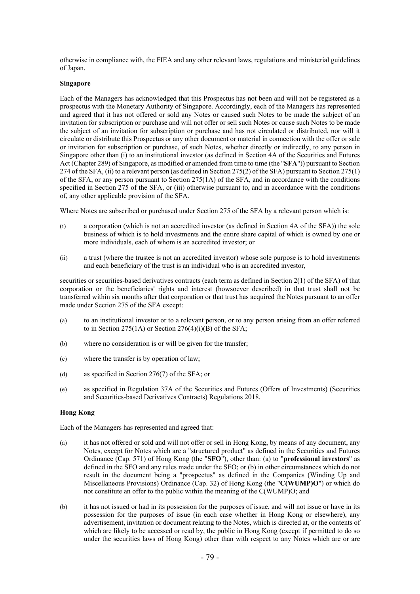otherwise in compliance with, the FIEA and any other relevant laws, regulations and ministerial guidelines of Japan.

## **Singapore**

Each of the Managers has acknowledged that this Prospectus has not been and will not be registered as a prospectus with the Monetary Authority of Singapore. Accordingly, each of the Managers has represented and agreed that it has not offered or sold any Notes or caused such Notes to be made the subject of an invitation for subscription or purchase and will not offer or sell such Notes or cause such Notes to be made the subject of an invitation for subscription or purchase and has not circulated or distributed, nor will it circulate or distribute this Prospectus or any other document or material in connection with the offer or sale or invitation for subscription or purchase, of such Notes, whether directly or indirectly, to any person in Singapore other than (i) to an institutional investor (as defined in Section 4A of the Securities and Futures Act (Chapter 289) of Singapore, as modified or amended from time to time (the "**SFA**")) pursuant to Section 274 of the SFA, (ii) to a relevant person (as defined in Section 275(2) of the SFA) pursuant to Section 275(1) of the SFA, or any person pursuant to Section 275(1A) of the SFA, and in accordance with the conditions specified in Section 275 of the SFA, or (iii) otherwise pursuant to, and in accordance with the conditions of, any other applicable provision of the SFA.

Where Notes are subscribed or purchased under Section 275 of the SFA by a relevant person which is:

- (i) a corporation (which is not an accredited investor (as defined in Section 4A of the SFA)) the sole business of which is to hold investments and the entire share capital of which is owned by one or more individuals, each of whom is an accredited investor; or
- (ii) a trust (where the trustee is not an accredited investor) whose sole purpose is to hold investments and each beneficiary of the trust is an individual who is an accredited investor,

securities or securities-based derivatives contracts (each term as defined in Section 2(1) of the SFA) of that corporation or the beneficiaries' rights and interest (howsoever described) in that trust shall not be transferred within six months after that corporation or that trust has acquired the Notes pursuant to an offer made under Section 275 of the SFA except:

- (a) to an institutional investor or to a relevant person, or to any person arising from an offer referred to in Section 275(1A) or Section 276(4)(i)(B) of the SFA;
- (b) where no consideration is or will be given for the transfer;
- (c) where the transfer is by operation of law;
- (d) as specified in Section 276(7) of the SFA; or
- (e) as specified in Regulation 37A of the Securities and Futures (Offers of Investments) (Securities and Securities-based Derivatives Contracts) Regulations 2018.

## **Hong Kong**

Each of the Managers has represented and agreed that:

- (a) it has not offered or sold and will not offer or sell in Hong Kong, by means of any document, any Notes, except for Notes which are a "structured product" as defined in the Securities and Futures Ordinance (Cap. 571) of Hong Kong (the "**SFO**"), other than: (a) to "**professional investors**" as defined in the SFO and any rules made under the SFO; or (b) in other circumstances which do not result in the document being a "prospectus" as defined in the Companies (Winding Up and Miscellaneous Provisions) Ordinance (Cap. 32) of Hong Kong (the "**C(WUMP)O**") or which do not constitute an offer to the public within the meaning of the C(WUMP)O; and
- (b) it has not issued or had in its possession for the purposes of issue, and will not issue or have in its possession for the purposes of issue (in each case whether in Hong Kong or elsewhere), any advertisement, invitation or document relating to the Notes, which is directed at, or the contents of which are likely to be accessed or read by, the public in Hong Kong (except if permitted to do so under the securities laws of Hong Kong) other than with respect to any Notes which are or are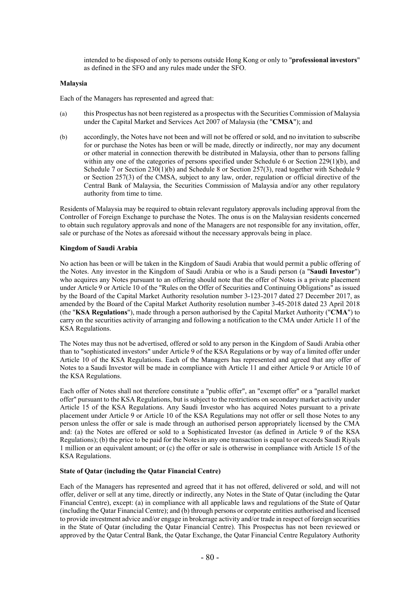intended to be disposed of only to persons outside Hong Kong or only to "**professional investors**" as defined in the SFO and any rules made under the SFO.

## **Malaysia**

Each of the Managers has represented and agreed that:

- (a) this Prospectus has not been registered as a prospectus with the Securities Commission of Malaysia under the Capital Market and Services Act 2007 of Malaysia (the "**CMSA**"); and
- (b) accordingly, the Notes have not been and will not be offered or sold, and no invitation to subscribe for or purchase the Notes has been or will be made, directly or indirectly, nor may any document or other material in connection therewith be distributed in Malaysia, other than to persons falling within any one of the categories of persons specified under Schedule 6 or Section 229(1)(b), and Schedule 7 or Section 230(1)(b) and Schedule 8 or Section 257(3), read together with Schedule 9 or Section 257(3) of the CMSA, subject to any law, order, regulation or official directive of the Central Bank of Malaysia, the Securities Commission of Malaysia and/or any other regulatory authority from time to time.

Residents of Malaysia may be required to obtain relevant regulatory approvals including approval from the Controller of Foreign Exchange to purchase the Notes. The onus is on the Malaysian residents concerned to obtain such regulatory approvals and none of the Managers are not responsible for any invitation, offer, sale or purchase of the Notes as aforesaid without the necessary approvals being in place.

### **Kingdom of Saudi Arabia**

No action has been or will be taken in the Kingdom of Saudi Arabia that would permit a public offering of the Notes. Any investor in the Kingdom of Saudi Arabia or who is a Saudi person (a "**Saudi Investor**") who acquires any Notes pursuant to an offering should note that the offer of Notes is a private placement under Article 9 or Article 10 of the "Rules on the Offer of Securities and Continuing Obligations" as issued by the Board of the Capital Market Authority resolution number 3-123-2017 dated 27 December 2017, as amended by the Board of the Capital Market Authority resolution number 3-45-2018 dated 23 April 2018 (the "**KSA Regulations**"), made through a person authorised by the Capital Market Authority ("**CMA**") to carry on the securities activity of arranging and following a notification to the CMA under Article 11 of the KSA Regulations.

The Notes may thus not be advertised, offered or sold to any person in the Kingdom of Saudi Arabia other than to "sophisticated investors" under Article 9 of the KSA Regulations or by way of a limited offer under Article 10 of the KSA Regulations. Each of the Managers has represented and agreed that any offer of Notes to a Saudi Investor will be made in compliance with Article 11 and either Article 9 or Article 10 of the KSA Regulations.

Each offer of Notes shall not therefore constitute a "public offer", an "exempt offer" or a "parallel market offer" pursuant to the KSA Regulations, but is subject to the restrictions on secondary market activity under Article 15 of the KSA Regulations. Any Saudi Investor who has acquired Notes pursuant to a private placement under Article 9 or Article 10 of the KSA Regulations may not offer or sell those Notes to any person unless the offer or sale is made through an authorised person appropriately licensed by the CMA and: (a) the Notes are offered or sold to a Sophisticated Investor (as defined in Article 9 of the KSA Regulations); (b) the price to be paid for the Notes in any one transaction is equal to or exceeds Saudi Riyals 1 million or an equivalent amount; or (c) the offer or sale is otherwise in compliance with Article 15 of the KSA Regulations.

#### **State of Qatar (including the Qatar Financial Centre)**

Each of the Managers has represented and agreed that it has not offered, delivered or sold, and will not offer, deliver or sell at any time, directly or indirectly, any Notes in the State of Qatar (including the Qatar Financial Centre), except: (a) in compliance with all applicable laws and regulations of the State of Qatar (including the Qatar Financial Centre); and (b) through persons or corporate entities authorised and licensed to provide investment advice and/or engage in brokerage activity and/or trade in respect of foreign securities in the State of Qatar (including the Qatar Financial Centre). This Prospectus has not been reviewed or approved by the Qatar Central Bank, the Qatar Exchange, the Qatar Financial Centre Regulatory Authority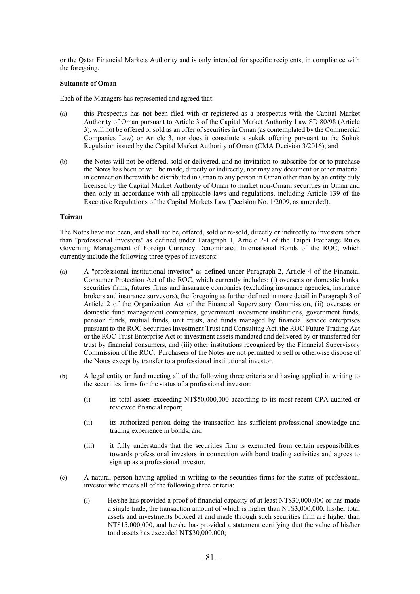or the Qatar Financial Markets Authority and is only intended for specific recipients, in compliance with the foregoing.

### **Sultanate of Oman**

Each of the Managers has represented and agreed that:

- (a) this Prospectus has not been filed with or registered as a prospectus with the Capital Market Authority of Oman pursuant to Article 3 of the Capital Market Authority Law SD 80/98 (Article 3), will not be offered or sold as an offer of securities in Oman (as contemplated by the Commercial Companies Law) or Article 3, nor does it constitute a sukuk offering pursuant to the Sukuk Regulation issued by the Capital Market Authority of Oman (CMA Decision 3/2016); and
- (b) the Notes will not be offered, sold or delivered, and no invitation to subscribe for or to purchase the Notes has been or will be made, directly or indirectly, nor may any document or other material in connection therewith be distributed in Oman to any person in Oman other than by an entity duly licensed by the Capital Market Authority of Oman to market non-Omani securities in Oman and then only in accordance with all applicable laws and regulations, including Article 139 of the Executive Regulations of the Capital Markets Law (Decision No. 1/2009, as amended).

#### **Taiwan**

The Notes have not been, and shall not be, offered, sold or re-sold, directly or indirectly to investors other than "professional investors" as defined under Paragraph 1, Article 2-1 of the Taipei Exchange Rules Governing Management of Foreign Currency Denominated International Bonds of the ROC, which currently include the following three types of investors:

- (a) A "professional institutional investor" as defined under Paragraph 2, Article 4 of the Financial Consumer Protection Act of the ROC, which currently includes: (i) overseas or domestic banks, securities firms, futures firms and insurance companies (excluding insurance agencies, insurance brokers and insurance surveyors), the foregoing as further defined in more detail in Paragraph 3 of Article 2 of the Organization Act of the Financial Supervisory Commission, (ii) overseas or domestic fund management companies, government investment institutions, government funds, pension funds, mutual funds, unit trusts, and funds managed by financial service enterprises pursuant to the ROC Securities Investment Trust and Consulting Act, the ROC Future Trading Act or the ROC Trust Enterprise Act or investment assets mandated and delivered by or transferred for trust by financial consumers, and (iii) other institutions recognized by the Financial Supervisory Commission of the ROC. Purchasers of the Notes are not permitted to sell or otherwise dispose of the Notes except by transfer to a professional institutional investor.
- (b) A legal entity or fund meeting all of the following three criteria and having applied in writing to the securities firms for the status of a professional investor:
	- (i) its total assets exceeding NT\$50,000,000 according to its most recent CPA-audited or reviewed financial report;
	- (ii) its authorized person doing the transaction has sufficient professional knowledge and trading experience in bonds; and
	- (iii) it fully understands that the securities firm is exempted from certain responsibilities towards professional investors in connection with bond trading activities and agrees to sign up as a professional investor.
- (c) A natural person having applied in writing to the securities firms for the status of professional investor who meets all of the following three criteria:
	- (i) He/she has provided a proof of financial capacity of at least NT\$30,000,000 or has made a single trade, the transaction amount of which is higher than NT\$3,000,000, his/her total assets and investments booked at and made through such securities firm are higher than NT\$15,000,000, and he/she has provided a statement certifying that the value of his/her total assets has exceeded NT\$30,000,000;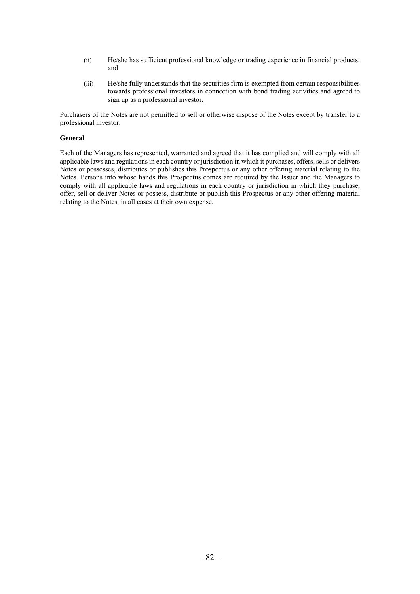- (ii) He/she has sufficient professional knowledge or trading experience in financial products; and
- (iii) He/she fully understands that the securities firm is exempted from certain responsibilities towards professional investors in connection with bond trading activities and agreed to sign up as a professional investor.

Purchasers of the Notes are not permitted to sell or otherwise dispose of the Notes except by transfer to a professional investor.

### **General**

Each of the Managers has represented, warranted and agreed that it has complied and will comply with all applicable laws and regulations in each country or jurisdiction in which it purchases, offers, sells or delivers Notes or possesses, distributes or publishes this Prospectus or any other offering material relating to the Notes. Persons into whose hands this Prospectus comes are required by the Issuer and the Managers to comply with all applicable laws and regulations in each country or jurisdiction in which they purchase, offer, sell or deliver Notes or possess, distribute or publish this Prospectus or any other offering material relating to the Notes, in all cases at their own expense.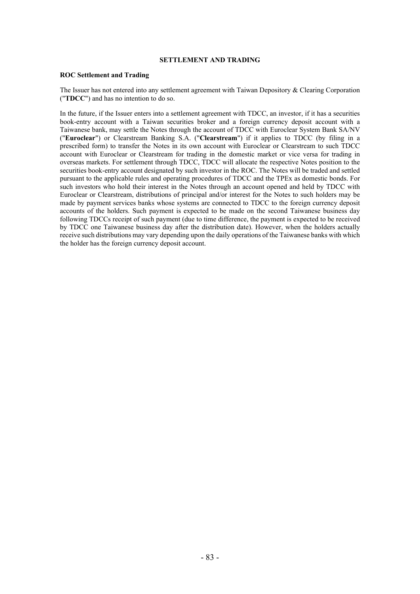# **SETTLEMENT AND TRADING**

### **ROC Settlement and Trading**

The Issuer has not entered into any settlement agreement with Taiwan Depository & Clearing Corporation ("**TDCC**") and has no intention to do so.

In the future, if the Issuer enters into a settlement agreement with TDCC, an investor, if it has a securities book-entry account with a Taiwan securities broker and a foreign currency deposit account with a Taiwanese bank, may settle the Notes through the account of TDCC with Euroclear System Bank SA/NV ("**Euroclear**") or Clearstream Banking S.A. ("**Clearstream**") if it applies to TDCC (by filing in a prescribed form) to transfer the Notes in its own account with Euroclear or Clearstream to such TDCC account with Euroclear or Clearstream for trading in the domestic market or vice versa for trading in overseas markets. For settlement through TDCC, TDCC will allocate the respective Notes position to the securities book-entry account designated by such investor in the ROC. The Notes will be traded and settled pursuant to the applicable rules and operating procedures of TDCC and the TPEx as domestic bonds. For such investors who hold their interest in the Notes through an account opened and held by TDCC with Euroclear or Clearstream, distributions of principal and/or interest for the Notes to such holders may be made by payment services banks whose systems are connected to TDCC to the foreign currency deposit accounts of the holders. Such payment is expected to be made on the second Taiwanese business day following TDCCs receipt of such payment (due to time difference, the payment is expected to be received by TDCC one Taiwanese business day after the distribution date). However, when the holders actually receive such distributions may vary depending upon the daily operations of the Taiwanese banks with which the holder has the foreign currency deposit account.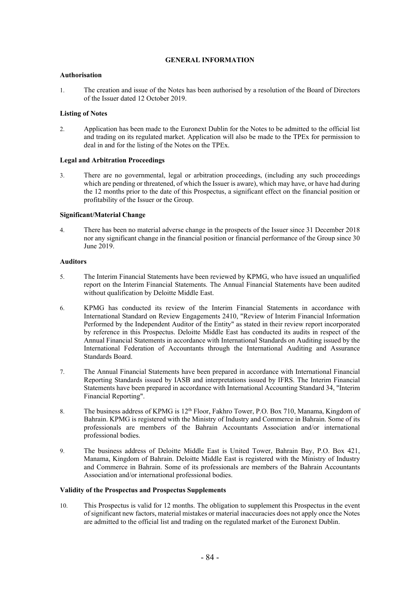# **GENERAL INFORMATION**

## **Authorisation**

1. The creation and issue of the Notes has been authorised by a resolution of the Board of Directors of the Issuer dated 12 October 2019.

# **Listing of Notes**

2. Application has been made to the Euronext Dublin for the Notes to be admitted to the official list and trading on its regulated market. Application will also be made to the TPEx for permission to deal in and for the listing of the Notes on the TPEx.

## **Legal and Arbitration Proceedings**

3. There are no governmental, legal or arbitration proceedings, (including any such proceedings which are pending or threatened, of which the Issuer is aware), which may have, or have had during the 12 months prior to the date of this Prospectus, a significant effect on the financial position or profitability of the Issuer or the Group.

## **Significant/Material Change**

4. There has been no material adverse change in the prospects of the Issuer since 31 December 2018 nor any significant change in the financial position or financial performance of the Group since 30 June 2019.

## **Auditors**

- 5. The Interim Financial Statements have been reviewed by KPMG, who have issued an unqualified report on the Interim Financial Statements. The Annual Financial Statements have been audited without qualification by Deloitte Middle East.
- 6. KPMG has conducted its review of the Interim Financial Statements in accordance with International Standard on Review Engagements 2410, "Review of Interim Financial Information Performed by the Independent Auditor of the Entity" as stated in their review report incorporated by reference in this Prospectus. Deloitte Middle East has conducted its audits in respect of the Annual Financial Statements in accordance with International Standards on Auditing issued by the International Federation of Accountants through the International Auditing and Assurance Standards Board.
- 7. The Annual Financial Statements have been prepared in accordance with International Financial Reporting Standards issued by IASB and interpretations issued by IFRS. The Interim Financial Statements have been prepared in accordance with International Accounting Standard 34, "Interim Financial Reporting".
- 8. The business address of KPMG is 12<sup>th</sup> Floor, Fakhro Tower, P.O. Box 710, Manama, Kingdom of Bahrain. KPMG is registered with the Ministry of Industry and Commerce in Bahrain. Some of its professionals are members of the Bahrain Accountants Association and/or international professional bodies.
- 9. The business address of Deloitte Middle East is United Tower, Bahrain Bay, P.O. Box 421, Manama, Kingdom of Bahrain. Deloitte Middle East is registered with the Ministry of Industry and Commerce in Bahrain. Some of its professionals are members of the Bahrain Accountants Association and/or international professional bodies.

## **Validity of the Prospectus and Prospectus Supplements**

10. This Prospectus is valid for 12 months. The obligation to supplement this Prospectus in the event of significant new factors, material mistakes or material inaccuracies does not apply once the Notes are admitted to the official list and trading on the regulated market of the Euronext Dublin.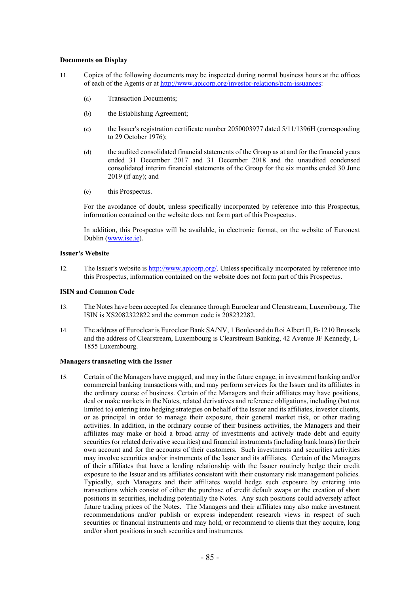## **Documents on Display**

- 11. Copies of the following documents may be inspected during normal business hours at the offices of each of the Agents or at http://www.apicorp.org/investor-relations/pcm-issuances:
	- (a) Transaction Documents;
	- (b) the Establishing Agreement;
	- (c) the Issuer's registration certificate number 2050003977 dated 5/11/1396H (corresponding to 29 October 1976);
	- (d) the audited consolidated financial statements of the Group as at and for the financial years ended 31 December 2017 and 31 December 2018 and the unaudited condensed consolidated interim financial statements of the Group for the six months ended 30 June 2019 (if any); and
	- (e) this Prospectus.

For the avoidance of doubt, unless specifically incorporated by reference into this Prospectus, information contained on the website does not form part of this Prospectus.

In addition, this Prospectus will be available, in electronic format, on the website of Euronext Dublin (www.ise.ie).

#### **Issuer's Website**

12. The Issuer's website is http://www.apicorp.org/. Unless specifically incorporated by reference into this Prospectus, information contained on the website does not form part of this Prospectus.

## **ISIN and Common Code**

- 13. The Notes have been accepted for clearance through Euroclear and Clearstream, Luxembourg. The ISIN is XS2082322822 and the common code is 208232282.
- 14. The address of Euroclear is Euroclear Bank SA/NV, 1 Boulevard du Roi Albert II, B-1210 Brussels and the address of Clearstream, Luxembourg is Clearstream Banking, 42 Avenue JF Kennedy, L-1855 Luxembourg.

## **Managers transacting with the Issuer**

15. Certain of the Managers have engaged, and may in the future engage, in investment banking and/or commercial banking transactions with, and may perform services for the Issuer and its affiliates in the ordinary course of business. Certain of the Managers and their affiliates may have positions, deal or make markets in the Notes, related derivatives and reference obligations, including (but not limited to) entering into hedging strategies on behalf of the Issuer and its affiliates, investor clients, or as principal in order to manage their exposure, their general market risk, or other trading activities. In addition, in the ordinary course of their business activities, the Managers and their affiliates may make or hold a broad array of investments and actively trade debt and equity securities (or related derivative securities) and financial instruments (including bank loans) for their own account and for the accounts of their customers. Such investments and securities activities may involve securities and/or instruments of the Issuer and its affiliates. Certain of the Managers of their affiliates that have a lending relationship with the Issuer routinely hedge their credit exposure to the Issuer and its affiliates consistent with their customary risk management policies. Typically, such Managers and their affiliates would hedge such exposure by entering into transactions which consist of either the purchase of credit default swaps or the creation of short positions in securities, including potentially the Notes. Any such positions could adversely affect future trading prices of the Notes. The Managers and their affiliates may also make investment recommendations and/or publish or express independent research views in respect of such securities or financial instruments and may hold, or recommend to clients that they acquire, long and/or short positions in such securities and instruments.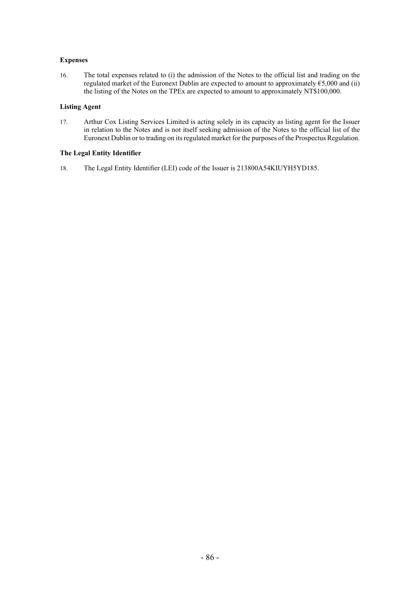# **Expenses**

16. The total expenses related to (i) the admission of the Notes to the official list and trading on the regulated market of the Euronext Dublin are expected to amount to approximately  $65,000$  and (ii) the listing of the Notes on the TPEx are expected to amount to approximately NT\$100,000.

## **Listing Agent**

17. Arthur Cox Listing Services Limited is acting solely in its capacity as listing agent for the Issuer in relation to the Notes and is not itself seeking admission of the Notes to the official list of the Euronext Dublin or to trading on its regulated market for the purposes of the Prospectus Regulation.

# **The Legal Entity Identifier**

18. The Legal Entity Identifier (LEI) code of the Issuer is 213800A54KIUYH5YD185.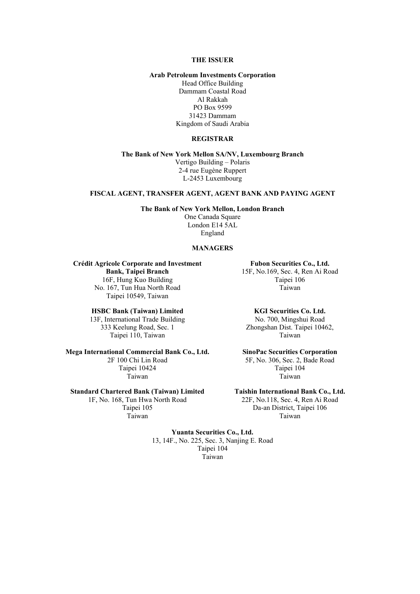### **THE ISSUER**

### **Arab Petroleum Investments Corporation**

Head Office Building Dammam Coastal Road Al Rakkah PO Box 9599 31423 Dammam Kingdom of Saudi Arabia

## **REGISTRAR**

**The Bank of New York Mellon SA/NV, Luxembourg Branch** Vertigo Building – Polaris 2-4 rue Eugène Ruppert L-2453 Luxembourg

### **FISCAL AGENT, TRANSFER AGENT, AGENT BANK AND PAYING AGENT**

#### **The Bank of New York Mellon, London Branch**

One Canada Square London E14 5AL England

#### **MANAGERS**

# **Crédit Agricole Corporate and Investment**

**Bank, Taipei Branch**  16F, Hung Kuo Building No. 167, Tun Hua North Road Taipei 10549, Taiwan

# **HSBC Bank (Taiwan) Limited**

13F, International Trade Building 333 Keelung Road, Sec. 1 Taipei 110, Taiwan

## **Mega International Commercial Bank Co., Ltd.**

2F 100 Chi Lin Road Taipei 10424 Taiwan

### **Standard Chartered Bank (Taiwan) Limited**

1F, No. 168, Tun Hwa North Road Taipei 105 Taiwan

**Fubon Securities Co., Ltd.**  15F, No.169, Sec. 4, Ren Ai Road Taipei 106 Taiwan

## **KGI Securities Co. Ltd.**

No. 700, Mingshui Road Zhongshan Dist. Taipei 10462, Taiwan

# **SinoPac Securities Corporation**

5F, No. 306, Sec. 2, Bade Road Taipei 104 Taiwan

**Taishin International Bank Co., Ltd.** 

22F, No.118, Sec. 4, Ren Ai Road Da-an District, Taipei 106 Taiwan

**Yuanta Securities Co., Ltd.**  13, 14F., No. 225, Sec. 3, Nanjing E. Road Taipei 104 Taiwan